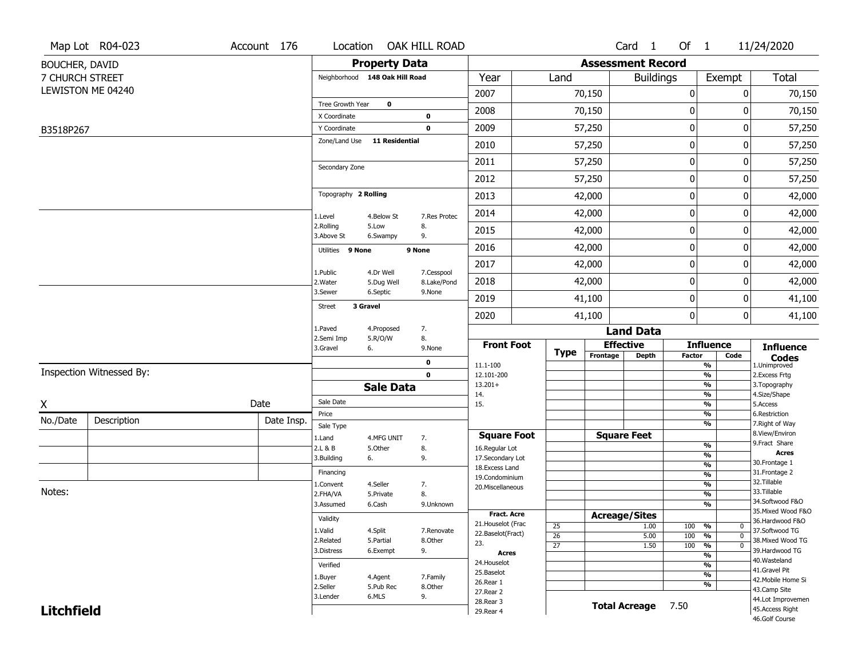|                   | Map Lot R04-023          | Account 176 |                                |                       | Location OAK HILL ROAD |                                     |                 |                          | Card 1               | Of $1$        |                                           | 11/24/2020                           |
|-------------------|--------------------------|-------------|--------------------------------|-----------------------|------------------------|-------------------------------------|-----------------|--------------------------|----------------------|---------------|-------------------------------------------|--------------------------------------|
| BOUCHER, DAVID    |                          |             |                                | <b>Property Data</b>  |                        |                                     |                 | <b>Assessment Record</b> |                      |               |                                           |                                      |
| 7 CHURCH STREET   |                          |             | Neighborhood 148 Oak Hill Road |                       |                        | Year                                | Land            |                          | <b>Buildings</b>     |               | Exempt                                    | Total                                |
|                   | LEWISTON ME 04240        |             |                                |                       |                        | 2007                                |                 | 70,150                   |                      | 0             | 0                                         | 70,150                               |
|                   |                          |             | Tree Growth Year               | $\mathbf 0$           |                        | 2008                                |                 | 70,150                   |                      | 0             | 0                                         | 70,150                               |
| B3518P267         |                          |             | X Coordinate<br>Y Coordinate   |                       | 0<br>$\mathbf 0$       | 2009                                |                 | 57,250                   |                      | $\mathbf 0$   | 0                                         | 57,250                               |
|                   |                          |             | Zone/Land Use 11 Residential   |                       |                        | 2010                                |                 | 57,250                   |                      | $\mathbf 0$   | 0                                         | 57,250                               |
|                   |                          |             |                                |                       |                        | 2011                                |                 | 57,250                   |                      | $\mathbf 0$   | 0                                         | 57,250                               |
|                   |                          |             | Secondary Zone                 |                       |                        |                                     |                 |                          |                      | $\mathbf 0$   | 0                                         |                                      |
|                   |                          |             |                                |                       |                        | 2012                                |                 | 57,250                   |                      |               |                                           | 57,250                               |
|                   |                          |             | Topography 2 Rolling           |                       |                        | 2013                                |                 | 42,000                   |                      | $\mathbf 0$   | 0                                         | 42,000                               |
|                   |                          |             | 1.Level                        | 4.Below St            | 7.Res Protec           | 2014                                |                 | 42,000                   |                      | $\mathbf 0$   | 0                                         | 42,000                               |
|                   |                          |             | 2.Rolling<br>3.Above St        | 5.Low<br>6.Swampy     | 8.<br>9.               | 2015                                |                 | 42,000                   |                      | 0             | 0                                         | 42,000                               |
|                   |                          |             | Utilities 9 None               |                       | 9 None                 | 2016                                |                 | 42,000                   |                      | $\mathbf 0$   | 0                                         | 42,000                               |
|                   |                          |             | 1.Public                       | 4.Dr Well             | 7.Cesspool             | 2017                                |                 | 42,000                   |                      | $\mathbf 0$   | 0                                         | 42,000                               |
|                   |                          |             | 2. Water                       | 5.Dug Well            | 8.Lake/Pond            | 2018                                |                 | 42,000                   |                      | $\mathbf 0$   | 0                                         | 42,000                               |
|                   |                          |             | 3.Sewer<br>3 Gravel            | 6.Septic              | 9.None                 | 2019                                |                 | 41,100                   |                      | $\mathbf 0$   | 0                                         | 41,100                               |
|                   |                          |             | <b>Street</b>                  |                       |                        | 2020                                |                 | 41,100                   |                      | $\mathbf{0}$  | 0                                         | 41,100                               |
|                   |                          |             | 1.Paved<br>2.Semi Imp          | 4.Proposed<br>5.R/O/W | 7.<br>8.               |                                     |                 |                          | <b>Land Data</b>     |               |                                           |                                      |
|                   |                          |             | 3.Gravel                       | 6.                    | 9.None                 | <b>Front Foot</b>                   | <b>Type</b>     |                          | <b>Effective</b>     |               | <b>Influence</b>                          | <b>Influence</b>                     |
|                   |                          |             |                                |                       | 0                      | 11.1-100                            |                 | Frontage                 | <b>Depth</b>         | <b>Factor</b> | Code<br>$\frac{9}{6}$                     | <b>Codes</b><br>1.Unimproved         |
|                   | Inspection Witnessed By: |             |                                |                       | $\mathbf 0$            | 12.101-200<br>$13.201+$             |                 |                          |                      |               | $\frac{9}{6}$<br>$\overline{\frac{9}{6}}$ | 2.Excess Frtg<br>3. Topography       |
|                   |                          |             |                                | <b>Sale Data</b>      |                        | 14.                                 |                 |                          |                      |               | $\frac{9}{6}$                             | 4.Size/Shape                         |
| X                 |                          | Date        | Sale Date<br>Price             |                       |                        | 15.                                 |                 |                          |                      |               | $\overline{\frac{9}{6}}$<br>$\frac{9}{6}$ | 5.Access<br>6.Restriction            |
| No./Date          | Description              | Date Insp.  | Sale Type                      |                       |                        |                                     |                 |                          |                      |               | $\overline{\frac{9}{6}}$                  | 7. Right of Way                      |
|                   |                          |             | 1.Land                         | 4.MFG UNIT            | 7.                     | <b>Square Foot</b>                  |                 |                          | <b>Square Feet</b>   |               |                                           | 8.View/Environ<br>9.Fract Share      |
|                   |                          |             | 2.L & B                        | 5.Other               | 8.                     | 16.Regular Lot                      |                 |                          |                      |               | $\frac{9}{6}$<br>$\frac{9}{6}$            | <b>Acres</b>                         |
|                   |                          |             | 3.Building                     | 6.                    | 9.                     | 17.Secondary Lot<br>18. Excess Land |                 |                          |                      |               | $\frac{9}{6}$                             | 30. Frontage 1                       |
|                   |                          |             | Financing                      |                       |                        | 19.Condominium                      |                 |                          |                      |               | $\frac{9}{6}$                             | 31. Frontage 2                       |
| Notes:            |                          |             | 1.Convent                      | 4.Seller              | 7.                     | 20.Miscellaneous                    |                 |                          |                      |               | $\frac{9}{6}$                             | 32.Tillable<br>33.Tillable           |
|                   |                          |             | 2.FHA/VA<br>3.Assumed          | 5.Private<br>6.Cash   | 8.<br>9.Unknown        |                                     |                 |                          |                      |               | $\frac{9}{6}$<br>$\frac{9}{6}$            | 34.Softwood F&O                      |
|                   |                          |             |                                |                       |                        | Fract. Acre                         |                 |                          | <b>Acreage/Sites</b> |               |                                           | 35. Mixed Wood F&O                   |
|                   |                          |             | Validity                       |                       |                        | 21. Houselot (Frac                  | 25              |                          | 1.00                 | 100           | %<br>$\mathbf{0}$                         | 36.Hardwood F&O                      |
|                   |                          |             | 1.Valid                        | 4.Split               | 7.Renovate             | 22.Baselot(Fract)                   | $\overline{26}$ |                          | 5.00                 | 100           | $\overline{0}$<br>%                       | 37.Softwood TG                       |
|                   |                          |             | 2.Related<br>3.Distress        | 5.Partial<br>6.Exempt | 8.Other<br>9.          | 23.                                 | $\overline{27}$ |                          | 1.50                 | 100           | $\frac{9}{6}$<br>$\overline{0}$           | 38. Mixed Wood TG<br>39.Hardwood TG  |
|                   |                          |             |                                |                       |                        | Acres                               |                 |                          |                      |               | $\overline{\frac{9}{6}}$                  | 40. Wasteland                        |
|                   |                          |             | Verified                       |                       |                        | 24. Houselot<br>25.Baselot          |                 |                          |                      |               | %                                         | 41.Gravel Pit                        |
|                   |                          |             | 1.Buyer                        | 4.Agent               | 7.Family               | 26.Rear 1                           |                 |                          |                      |               | $\overline{\frac{9}{6}}$<br>%             | 42. Mobile Home Si                   |
|                   |                          | 2.Seller    | 5.Pub Rec<br>6.MLS             | 8.Other               | 27. Rear 2             |                                     |                 |                          |                      |               | 43.Camp Site                              |                                      |
|                   |                          |             | 3.Lender                       |                       | 9.                     | 28. Rear 3                          |                 |                          | <b>Total Acreage</b> | 7.50          |                                           | 44.Lot Improvemen<br>45.Access Right |
| <b>Litchfield</b> |                          |             |                                |                       |                        | 29. Rear 4                          |                 |                          |                      |               |                                           | 46.Golf Course                       |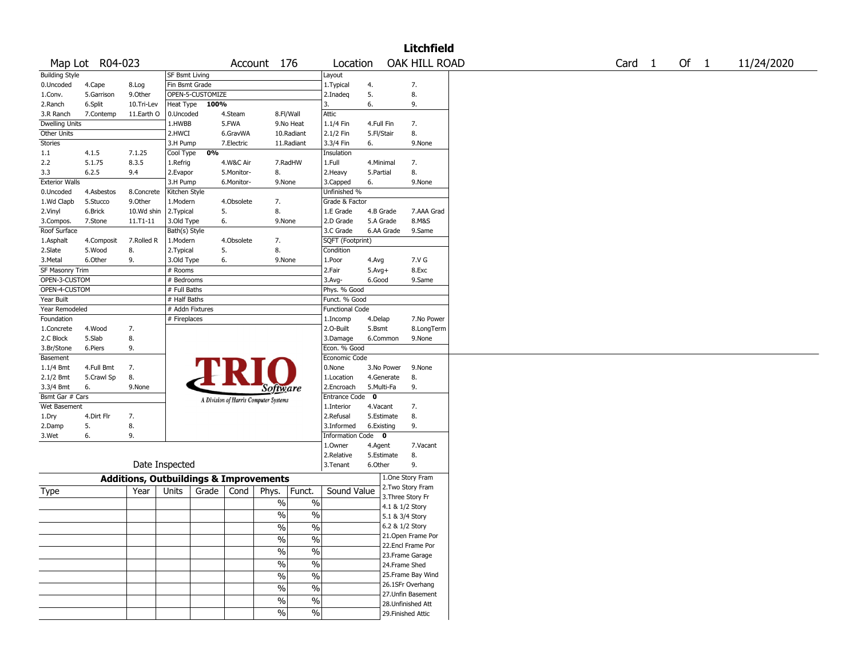| Map Lot R04-023<br><b>Building Style</b><br>0.Uncoded<br>1.Conv.<br>2.Ranch<br>3.R Ranch<br><b>Dwelling Units</b><br>Other Units<br><b>Stories</b> | 4.Cape<br>5.Garrison<br>6.Split<br>7.Contemp | 8.Log<br>9.0ther | SF Bsmt Living<br>Fin Bsmt Grade                  |                                       | Account 176                                                   | Location<br>Layout         |            |                    | OAK HILL ROAD |  | Card <sub>1</sub> | Of $1$ | 11/24/2020 |
|----------------------------------------------------------------------------------------------------------------------------------------------------|----------------------------------------------|------------------|---------------------------------------------------|---------------------------------------|---------------------------------------------------------------|----------------------------|------------|--------------------|---------------|--|-------------------|--------|------------|
|                                                                                                                                                    |                                              |                  |                                                   |                                       |                                                               |                            |            |                    |               |  |                   |        |            |
|                                                                                                                                                    |                                              |                  |                                                   |                                       |                                                               |                            |            |                    |               |  |                   |        |            |
|                                                                                                                                                    |                                              |                  |                                                   |                                       |                                                               | 1. Typical                 | 4.         | 7.                 |               |  |                   |        |            |
|                                                                                                                                                    |                                              |                  | OPEN-5-CUSTOMIZE                                  |                                       |                                                               | 2.Inadeq                   | 5.         | 8.                 |               |  |                   |        |            |
|                                                                                                                                                    |                                              | 10.Tri-Lev       | Heat Type                                         | 100%                                  |                                                               | 3.                         | 6.         | 9.                 |               |  |                   |        |            |
|                                                                                                                                                    |                                              | 11.Earth O       | 0.Uncoded                                         | 4.Steam                               | 8.Fl/Wall                                                     | Attic                      |            |                    |               |  |                   |        |            |
|                                                                                                                                                    |                                              |                  | 1.HWBB                                            | 5.FWA                                 | 9.No Heat                                                     | 1.1/4 Fin                  | 4.Full Fin | 7.                 |               |  |                   |        |            |
|                                                                                                                                                    |                                              |                  | 2.HWCI                                            | 6.GravWA                              | 10.Radiant                                                    | 2.1/2 Fin                  | 5.Fl/Stair | 8.                 |               |  |                   |        |            |
|                                                                                                                                                    |                                              |                  | 3.H Pump                                          | 7.Electric                            | 11.Radiant                                                    | 3.3/4 Fin                  | 6.         |                    | 9.None        |  |                   |        |            |
| 1.1                                                                                                                                                | 4.1.5                                        | 7.1.25           | Cool Type                                         | 0%                                    |                                                               | Insulation                 |            |                    |               |  |                   |        |            |
| 2.2                                                                                                                                                | 5.1.75                                       | 8.3.5            | 1.Refrig                                          | 4.W&C Air                             | 7.RadHW                                                       | 1.Full                     | 4.Minimal  | 7.                 |               |  |                   |        |            |
| 3.3                                                                                                                                                | 6.2.5                                        | 9.4              | 2.Evapor                                          | 5.Monitor-                            | 8.                                                            | 2. Heavy                   | 5.Partial  | 8.                 |               |  |                   |        |            |
| <b>Exterior Walls</b>                                                                                                                              |                                              |                  | 3.H Pump                                          | 6.Monitor-                            | 9.None                                                        | 3.Capped                   | 6.         |                    | 9.None        |  |                   |        |            |
| 0.Uncoded                                                                                                                                          | 4.Asbestos                                   | 8.Concrete       | Kitchen Style                                     |                                       |                                                               | Unfinished %               |            |                    |               |  |                   |        |            |
| 1.Wd Clapb                                                                                                                                         | 5.Stucco                                     | 9.Other          | 1.Modern                                          | 4.Obsolete                            | 7.                                                            | Grade & Factor             |            |                    |               |  |                   |        |            |
| 2.Vinyl                                                                                                                                            | 6.Brick                                      | 10.Wd shin       | 2.Typical                                         | 5.                                    | 8.                                                            | 1.E Grade                  | 4.B Grade  |                    | 7.AAA Grad    |  |                   |        |            |
| 3.Compos.                                                                                                                                          | 7.Stone                                      | 11.T1-11         | 3.Old Type                                        | 6.                                    | 9.None                                                        | 2.D Grade                  | 5.A Grade  |                    | 8.M&S         |  |                   |        |            |
| Roof Surface                                                                                                                                       |                                              |                  | Bath(s) Style                                     |                                       |                                                               | 3.C Grade                  | 6.AA Grade |                    | 9.Same        |  |                   |        |            |
| 1.Asphalt                                                                                                                                          | 4.Composit                                   | 7.Rolled R       | 1.Modern                                          | 4.Obsolete                            | 7.                                                            | SQFT (Footprint)           |            |                    |               |  |                   |        |            |
| 2.Slate                                                                                                                                            | 5.Wood                                       | 8.               | 2. Typical                                        | 5.                                    | 8.                                                            | Condition                  |            |                    |               |  |                   |        |            |
| 3.Metal                                                                                                                                            | 6.Other                                      | 9.               | 3.Old Type                                        | 6.                                    | 9.None                                                        | 1.Poor                     | 4.Avg      |                    | 7.V G         |  |                   |        |            |
| SF Masonry Trim                                                                                                                                    |                                              |                  | # Rooms                                           |                                       |                                                               | 2.Fair                     | $5.Avg+$   |                    | 8.Exc         |  |                   |        |            |
| OPEN-3-CUSTOM                                                                                                                                      |                                              |                  | # Bedrooms                                        |                                       |                                                               | 3.Avg-                     | 6.Good     |                    | 9.Same        |  |                   |        |            |
| OPEN-4-CUSTOM                                                                                                                                      |                                              |                  | # Full Baths                                      |                                       |                                                               | Phys. % Good               |            |                    |               |  |                   |        |            |
| Year Built                                                                                                                                         |                                              |                  | # Half Baths                                      |                                       |                                                               | Funct. % Good              |            |                    |               |  |                   |        |            |
| Year Remodeled                                                                                                                                     |                                              |                  | # Addn Fixtures                                   |                                       |                                                               | <b>Functional Code</b>     |            |                    |               |  |                   |        |            |
|                                                                                                                                                    |                                              |                  | # Fireplaces                                      |                                       |                                                               |                            |            |                    |               |  |                   |        |            |
| Foundation                                                                                                                                         |                                              |                  |                                                   |                                       |                                                               | 1.Incomp                   | 4.Delap    |                    | 7.No Power    |  |                   |        |            |
| 1.Concrete                                                                                                                                         | 4.Wood                                       | 7.               |                                                   |                                       |                                                               | 2.O-Built                  | 5.Bsmt     |                    | 8.LongTerm    |  |                   |        |            |
| 2.C Block                                                                                                                                          | 5.Slab                                       | 8.               |                                                   |                                       |                                                               | 3.Damage                   | 6.Common   |                    | 9.None        |  |                   |        |            |
| 3.Br/Stone                                                                                                                                         | 6.Piers                                      | 9.               |                                                   |                                       |                                                               | Econ. % Good               |            |                    |               |  |                   |        |            |
| Basement                                                                                                                                           |                                              |                  |                                                   |                                       |                                                               | Economic Code              |            |                    |               |  |                   |        |            |
| 1.1/4 Bmt                                                                                                                                          | 4.Full Bmt                                   | 7.               |                                                   |                                       |                                                               | 0.None                     | 3.No Power |                    | 9.None        |  |                   |        |            |
| 2.1/2 Bmt                                                                                                                                          | 5.Crawl Sp                                   | 8.               |                                                   |                                       |                                                               | 1.Location                 | 4.Generate | 8.                 |               |  |                   |        |            |
| 3.3/4 Bmt                                                                                                                                          | 6.                                           | 9.None           |                                                   |                                       | <i>Software</i>                                               | 2.Encroach                 | 5.Multi-Fa | 9.                 |               |  |                   |        |            |
| Bsmt Gar # Cars                                                                                                                                    |                                              |                  |                                                   | A Division of Harris Computer Systems |                                                               | Entrance Code <sup>O</sup> |            |                    |               |  |                   |        |            |
| Wet Basement                                                                                                                                       |                                              |                  |                                                   |                                       |                                                               | 1.Interior                 | 4.Vacant   | 7.                 |               |  |                   |        |            |
| 1.Dry                                                                                                                                              | 4.Dirt Flr                                   | 7.               |                                                   |                                       |                                                               | 2.Refusal                  | 5.Estimate | 8.                 |               |  |                   |        |            |
| 2.Damp                                                                                                                                             | 5.                                           | 8.               |                                                   |                                       |                                                               | 3.Informed                 | 6.Existing | 9.                 |               |  |                   |        |            |
| 3.Wet                                                                                                                                              | 6.                                           | 9.               |                                                   |                                       |                                                               | Information Code 0         |            |                    |               |  |                   |        |            |
|                                                                                                                                                    |                                              |                  |                                                   |                                       |                                                               | 1.Owner                    | 4.Agent    |                    | 7.Vacant      |  |                   |        |            |
|                                                                                                                                                    |                                              |                  |                                                   |                                       |                                                               | 2.Relative                 | 5.Estimate | 8.                 |               |  |                   |        |            |
|                                                                                                                                                    |                                              | Date Inspected   |                                                   |                                       |                                                               | 3. Tenant                  | 6.Other    | 9.                 |               |  |                   |        |            |
|                                                                                                                                                    |                                              |                  | <b>Additions, Outbuildings &amp; Improvements</b> |                                       |                                                               |                            |            | 1.One Story Fram   |               |  |                   |        |            |
| Type                                                                                                                                               |                                              | Year             | Units<br>Grade                                    | Cond                                  | Phys.<br>Funct.                                               | Sound Value                |            | 2.Two Story Fram   |               |  |                   |        |            |
|                                                                                                                                                    |                                              |                  |                                                   |                                       | $\%$<br>$\%$                                                  |                            |            | 3. Three Story Fr  |               |  |                   |        |            |
|                                                                                                                                                    |                                              |                  |                                                   |                                       |                                                               |                            |            | 4.1 & 1/2 Story    |               |  |                   |        |            |
|                                                                                                                                                    |                                              |                  |                                                   |                                       | $\frac{0}{0}$<br>$\frac{0}{0}$                                |                            |            | 5.1 & 3/4 Story    |               |  |                   |        |            |
|                                                                                                                                                    |                                              |                  |                                                   |                                       | $\frac{0}{6}$<br>$\sqrt{6}$                                   |                            |            | 6.2 & 1/2 Story    |               |  |                   |        |            |
|                                                                                                                                                    |                                              |                  |                                                   |                                       | $\frac{0}{6}$<br>$\sqrt{2}$                                   |                            |            | 21.Open Frame Por  |               |  |                   |        |            |
|                                                                                                                                                    |                                              |                  |                                                   |                                       | $\frac{9}{6}$<br>$\frac{0}{6}$                                |                            |            | 22.Encl Frame Por  |               |  |                   |        |            |
|                                                                                                                                                    |                                              |                  |                                                   |                                       |                                                               |                            |            | 23. Frame Garage   |               |  |                   |        |            |
|                                                                                                                                                    |                                              |                  |                                                   |                                       | $\frac{0}{6}$<br>$\sqrt{6}$                                   |                            |            | 24.Frame Shed      |               |  |                   |        |            |
|                                                                                                                                                    |                                              |                  |                                                   |                                       | $\sqrt{2}$<br>$\overline{\frac{0}{0}}$                        |                            |            | 25.Frame Bay Wind  |               |  |                   |        |            |
|                                                                                                                                                    |                                              |                  |                                                   |                                       |                                                               |                            |            |                    |               |  |                   |        |            |
|                                                                                                                                                    |                                              |                  |                                                   |                                       |                                                               |                            |            | 26.1SFr Overhang   |               |  |                   |        |            |
|                                                                                                                                                    |                                              |                  |                                                   |                                       | $\overline{\frac{0}{0}}$<br>%                                 |                            |            | 27.Unfin Basement  |               |  |                   |        |            |
|                                                                                                                                                    |                                              |                  |                                                   |                                       | $\frac{0}{6}$<br>$\frac{0}{6}$<br>$\frac{0}{6}$<br>$\sqrt{6}$ |                            |            | 28. Unfinished Att |               |  |                   |        |            |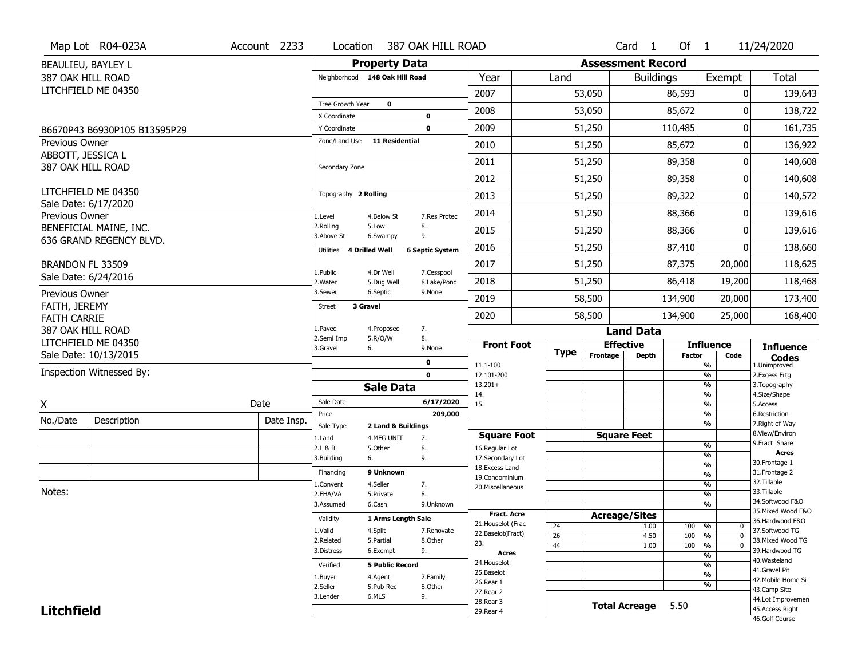|                                      | Map Lot R04-023A             | Account 2233 | Location                       |                         | 387 OAK HILL ROAD          |                                         |                       |                          | Card <sub>1</sub>    | Of $1$        |                                           | 11/24/2020                            |
|--------------------------------------|------------------------------|--------------|--------------------------------|-------------------------|----------------------------|-----------------------------------------|-----------------------|--------------------------|----------------------|---------------|-------------------------------------------|---------------------------------------|
|                                      | BEAULIEU, BAYLEY L           |              |                                | <b>Property Data</b>    |                            |                                         |                       | <b>Assessment Record</b> |                      |               |                                           |                                       |
| 387 OAK HILL ROAD                    |                              |              | Neighborhood 148 Oak Hill Road |                         |                            | Year                                    | Land                  |                          | <b>Buildings</b>     |               | Exempt                                    | <b>Total</b>                          |
|                                      | LITCHFIELD ME 04350          |              |                                |                         |                            | 2007                                    |                       | 53,050                   |                      | 86,593        | 0                                         | 139,643                               |
|                                      |                              |              | Tree Growth Year               | $\bf{0}$                |                            | 2008                                    |                       | 53,050                   |                      | 85,672        | O                                         | 138,722                               |
|                                      |                              |              | X Coordinate<br>Y Coordinate   |                         | $\mathbf 0$<br>$\mathbf 0$ | 2009                                    |                       | 51,250                   |                      | 110,485       | 0                                         | 161,735                               |
| Previous Owner                       | B6670P43 B6930P105 B13595P29 |              | Zone/Land Use                  | <b>11 Residential</b>   |                            |                                         |                       |                          |                      |               |                                           |                                       |
| ABBOTT, JESSICA L                    |                              |              |                                |                         |                            | 2010                                    |                       | 51,250                   |                      | 85,672        | 0                                         | 136,922                               |
| 387 OAK HILL ROAD                    |                              |              | Secondary Zone                 |                         |                            | 2011                                    |                       | 51,250                   |                      | 89,358        | 0                                         | 140,608                               |
|                                      |                              |              |                                |                         |                            | 2012                                    |                       | 51,250                   |                      | 89,358        | 0                                         | 140,608                               |
|                                      | LITCHFIELD ME 04350          |              | Topography 2 Rolling           |                         |                            | 2013                                    |                       | 51,250                   |                      | 89,322        | 0                                         | 140,572                               |
| Previous Owner                       | Sale Date: 6/17/2020         |              | 1.Level                        | 4.Below St              | 7.Res Protec               | 2014                                    |                       | 51,250                   |                      | 88,366        | 0                                         | 139,616                               |
|                                      | BENEFICIAL MAINE, INC.       |              | 2.Rolling<br>3.Above St        | 5.Low<br>6.Swampy       | 8.<br>9.                   | 2015                                    |                       | 51,250                   |                      | 88,366        | 0                                         | 139,616                               |
|                                      | 636 GRAND REGENCY BLVD.      |              | Utilities                      | <b>4 Drilled Well</b>   | <b>6 Septic System</b>     | 2016                                    |                       | 51,250                   |                      | 87,410        | 0                                         | 138,660                               |
| BRANDON FL 33509                     |                              |              |                                |                         |                            | 2017                                    |                       | 51,250                   |                      | 87,375        | 20,000                                    | 118,625                               |
|                                      | Sale Date: 6/24/2016         |              | 1.Public<br>2. Water           | 4.Dr Well<br>5.Dug Well | 7.Cesspool<br>8.Lake/Pond  | 2018                                    |                       | 51,250                   |                      | 86,418        | 19,200                                    | 118,468                               |
| Previous Owner                       |                              |              | 3.Sewer                        | 6.Septic                | 9.None                     | 2019                                    |                       | 58,500                   |                      | 134,900       | 20,000                                    | 173,400                               |
| FAITH, JEREMY<br><b>FAITH CARRIE</b> |                              |              | 3 Gravel<br><b>Street</b>      |                         |                            | 2020                                    |                       | 58,500                   |                      | 134,900       | 25,000                                    | 168,400                               |
| 387 OAK HILL ROAD                    |                              |              | 1.Paved                        | 4.Proposed              | 7.                         |                                         |                       |                          | <b>Land Data</b>     |               |                                           |                                       |
|                                      | LITCHFIELD ME 04350          |              | 2.Semi Imp<br>3.Gravel         | 5.R/O/W<br>6.           | 8.<br>9.None               | <b>Front Foot</b>                       |                       | <b>Effective</b>         |                      |               | <b>Influence</b>                          | <b>Influence</b>                      |
|                                      | Sale Date: 10/13/2015        |              |                                |                         | 0                          |                                         | <b>Type</b>           | Frontage                 | <b>Depth</b>         | <b>Factor</b> | Code                                      | <b>Codes</b>                          |
|                                      | Inspection Witnessed By:     |              |                                |                         | $\mathbf 0$                | 11.1-100<br>12.101-200                  |                       |                          |                      |               | %<br>%                                    | 1.Unimproved<br>2.Excess Frtg         |
|                                      |                              |              |                                | <b>Sale Data</b>        |                            | $13.201+$                               |                       |                          |                      |               | %                                         | 3. Topography                         |
| Χ                                    |                              | Date         | Sale Date                      |                         | 6/17/2020                  | 14.<br>15.                              |                       |                          |                      |               | %<br>%                                    | 4.Size/Shape<br>5.Access              |
| No./Date                             | Description                  | Date Insp.   | Price                          |                         | 209,000                    |                                         |                       |                          |                      |               | %                                         | 6.Restriction                         |
|                                      |                              |              | Sale Type                      | 2 Land & Buildings      |                            |                                         |                       |                          | <b>Square Feet</b>   |               | %                                         | 7. Right of Way<br>8.View/Environ     |
|                                      |                              |              | 1.Land<br>2.L & B              | 4.MFG UNIT<br>5.Other   | 7.<br>8.                   | <b>Square Foot</b><br>16.Regular Lot    |                       |                          |                      |               | %                                         | 9. Fract Share                        |
|                                      |                              |              | 3.Building                     | 6.                      | 9.                         | 17.Secondary Lot                        |                       |                          |                      |               | $\overline{\frac{9}{6}}$                  | <b>Acres</b>                          |
|                                      |                              |              | Financing                      | 9 Unknown               |                            | 18.Excess Land                          |                       |                          |                      |               | $\frac{9}{6}$<br>$\overline{\frac{9}{6}}$ | 30. Frontage 1<br>31. Frontage 2      |
|                                      |                              |              | 1.Convent                      | 4.Seller                | 7.                         | 19.Condominium<br>20.Miscellaneous      |                       |                          |                      |               | $\overline{\frac{9}{6}}$                  | 32. Tillable                          |
| Notes:                               |                              |              | 2.FHA/VA                       | 5.Private               | 8.                         |                                         |                       |                          |                      |               | $\overline{\frac{9}{6}}$                  | 33.Tillable                           |
|                                      |                              |              | 3.Assumed                      | 6.Cash                  | 9.Unknown                  |                                         |                       |                          |                      |               | $\overline{\frac{9}{6}}$                  | 34.Softwood F&O                       |
|                                      |                              |              | Validity                       | 1 Arms Length Sale      |                            | <b>Fract. Acre</b>                      |                       | <b>Acreage/Sites</b>     |                      |               |                                           | 35. Mixed Wood F&O<br>36.Hardwood F&O |
|                                      |                              |              | 1.Valid                        | 4.Split                 | 7.Renovate                 | 21. Houselot (Frac<br>22.Baselot(Fract) | 24                    |                          | 1.00                 | 100           | %<br>0                                    | 37.Softwood TG                        |
|                                      |                              |              | 2.Related                      | 5.Partial               | 8.Other                    | 23.                                     | $\overline{26}$<br>44 |                          | 4.50<br>1.00         | 100<br>100    | $\mathbf{0}$<br>%<br>$\mathbf 0$          | 38. Mixed Wood TG                     |
|                                      |                              |              | 3.Distress                     | 6.Exempt                | 9.                         | <b>Acres</b>                            |                       |                          |                      |               | %<br>%                                    | 39.Hardwood TG                        |
|                                      |                              |              | Verified                       | <b>5 Public Record</b>  |                            | 24. Houselot                            |                       |                          |                      |               | %                                         | 40.Wasteland                          |
|                                      |                              |              | 1.Buyer                        | 4.Agent                 | 7.Family                   | 25.Baselot                              |                       |                          |                      |               | %                                         | 41.Gravel Pit                         |
|                                      |                              |              | 2.Seller                       | 5.Pub Rec               | 8.Other                    | 26.Rear 1                               |                       |                          |                      |               | %                                         | 42. Mobile Home Si<br>43.Camp Site    |
|                                      |                              |              |                                |                         |                            |                                         |                       |                          |                      |               |                                           |                                       |
|                                      |                              |              | 3.Lender                       | 6.MLS                   | 9.                         | 27. Rear 2                              |                       |                          |                      |               |                                           |                                       |
| <b>Litchfield</b>                    |                              |              |                                |                         |                            | 28. Rear 3<br>29. Rear 4                |                       |                          | <b>Total Acreage</b> | 5.50          |                                           | 44.Lot Improvemen<br>45.Access Right  |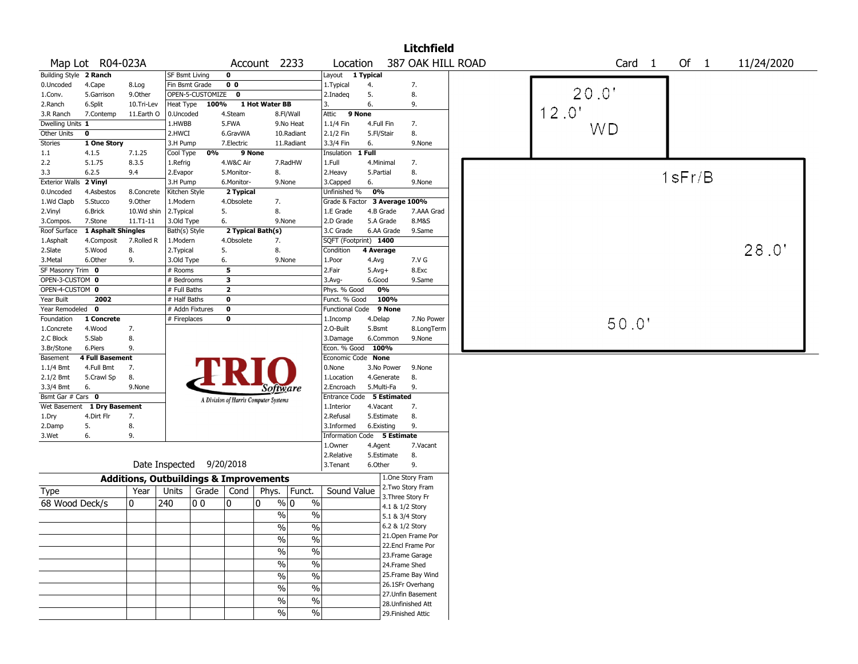|                        |                        |              |                |                  |                         |                                                   |                          |                             |            |            | <b>Litchfield</b>  |  |      |       |                   |              |  |            |
|------------------------|------------------------|--------------|----------------|------------------|-------------------------|---------------------------------------------------|--------------------------|-----------------------------|------------|------------|--------------------|--|------|-------|-------------------|--------------|--|------------|
|                        | Map Lot R04-023A       |              |                |                  |                         | Account 2233                                      |                          | Location                    |            |            | 387 OAK HILL ROAD  |  |      |       | Card <sub>1</sub> | Of $1$       |  | 11/24/2020 |
| Building Style 2 Ranch |                        |              | SF Bsmt Living |                  | 0                       |                                                   |                          | Layout                      | 1 Typical  |            |                    |  |      |       |                   |              |  |            |
| 0.Uncoded              | 4.Cape                 | 8.Log        | Fin Bsmt Grade |                  | 0 <sub>0</sub>          |                                                   |                          | 1.Typical                   | 4.         |            | 7.                 |  |      |       |                   |              |  |            |
| 1.Conv.                | 5.Garrison             | 9.Other      |                | OPEN-5-CUSTOMIZE | $\bf{0}$                |                                                   |                          | 2.Inadeq                    | 5.         |            | 8.                 |  |      | 20.0" |                   |              |  |            |
| 2.Ranch                | 6.Split                | 10.Tri-Lev   | Heat Type      | 100%             |                         | 1 Hot Water BB                                    |                          | 3.                          | 6.         |            | 9.                 |  |      |       |                   |              |  |            |
| 3.R Ranch              | 7.Contemp              | 11.Earth O   | 0.Uncoded      |                  | 4.Steam                 |                                                   | 8.Fl/Wall                | 9 None<br>Attic             |            |            |                    |  | 2.0' |       |                   |              |  |            |
| Dwelling Units 1       |                        |              | 1.HWBB         |                  | 5.FWA                   |                                                   | 9.No Heat                | 1.1/4 Fin                   | 4.Full Fin |            | 7.                 |  |      | WD    |                   |              |  |            |
| Other Units            | $\pmb{0}$              |              | 2.HWCI         |                  | 6.GravWA                |                                                   | 10.Radiant               | 2.1/2 Fin                   | 5.Fl/Stair |            | 8.                 |  |      |       |                   |              |  |            |
| Stories                | 1 One Story            |              | 3.H Pump       |                  | 7.Electric              |                                                   | 11.Radiant               | 3.3/4 Fin                   | 6.         |            | 9.None             |  |      |       |                   |              |  |            |
| 1.1                    | 4.1.5                  | 7.1.25       | Cool Type      | 0%               | 9 None                  |                                                   |                          | Insulation                  | $1$ Full   |            |                    |  |      |       |                   |              |  |            |
| 2.2                    | 5.1.75                 | 8.3.5        | 1.Refrig       |                  | 4.W&C Air               |                                                   | 7.RadHW                  | 1.Full                      | 4.Minimal  |            | 7.                 |  |      |       |                   |              |  |            |
| 3.3                    | 6.2.5                  | 9.4          | 2.Evapor       |                  | 5.Monitor-              | 8.                                                |                          | 2.Heavy                     | 5.Partial  |            | 8.                 |  |      |       |                   | $1$ s $Fr/B$ |  |            |
| <b>Exterior Walls</b>  | 2 Vinyl                |              | 3.H Pump       |                  | 6.Monitor-              | 9.None                                            |                          | 3.Capped                    | 6.         |            | 9.None             |  |      |       |                   |              |  |            |
| 0.Uncoded              | 4.Asbestos             | 8.Concrete   | Kitchen Style  |                  | 2 Typical               |                                                   |                          | Unfinished %                | 0%         |            |                    |  |      |       |                   |              |  |            |
| 1.Wd Clapb             | 5.Stucco               | 9.0ther      | 1.Modern       |                  | 4.Obsolete              | 7.                                                |                          | Grade & Factor              |            |            | 3 Average 100%     |  |      |       |                   |              |  |            |
| 2.Vinyl                | 6.Brick                | 10.Wd shin   | 2.Typical      |                  | 5.                      | 8.                                                |                          | 1.E Grade                   |            | 4.B Grade  | 7.AAA Grad         |  |      |       |                   |              |  |            |
| 3.Compos.              | 7.Stone                | $11.71 - 11$ | 3.Old Type     |                  | 6.                      | 9.None                                            |                          | 2.D Grade                   |            | 5.A Grade  | 8.M&S              |  |      |       |                   |              |  |            |
| Roof Surface           | 1 Asphalt Shingles     |              | Bath(s) Style  |                  |                         | 2 Typical Bath(s)                                 |                          | 3.C Grade                   |            | 6.AA Grade | 9.Same             |  |      |       |                   |              |  |            |
| 1.Asphalt              | 4.Composit             | 7.Rolled R   | 1.Modern       |                  | 4.Obsolete              | 7.                                                |                          | SQFT (Footprint) 1400       |            |            |                    |  |      |       |                   |              |  |            |
| 2.Slate                | 5.Wood                 | 8.           | 2. Typical     |                  | 5.                      | 8.                                                |                          | Condition                   | 4 Average  |            |                    |  |      |       |                   |              |  | 28.0"      |
| 3.Metal                | 6.Other                | 9.           | 3.Old Type     |                  | 6.                      | 9.None                                            |                          | 1.Poor                      | 4.Avg      |            | 7.V G              |  |      |       |                   |              |  |            |
| SF Masonry Trim 0      |                        |              | # Rooms        |                  | 5                       |                                                   |                          | 2.Fair                      | $5.Avg+$   |            | 8.Exc              |  |      |       |                   |              |  |            |
| OPEN-3-CUSTOM 0        |                        |              | # Bedrooms     |                  | $\overline{\mathbf{3}}$ |                                                   |                          | 3.Avg-                      | 6.Good     |            | 9.Same             |  |      |       |                   |              |  |            |
| OPEN-4-CUSTOM 0        |                        |              | # Full Baths   |                  | $\overline{2}$          |                                                   |                          | Phys. % Good                |            | 0%         |                    |  |      |       |                   |              |  |            |
| Year Built             | 2002                   |              | # Half Baths   |                  | $\mathbf 0$             |                                                   |                          | Funct. % Good               |            | 100%       |                    |  |      |       |                   |              |  |            |
| Year Remodeled         | 0                      |              |                | # Addn Fixtures  | $\pmb{0}$               |                                                   |                          | Functional Code             |            | 9 None     |                    |  |      |       |                   |              |  |            |
| Foundation             | 1 Concrete             |              | # Fireplaces   |                  | 0                       |                                                   |                          | 1.Incomp                    | 4.Delap    |            | 7.No Power         |  |      |       |                   |              |  |            |
| 1.Concrete             | 4.Wood                 | 7.           |                |                  |                         |                                                   |                          | 2.0-Built                   | 5.Bsmt     |            | 8.LongTerm         |  |      |       | 50.0'             |              |  |            |
| 2.C Block              | 5.Slab                 | 8.           |                |                  |                         |                                                   |                          | 3.Damage                    |            | 6.Common   | 9.None             |  |      |       |                   |              |  |            |
| 3.Br/Stone             | 6.Piers                | 9.           |                |                  |                         |                                                   |                          | Econ. % Good                | 100%       |            |                    |  |      |       |                   |              |  |            |
| Basement               | <b>4 Full Basement</b> |              |                |                  |                         |                                                   |                          | Economic Code None          |            |            |                    |  |      |       |                   |              |  |            |
| $1.1/4$ Bmt            | 4.Full Bmt             | 7.           |                |                  |                         |                                                   |                          | 0.None                      |            | 3.No Power | 9.None             |  |      |       |                   |              |  |            |
| 2.1/2 Bmt              | 5.Crawl Sp             | 8.           |                |                  |                         |                                                   |                          | 1.Location                  |            | 4.Generate | 8.                 |  |      |       |                   |              |  |            |
| 3.3/4 Bmt              | 6.                     | 9.None       |                |                  |                         | Software                                          |                          | 2.Encroach                  |            | 5.Multi-Fa | 9.                 |  |      |       |                   |              |  |            |
| Bsmt Gar # Cars 0      |                        |              |                |                  |                         | A Division of Harris Computer Systems             |                          | Entrance Code 5 Estimated   |            |            |                    |  |      |       |                   |              |  |            |
| Wet Basement           | 1 Dry Basement         |              |                |                  |                         |                                                   |                          | 1.Interior                  | 4.Vacant   |            | 7.                 |  |      |       |                   |              |  |            |
| 1.Dry                  | 4.Dirt Flr             | 7.           |                |                  |                         |                                                   |                          | 2.Refusal                   |            | 5.Estimate | 8.                 |  |      |       |                   |              |  |            |
| 2.Damp                 | 5.                     | 8.           |                |                  |                         |                                                   |                          | 3.Informed                  |            | 6.Existing | 9.                 |  |      |       |                   |              |  |            |
| 3.Wet                  | 6.                     | 9.           |                |                  |                         |                                                   |                          | Information Code 5 Estimate |            |            |                    |  |      |       |                   |              |  |            |
|                        |                        |              |                |                  |                         |                                                   |                          | 1.Owner                     | 4.Agent    |            | 7.Vacant           |  |      |       |                   |              |  |            |
|                        |                        |              |                |                  |                         |                                                   |                          | 2.Relative                  |            | 5.Estimate | 8.                 |  |      |       |                   |              |  |            |
|                        |                        |              | Date Inspected |                  | 9/20/2018               |                                                   |                          | 3.Tenant                    | 6.Other    |            | 9.                 |  |      |       |                   |              |  |            |
|                        |                        |              |                |                  |                         | <b>Additions, Outbuildings &amp; Improvements</b> |                          |                             |            |            | 1.One Story Fram   |  |      |       |                   |              |  |            |
| Type                   |                        | Year         | Units          | Grade   Cond     |                         | Phys.                                             | Funct.                   | Sound Value                 |            |            | 2. Two Story Fram  |  |      |       |                   |              |  |            |
|                        |                        |              |                |                  |                         |                                                   |                          |                             |            |            | 3. Three Story Fr  |  |      |       |                   |              |  |            |
| 68 Wood Deck/s         |                        | 0            | 240            | 00               | 0                       | $\frac{9}{0}$ 0<br>0                              | $\%$                     |                             |            |            | 4.1 & 1/2 Story    |  |      |       |                   |              |  |            |
|                        |                        |              |                |                  |                         | $\%$                                              | $\%$                     |                             |            |            | 5.1 & 3/4 Story    |  |      |       |                   |              |  |            |
|                        |                        |              |                |                  |                         | $\frac{0}{0}$                                     | $\frac{0}{0}$            |                             |            |            | 6.2 & 1/2 Story    |  |      |       |                   |              |  |            |
|                        |                        |              |                |                  |                         | $\frac{1}{2}$                                     | $\frac{0}{0}$            |                             |            |            | 21. Open Frame Por |  |      |       |                   |              |  |            |
|                        |                        |              |                |                  |                         |                                                   |                          |                             |            |            | 22.Encl Frame Por  |  |      |       |                   |              |  |            |
|                        |                        |              |                |                  |                         | $\frac{0}{6}$                                     | $\overline{\frac{0}{0}}$ |                             |            |            | 23. Frame Garage   |  |      |       |                   |              |  |            |
|                        |                        |              |                |                  |                         | $\frac{1}{2}$                                     | $\overline{\frac{0}{0}}$ |                             |            |            | 24.Frame Shed      |  |      |       |                   |              |  |            |
|                        |                        |              |                |                  |                         | $\frac{1}{2}$                                     | $\overline{\frac{0}{0}}$ |                             |            |            | 25. Frame Bay Wind |  |      |       |                   |              |  |            |
|                        |                        |              |                |                  |                         |                                                   |                          |                             |            |            | 26.1SFr Overhang   |  |      |       |                   |              |  |            |
|                        |                        |              |                |                  |                         | $\frac{0}{0}$                                     | $\overline{\frac{0}{0}}$ |                             |            |            | 27.Unfin Basement  |  |      |       |                   |              |  |            |
|                        |                        |              |                |                  |                         | $\%$                                              | $\%$                     |                             |            |            | 28. Unfinished Att |  |      |       |                   |              |  |            |
|                        |                        |              |                |                  |                         | $\frac{9}{6}$                                     | $\sqrt{6}$               |                             |            |            | 29. Finished Attic |  |      |       |                   |              |  |            |
|                        |                        |              |                |                  |                         |                                                   |                          |                             |            |            |                    |  |      |       |                   |              |  |            |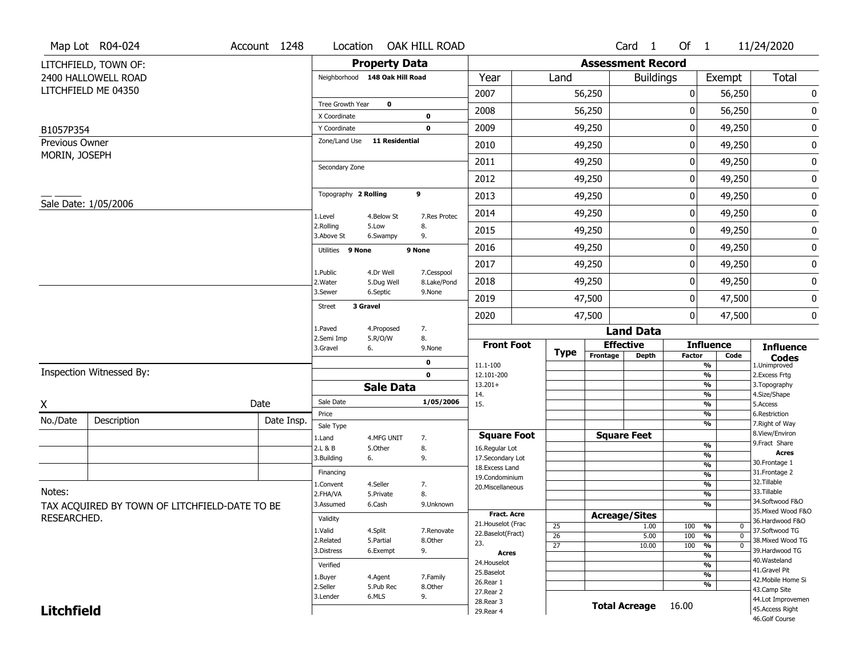| Of $1$                | 11/24/2020                                                                                                                                                                                               |
|-----------------------|----------------------------------------------------------------------------------------------------------------------------------------------------------------------------------------------------------|
|                       |                                                                                                                                                                                                          |
|                       | <b>Total</b>                                                                                                                                                                                             |
|                       | $\pmb{0}$                                                                                                                                                                                                |
|                       | 0                                                                                                                                                                                                        |
|                       |                                                                                                                                                                                                          |
|                       | $\pmb{0}$                                                                                                                                                                                                |
|                       | 0                                                                                                                                                                                                        |
| 49,250                | 0                                                                                                                                                                                                        |
| 49,250                | 0                                                                                                                                                                                                        |
| 49,250                | $\pmb{0}$                                                                                                                                                                                                |
| 49,250                | 0                                                                                                                                                                                                        |
| 49,250                | $\pmb{0}$                                                                                                                                                                                                |
| 49,250                | 0                                                                                                                                                                                                        |
| 49,250                | $\pmb{0}$                                                                                                                                                                                                |
|                       | 0                                                                                                                                                                                                        |
|                       | $\pmb{0}$                                                                                                                                                                                                |
|                       | 0                                                                                                                                                                                                        |
|                       |                                                                                                                                                                                                          |
| <b>Influence</b>      | <b>Influence</b>                                                                                                                                                                                         |
| <b>Factor</b><br>Code | <b>Codes</b>                                                                                                                                                                                             |
| $\frac{9}{6}$         | 1.Unimproved<br>2. Excess Frtg                                                                                                                                                                           |
| %                     | 3. Topography                                                                                                                                                                                            |
| $\frac{9}{6}$         | 4.Size/Shape<br>5.Access                                                                                                                                                                                 |
| %                     | 6.Restriction                                                                                                                                                                                            |
|                       | 7. Right of Way<br>8.View/Environ                                                                                                                                                                        |
| %                     | 9.Fract Share                                                                                                                                                                                            |
| %                     | <b>Acres</b><br>30. Frontage 1                                                                                                                                                                           |
|                       | 31. Frontage 2                                                                                                                                                                                           |
| $\frac{9}{6}$         | 32.Tillable                                                                                                                                                                                              |
| %                     | 33.Tillable<br>34.Softwood F&O                                                                                                                                                                           |
|                       | 35. Mixed Wood F&O                                                                                                                                                                                       |
|                       | 36.Hardwood F&O                                                                                                                                                                                          |
|                       | 37.Softwood TG                                                                                                                                                                                           |
| $\mathbf 0$           | 38. Mixed Wood TG                                                                                                                                                                                        |
| $\frac{9}{6}$         | 39.Hardwood TG                                                                                                                                                                                           |
| $\frac{9}{6}$         | 40. Wasteland<br>41.Gravel Pit                                                                                                                                                                           |
|                       | 42. Mobile Home Si                                                                                                                                                                                       |
|                       | 43.Camp Site                                                                                                                                                                                             |
|                       | 44.Lot Improvemen                                                                                                                                                                                        |
|                       | 45. Access Right<br>46.Golf Course                                                                                                                                                                       |
| 100<br>100            | Exempt<br>56,250<br>56,250<br>49,250<br>49,250<br>49,250<br>47,500<br>47,500<br>%<br>$\frac{9}{6}$<br>%<br>$\frac{9}{6}$<br>%<br>%<br>%<br>0<br>%<br>$\mathbf{0}$<br>$\frac{9}{6}$<br>$\frac{9}{6}$<br>% |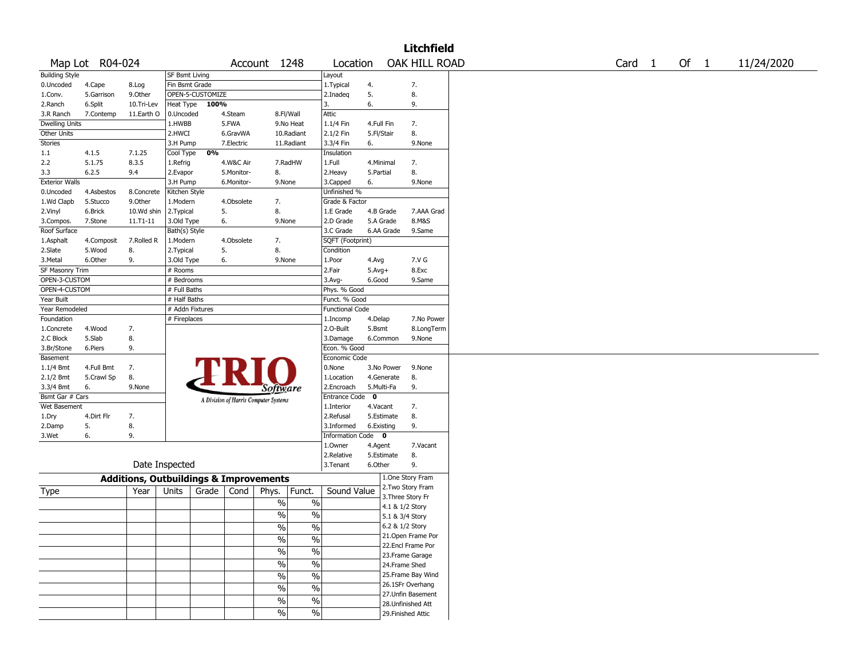|                       |                 |                                                   |                       |                  |            |                                       |               |                         |             |                 | Litchfield         |  |                   |        |            |
|-----------------------|-----------------|---------------------------------------------------|-----------------------|------------------|------------|---------------------------------------|---------------|-------------------------|-------------|-----------------|--------------------|--|-------------------|--------|------------|
|                       | Map Lot R04-024 |                                                   |                       |                  |            | Account 1248                          |               | Location                |             |                 | OAK HILL ROAD      |  | Card <sub>1</sub> | Of $1$ | 11/24/2020 |
| <b>Building Style</b> |                 |                                                   | <b>SF Bsmt Living</b> |                  |            |                                       |               | Layout                  |             |                 |                    |  |                   |        |            |
| 0.Uncoded             | 4.Cape          | 8.Log                                             | Fin Bsmt Grade        |                  |            |                                       |               | 1.Typical               | 4.          |                 | 7.                 |  |                   |        |            |
| 1.Conv.               | 5.Garrison      | 9.Other                                           |                       | OPEN-5-CUSTOMIZE |            |                                       |               | 2.Inadeq                | 5.          |                 | 8.                 |  |                   |        |            |
| 2.Ranch               | 6.Split         | 10.Tri-Lev                                        | Heat Type             | 100%             |            |                                       |               | 3.                      | 6.          |                 | 9.                 |  |                   |        |            |
| 3.R Ranch             | 7.Contemp       | 11.Earth O                                        | 0.Uncoded             |                  | 4.Steam    |                                       | 8.Fl/Wall     | Attic                   |             |                 |                    |  |                   |        |            |
| <b>Dwelling Units</b> |                 |                                                   | 1.HWBB                |                  | 5.FWA      |                                       | 9.No Heat     | 1.1/4 Fin               | 4.Full Fin  |                 | 7.                 |  |                   |        |            |
| Other Units           |                 |                                                   | 2.HWCI                |                  | 6.GravWA   |                                       | 10.Radiant    | 2.1/2 Fin               | 5.Fl/Stair  |                 | 8.                 |  |                   |        |            |
| Stories               |                 |                                                   | 3.H Pump              |                  | 7.Electric |                                       | 11.Radiant    | 3.3/4 Fin               | 6.          |                 | 9.None             |  |                   |        |            |
| 1.1                   | 4.1.5           | 7.1.25                                            | Cool Type             | 0%               |            |                                       |               | Insulation              |             |                 |                    |  |                   |        |            |
| 2.2                   | 5.1.75          | 8.3.5                                             | 1.Refrig              |                  | 4.W&C Air  |                                       | 7.RadHW       | 1.Full                  |             | 4.Minimal       | 7.                 |  |                   |        |            |
| 3.3                   | 6.2.5           | 9.4                                               | 2.Evapor              |                  | 5.Monitor- | 8.                                    |               | 2. Heavy                | 5.Partial   |                 | 8.                 |  |                   |        |            |
| <b>Exterior Walls</b> |                 |                                                   | 3.H Pump              |                  | 6.Monitor- | 9.None                                |               | 3.Capped                | 6.          |                 | 9.None             |  |                   |        |            |
| 0.Uncoded             | 4.Asbestos      | 8.Concrete                                        | Kitchen Style         |                  |            |                                       |               | Unfinished %            |             |                 |                    |  |                   |        |            |
| 1.Wd Clapb            | 5.Stucco        | 9.Other                                           | 1.Modern              |                  | 4.Obsolete | 7.                                    |               | Grade & Factor          |             |                 |                    |  |                   |        |            |
| 2.Vinyl               | 6.Brick         | 10.Wd shin                                        | 2.Typical             |                  | 5.         | 8.                                    |               | 1.E Grade               |             | 4.B Grade       | 7.AAA Grad         |  |                   |        |            |
| 3.Compos.             | 7.Stone         | $11. T1 - 11$                                     | 3.Old Type            |                  | 6.         | 9.None                                |               | 2.D Grade               |             | 5.A Grade       | 8.M&S              |  |                   |        |            |
| Roof Surface          |                 |                                                   | Bath(s) Style         |                  |            |                                       |               | 3.C Grade               |             | 6.AA Grade      | 9.Same             |  |                   |        |            |
| 1.Asphalt             | 4.Composit      | 7.Rolled R                                        | 1.Modern              |                  | 4.Obsolete | 7.                                    |               | SQFT (Footprint)        |             |                 |                    |  |                   |        |            |
| 2.Slate               | 5.Wood          | 8.                                                | 2. Typical            |                  | 5.         | 8.                                    |               | Condition               |             |                 |                    |  |                   |        |            |
| 3.Metal               | 6.Other         | 9.                                                | 3.Old Type            |                  | 6.         | 9.None                                |               | 1.Poor                  | 4.Avg       |                 | 7.V G              |  |                   |        |            |
| SF Masonry Trim       |                 |                                                   | # Rooms               |                  |            |                                       |               | 2.Fair                  | $5.Avg+$    |                 | 8.Exc              |  |                   |        |            |
| OPEN-3-CUSTOM         |                 |                                                   | # Bedrooms            |                  |            |                                       |               | 3.Avg-                  | 6.Good      |                 | 9.Same             |  |                   |        |            |
| OPEN-4-CUSTOM         |                 |                                                   | # Full Baths          |                  |            |                                       |               | Phys. % Good            |             |                 |                    |  |                   |        |            |
| Year Built            |                 |                                                   | # Half Baths          |                  |            |                                       |               | Funct. % Good           |             |                 |                    |  |                   |        |            |
| Year Remodeled        |                 |                                                   | # Addn Fixtures       |                  |            |                                       |               | <b>Functional Code</b>  |             |                 |                    |  |                   |        |            |
| Foundation            |                 |                                                   | # Fireplaces          |                  |            |                                       |               | 1.Incomp                | 4.Delap     |                 | 7.No Power         |  |                   |        |            |
| 1.Concrete            | 4.Wood          | 7.                                                |                       |                  |            |                                       |               | 2.O-Built               | 5.Bsmt      |                 | 8.LongTerm         |  |                   |        |            |
| 2.C Block             | 5.Slab          | 8.                                                |                       |                  |            |                                       |               | 3.Damage                |             | 6.Common        | 9.None             |  |                   |        |            |
| 3.Br/Stone            | 6.Piers         | 9.                                                |                       |                  |            |                                       |               | Econ. % Good            |             |                 |                    |  |                   |        |            |
| Basement              |                 |                                                   |                       |                  |            |                                       |               | Economic Code           |             |                 |                    |  |                   |        |            |
| 1.1/4 Bmt             | 4.Full Bmt      | 7.                                                |                       |                  |            |                                       |               | 0.None                  |             | 3.No Power      | 9.None             |  |                   |        |            |
| 2.1/2 Bmt             | 5.Crawl Sp      | 8.                                                |                       |                  |            |                                       |               | 1.Location              |             | 4.Generate      | 8.                 |  |                   |        |            |
| 3.3/4 Bmt             | 6.              | 9.None                                            |                       |                  |            | <b>Software</b>                       |               | 2.Encroach              |             | 5.Multi-Fa      | 9.                 |  |                   |        |            |
| Bsmt Gar # Cars       |                 |                                                   |                       |                  |            |                                       |               | <b>Entrance Code</b>    | $\mathbf 0$ |                 |                    |  |                   |        |            |
| Wet Basement          |                 |                                                   |                       |                  |            | A Division of Harris Computer Systems |               | 1.Interior              | 4.Vacant    |                 | 7.                 |  |                   |        |            |
| 1.Dry                 | 4.Dirt Flr      | 7.                                                |                       |                  |            |                                       |               | 2.Refusal               |             | 5.Estimate      | 8.                 |  |                   |        |            |
| 2.Damp                | 5.              | 8.                                                |                       |                  |            |                                       |               | 3.Informed              |             | 6.Existing      | 9.                 |  |                   |        |            |
| 3.Wet                 | 6.              | 9.                                                |                       |                  |            |                                       |               | <b>Information Code</b> |             | $\mathbf{0}$    |                    |  |                   |        |            |
|                       |                 |                                                   |                       |                  |            |                                       |               | 1.0wner                 | 4.Agent     |                 | 7.Vacant           |  |                   |        |            |
|                       |                 |                                                   |                       |                  |            |                                       |               | 2.Relative              |             | 5.Estimate      | 8.                 |  |                   |        |            |
|                       |                 |                                                   | Date Inspected        |                  |            |                                       |               | 3.Tenant                | 6.Other     |                 | 9.                 |  |                   |        |            |
|                       |                 |                                                   |                       |                  |            |                                       |               |                         |             |                 | 1.One Story Fram   |  |                   |        |            |
|                       |                 | <b>Additions, Outbuildings &amp; Improvements</b> |                       |                  |            |                                       |               |                         |             |                 | 2. Two Story Fram  |  |                   |        |            |
| Type                  |                 | Year                                              | Units                 | Grade            | Cond       | Phys.                                 | Funct.        | Sound Value             |             |                 | 3. Three Story Fr  |  |                   |        |            |
|                       |                 |                                                   |                       |                  |            | $\%$                                  | $\%$          |                         |             |                 | 4.1 & 1/2 Story    |  |                   |        |            |
|                       |                 |                                                   |                       |                  |            | $\frac{1}{2}$                         | $\%$          |                         |             | 5.1 & 3/4 Story |                    |  |                   |        |            |
|                       |                 |                                                   |                       |                  |            |                                       |               |                         |             | 6.2 & 1/2 Story |                    |  |                   |        |            |
|                       |                 |                                                   |                       |                  |            | $\frac{1}{2}$                         | $\sqrt{6}$    |                         |             |                 | 21. Open Frame Por |  |                   |        |            |
|                       |                 |                                                   |                       |                  |            | $\%$                                  | $\frac{0}{0}$ |                         |             |                 | 22.Encl Frame Por  |  |                   |        |            |
|                       |                 |                                                   |                       |                  |            | $\%$                                  | $\%$          |                         |             |                 | 23. Frame Garage   |  |                   |        |            |
|                       |                 |                                                   |                       |                  |            | $\%$                                  | $\%$          |                         |             |                 |                    |  |                   |        |            |
|                       |                 |                                                   |                       |                  |            |                                       |               |                         |             |                 | 24.Frame Shed      |  |                   |        |            |
|                       |                 |                                                   |                       |                  |            | $\%$                                  | $\%$          |                         |             |                 | 25. Frame Bay Wind |  |                   |        |            |
|                       |                 |                                                   |                       |                  |            | $\%$                                  | $\%$          |                         |             |                 | 26.1SFr Overhang   |  |                   |        |            |
|                       |                 |                                                   |                       |                  |            | $\%$                                  | $\%$          |                         |             |                 | 27. Unfin Basement |  |                   |        |            |
|                       |                 |                                                   |                       |                  |            |                                       |               |                         |             |                 | 28. Unfinished Att |  |                   |        |            |
|                       |                 |                                                   |                       |                  |            | $\sqrt{6}$                            | $\frac{1}{2}$ |                         |             |                 | 29. Finished Attic |  |                   |        |            |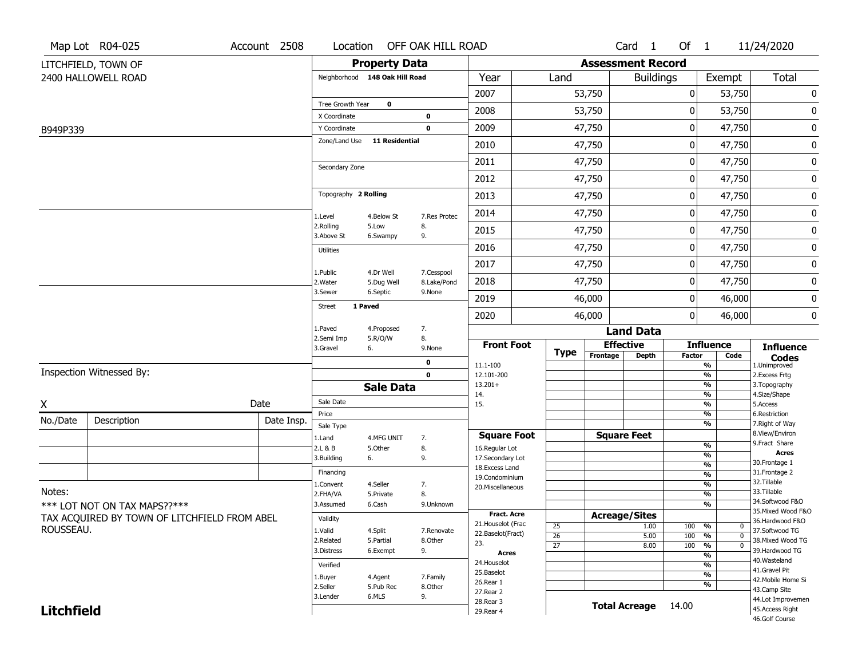|                   | Map Lot R04-025                              | Account 2508 | Location                |                                | OFF OAK HILL ROAD         |                                      |                 |                          | Card <sub>1</sub>    | Of $1$        |                                | 11/24/2020                           |
|-------------------|----------------------------------------------|--------------|-------------------------|--------------------------------|---------------------------|--------------------------------------|-----------------|--------------------------|----------------------|---------------|--------------------------------|--------------------------------------|
|                   | LITCHFIELD, TOWN OF                          |              |                         | <b>Property Data</b>           |                           |                                      |                 | <b>Assessment Record</b> |                      |               |                                |                                      |
|                   | 2400 HALLOWELL ROAD                          |              |                         | Neighborhood 148 Oak Hill Road |                           | Year                                 | Land            |                          | <b>Buildings</b>     |               | Exempt                         | <b>Total</b>                         |
|                   |                                              |              |                         |                                |                           | 2007                                 |                 | 53,750                   |                      | 0             | 53,750                         | 0                                    |
|                   |                                              |              | Tree Growth Year        | $\mathbf 0$                    |                           | 2008                                 |                 | 53,750                   |                      | 0             | 53,750                         | 0                                    |
|                   |                                              |              | X Coordinate            |                                | $\bf{0}$                  |                                      |                 |                          |                      |               |                                |                                      |
| B949P339          |                                              |              | Y Coordinate            |                                | $\mathbf 0$               | 2009                                 |                 | 47,750                   |                      | 0             | 47,750                         | 0                                    |
|                   |                                              |              | Zone/Land Use           | 11 Residential                 |                           | 2010                                 |                 | 47,750                   |                      | 0             | 47,750                         | 0                                    |
|                   |                                              |              | Secondary Zone          |                                |                           | 2011                                 |                 | 47,750                   |                      | 0             | 47,750                         | 0                                    |
|                   |                                              |              |                         |                                |                           | 2012                                 |                 | 47,750                   |                      | 0             | 47,750                         | $\pmb{0}$                            |
|                   |                                              |              | Topography 2 Rolling    |                                |                           | 2013                                 |                 | 47,750                   |                      | 0             | 47,750                         | 0                                    |
|                   |                                              |              | 1.Level                 | 4.Below St                     | 7.Res Protec              | 2014                                 |                 | 47,750                   |                      | 0             | 47,750                         | 0                                    |
|                   |                                              |              | 2.Rolling<br>3.Above St | 5.Low<br>6.Swampy              | 8.<br>9.                  | 2015                                 |                 | 47,750                   |                      | 0             | 47,750                         | 0                                    |
|                   |                                              |              | <b>Utilities</b>        |                                |                           | 2016                                 |                 | 47,750                   |                      | 0             | 47,750                         | 0                                    |
|                   |                                              |              |                         |                                |                           | 2017                                 |                 | 47,750                   |                      | 0             | 47,750                         | 0                                    |
|                   |                                              |              | 1.Public<br>2. Water    | 4.Dr Well<br>5.Dug Well        | 7.Cesspool<br>8.Lake/Pond | 2018                                 |                 | 47,750                   |                      | 0             | 47,750                         | 0                                    |
|                   |                                              |              | 3.Sewer                 | 6.Septic                       | 9.None                    | 2019                                 |                 | 46,000                   |                      | 0             | 46,000                         | 0                                    |
|                   |                                              |              | <b>Street</b>           | 1 Paved                        |                           | 2020                                 |                 | 46,000                   |                      | 0             | 46,000                         | 0                                    |
|                   |                                              |              | 1.Paved                 | 4.Proposed                     | 7.                        |                                      |                 |                          | <b>Land Data</b>     |               |                                |                                      |
|                   |                                              |              | 2.Semi Imp<br>3.Gravel  | 5.R/O/W<br>6.                  | 8.<br>9.None              | <b>Front Foot</b>                    |                 |                          | <b>Effective</b>     |               | <b>Influence</b>               | <b>Influence</b>                     |
|                   |                                              |              |                         |                                | 0                         | 11.1-100                             | <b>Type</b>     | Frontage                 | <b>Depth</b>         | <b>Factor</b> | Code<br>%                      | <b>Codes</b><br>1.Unimproved         |
|                   | Inspection Witnessed By:                     |              |                         |                                | $\mathbf 0$               | 12.101-200                           |                 |                          |                      |               | %                              | 2.Excess Frtg                        |
|                   |                                              |              |                         | <b>Sale Data</b>               |                           | $13.201+$                            |                 |                          |                      |               | %                              | 3. Topography                        |
| X                 |                                              | Date         | Sale Date               |                                |                           | 14.<br>15.                           |                 |                          |                      |               | %<br>%                         | 4.Size/Shape<br>5.Access             |
| No./Date          | Description                                  | Date Insp.   | Price                   |                                |                           |                                      |                 |                          |                      |               | $\frac{9}{6}$                  | 6.Restriction                        |
|                   |                                              |              | Sale Type               |                                |                           |                                      |                 |                          | <b>Square Feet</b>   |               | %                              | 7. Right of Way<br>8.View/Environ    |
|                   |                                              |              | 1.Land<br>2.L & B       | 4.MFG UNIT<br>5.Other          | 7.<br>8.                  | <b>Square Foot</b><br>16.Regular Lot |                 |                          |                      |               | $\frac{9}{6}$                  | 9.Fract Share                        |
|                   |                                              |              | 3.Building              | 6.                             | 9.                        | 17.Secondary Lot                     |                 |                          |                      |               | $\frac{9}{6}$                  | <b>Acres</b>                         |
|                   |                                              |              | Financing               |                                |                           | 18.Excess Land                       |                 |                          |                      |               | $\frac{9}{6}$                  | 30.Frontage 1<br>31. Frontage 2      |
|                   |                                              |              | 1.Convent               | 4.Seller                       | 7.                        | 19.Condominium                       |                 |                          |                      |               | $\frac{9}{6}$<br>$\frac{9}{6}$ | 32. Tillable                         |
| Notes:            |                                              |              | 2.FHA/VA                | 5.Private                      | 8.                        | 20.Miscellaneous                     |                 |                          |                      |               | $\frac{9}{6}$                  | 33.Tillable                          |
|                   | *** LOT NOT ON TAX MAPS??***                 |              | 3.Assumed               | 6.Cash                         | 9.Unknown                 |                                      |                 |                          |                      |               | $\frac{9}{6}$                  | 34.Softwood F&O                      |
|                   | TAX ACQUIRED BY TOWN OF LITCHFIELD FROM ABEL |              | Validity                |                                |                           | Fract. Acre                          |                 | <b>Acreage/Sites</b>     |                      |               |                                | 35. Mixed Wood F&O                   |
| ROUSSEAU.         |                                              |              |                         |                                |                           | 21. Houselot (Frac                   | 25              |                          | 1.00                 | 100           | %<br>0                         | 36.Hardwood F&O                      |
|                   |                                              |              | 1.Valid<br>2.Related    | 4.Split<br>5.Partial           | 7.Renovate<br>8.Other     | 22.Baselot(Fract)                    | $\overline{26}$ |                          | 5.00                 | 100           | %<br>$\mathbf 0$               | 37.Softwood TG<br>38. Mixed Wood TG  |
|                   |                                              |              | 3.Distress              | 6.Exempt                       | 9.                        | 23.                                  | $\overline{27}$ |                          | 8.00                 | 100           | $\frac{9}{6}$<br>$\mathbf 0$   | 39.Hardwood TG                       |
|                   |                                              |              |                         |                                |                           | <b>Acres</b><br>24. Houselot         |                 |                          |                      |               | $\frac{9}{6}$                  | 40. Wasteland                        |
|                   |                                              |              | Verified                |                                |                           | 25.Baselot                           |                 |                          |                      |               | $\frac{9}{6}$<br>$\frac{9}{6}$ | 41.Gravel Pit                        |
|                   |                                              |              | 1.Buyer<br>2.Seller     | 4.Agent                        | 7.Family                  | 26.Rear 1                            |                 |                          |                      |               | %                              | 42. Mobile Home Si                   |
|                   |                                              |              |                         | 5.Pub Rec<br>6.MLS             | 8.Other<br>9.             | 27.Rear 2                            |                 |                          |                      |               |                                | 43.Camp Site                         |
|                   |                                              |              | 3.Lender                |                                |                           | 28. Rear 3                           |                 |                          | <b>Total Acreage</b> | 14.00         |                                | 44.Lot Improvemen<br>45.Access Right |
| <b>Litchfield</b> |                                              |              |                         |                                | 29. Rear 4                |                                      |                 |                          |                      |               | 46.Golf Course                 |                                      |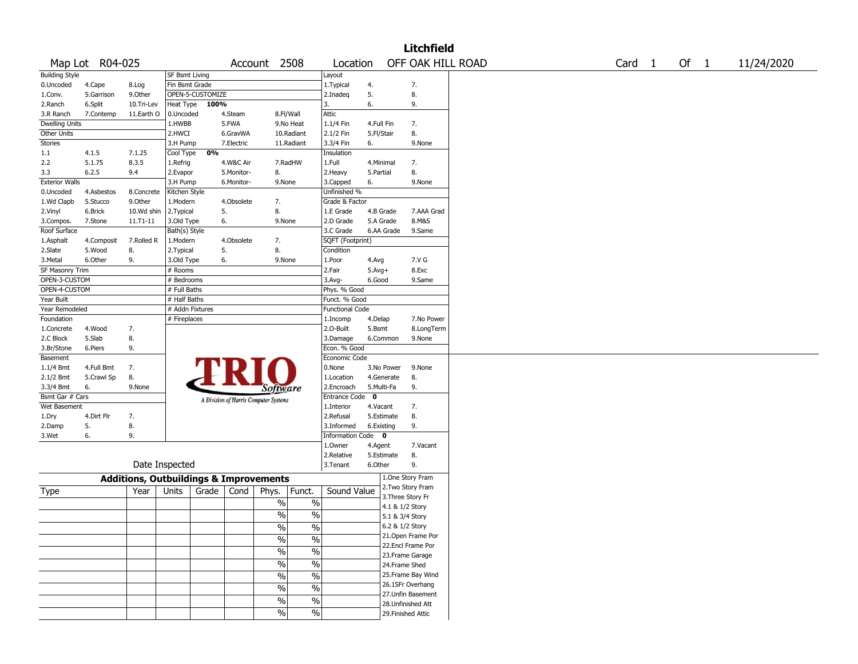|                       |                 |                                                   |                 |                  |            |                                       |                          |                        |              |            | Litchfield         |  |                   |        |            |
|-----------------------|-----------------|---------------------------------------------------|-----------------|------------------|------------|---------------------------------------|--------------------------|------------------------|--------------|------------|--------------------|--|-------------------|--------|------------|
|                       | Map Lot R04-025 |                                                   |                 |                  |            | Account 2508                          |                          | Location               |              |            | OFF OAK HILL ROAD  |  | Card <sub>1</sub> | Of $1$ | 11/24/2020 |
| <b>Building Style</b> |                 |                                                   | SF Bsmt Living  |                  |            |                                       |                          | Layout                 |              |            |                    |  |                   |        |            |
| 0.Uncoded             | 4.Cape          | 8.Log                                             | Fin Bsmt Grade  |                  |            |                                       |                          | 1. Typical             | 4.           |            | 7.                 |  |                   |        |            |
| 1.Conv.               | 5.Garrison      | 9.0ther                                           |                 | OPEN-5-CUSTOMIZE |            |                                       |                          | 2.Inadeq               | 5.           |            | 8.                 |  |                   |        |            |
| 2.Ranch               | 6.Split         | 10.Tri-Lev                                        | Heat Type       | 100%             |            |                                       |                          | 3.                     | 6.           |            | 9.                 |  |                   |        |            |
| 3.R Ranch             | 7.Contemp       | 11.Earth O                                        | 0.Uncoded       |                  | 4.Steam    | 8.Fl/Wall                             |                          | Attic                  |              |            |                    |  |                   |        |            |
| <b>Dwelling Units</b> |                 |                                                   | 1.HWBB          |                  | 5.FWA      |                                       | 9.No Heat                | 1.1/4 Fin              | 4.Full Fin   |            | 7.                 |  |                   |        |            |
| Other Units           |                 |                                                   | 2.HWCI          |                  | 6.GravWA   |                                       | 10.Radiant               | 2.1/2 Fin              | 5.Fl/Stair   |            | 8.                 |  |                   |        |            |
| Stories               |                 |                                                   | 3.H Pump        |                  | 7.Electric |                                       | 11.Radiant               | 3.3/4 Fin              | 6.           |            | 9.None             |  |                   |        |            |
| 1.1                   | 4.1.5           | 7.1.25                                            | Cool Type       | 0%               |            |                                       |                          | Insulation             |              |            |                    |  |                   |        |            |
| 2.2                   | 5.1.75          | 8.3.5                                             | 1.Refrig        |                  | 4.W&C Air  |                                       | 7.RadHW                  | 1.Full                 | 4.Minimal    |            | 7.                 |  |                   |        |            |
| 3.3                   | 6.2.5           | 9.4                                               | 2.Evapor        |                  | 5.Monitor- | 8.                                    |                          | 2.Heavy                | 5.Partial    |            | 8.                 |  |                   |        |            |
| <b>Exterior Walls</b> |                 |                                                   | 3.H Pump        |                  | 6.Monitor- | 9.None                                |                          | 3.Capped               | 6.           |            | 9.None             |  |                   |        |            |
| 0.Uncoded             | 4.Asbestos      | 8.Concrete                                        | Kitchen Style   |                  |            |                                       |                          | Unfinished %           |              |            |                    |  |                   |        |            |
| 1.Wd Clapb            | 5.Stucco        | 9.0ther                                           | 1.Modern        |                  | 4.Obsolete | 7.                                    |                          | Grade & Factor         |              |            |                    |  |                   |        |            |
| 2.Vinyl               | 6.Brick         | 10.Wd shin                                        | 2. Typical      | 5.               |            | 8.                                    |                          | 1.E Grade              | 4.B Grade    |            | 7.AAA Grad         |  |                   |        |            |
| 3.Compos.             | 7.Stone         | 11.T1-11                                          | 3.Old Type      | 6.               |            | 9.None                                |                          | 2.D Grade              | 5.A Grade    |            | 8.M&S              |  |                   |        |            |
| Roof Surface          |                 |                                                   | Bath(s) Style   |                  |            |                                       |                          | 3.C Grade              |              | 6.AA Grade | 9.Same             |  |                   |        |            |
| 1.Asphalt             | 4.Composit      | 7.Rolled R                                        | 1.Modern        |                  | 4.Obsolete | 7.                                    |                          | SQFT (Footprint)       |              |            |                    |  |                   |        |            |
| 2.Slate               | 5.Wood          | 8.                                                | 2. Typical      | 5.               |            | 8.                                    |                          | Condition              |              |            |                    |  |                   |        |            |
| 3.Metal               | 6.Other         | 9.                                                | 3.Old Type      | 6.               |            | 9.None                                |                          | 1.Poor                 | 4.Avg        |            | 7.V G              |  |                   |        |            |
| SF Masonry Trim       |                 |                                                   | # Rooms         |                  |            |                                       |                          | 2.Fair                 | $5.$ Avg $+$ |            | 8.Exc              |  |                   |        |            |
| OPEN-3-CUSTOM         |                 |                                                   | # Bedrooms      |                  |            |                                       |                          | 3.Avg-                 | 6.Good       |            | 9.Same             |  |                   |        |            |
| OPEN-4-CUSTOM         |                 |                                                   | # Full Baths    |                  |            |                                       |                          | Phys. % Good           |              |            |                    |  |                   |        |            |
| Year Built            |                 |                                                   | # Half Baths    |                  |            |                                       |                          | Funct. % Good          |              |            |                    |  |                   |        |            |
| Year Remodeled        |                 |                                                   | # Addn Fixtures |                  |            |                                       |                          | <b>Functional Code</b> |              |            |                    |  |                   |        |            |
| Foundation            |                 |                                                   | # Fireplaces    |                  |            |                                       |                          | 1.Incomp               | 4.Delap      |            | 7.No Power         |  |                   |        |            |
| 1.Concrete            | 4.Wood          | 7.                                                |                 |                  |            |                                       |                          | 2.O-Built              | 5.Bsmt       |            | 8.LongTerm         |  |                   |        |            |
| 2.C Block             | 5.Slab          | 8.                                                |                 |                  |            |                                       |                          | 3.Damage               |              | 6.Common   | 9.None             |  |                   |        |            |
| 3.Br/Stone            | 6.Piers         | 9.                                                |                 |                  |            |                                       |                          | Econ. % Good           |              |            |                    |  |                   |        |            |
| Basement              |                 |                                                   |                 |                  |            |                                       |                          | Economic Code          |              |            |                    |  |                   |        |            |
| 1.1/4 Bmt             | 4.Full Bmt      | 7.                                                |                 |                  |            |                                       |                          | 0.None                 |              | 3.No Power | 9.None             |  |                   |        |            |
| 2.1/2 Bmt             | 5.Crawl Sp      | 8.                                                |                 |                  |            |                                       |                          | 1.Location             |              | 4.Generate | 8.                 |  |                   |        |            |
| 3.3/4 Bmt             | 6.              | 9.None                                            |                 |                  |            | Software                              |                          | 2.Encroach             | 5.Multi-Fa   |            | 9.                 |  |                   |        |            |
| Bsmt Gar # Cars       |                 |                                                   |                 |                  |            | A Division of Harris Computer Systems |                          | Entrance Code          | $\mathbf 0$  |            |                    |  |                   |        |            |
| Wet Basement          |                 |                                                   |                 |                  |            |                                       |                          | 1.Interior             | 4.Vacant     |            | 7.                 |  |                   |        |            |
| 1.Dry                 | 4.Dirt Flr      | 7.                                                |                 |                  |            |                                       |                          | 2.Refusal              |              | 5.Estimate | 8.                 |  |                   |        |            |
| 2.Damp                | 5.              | 8.                                                |                 |                  |            |                                       |                          | 3.Informed             | 6.Existing   |            | 9.                 |  |                   |        |            |
| 3.Wet                 | 6.              | 9.                                                |                 |                  |            |                                       |                          | Information Code 0     |              |            |                    |  |                   |        |            |
|                       |                 |                                                   |                 |                  |            |                                       |                          | 1.0wner                | 4.Agent      |            | 7.Vacant           |  |                   |        |            |
|                       |                 |                                                   |                 |                  |            |                                       |                          | 2.Relative             |              | 5.Estimate | 8.                 |  |                   |        |            |
|                       |                 |                                                   | Date Inspected  |                  |            |                                       |                          | 3.Tenant               | 6.Other      |            | 9.                 |  |                   |        |            |
|                       |                 | <b>Additions, Outbuildings &amp; Improvements</b> |                 |                  |            |                                       |                          |                        |              |            | 1.One Story Fram   |  |                   |        |            |
| Type                  |                 | Year                                              | Units           | Grade            | Cond       | Phys.                                 | Funct.                   | Sound Value            |              |            | 2. Two Story Fram  |  |                   |        |            |
|                       |                 |                                                   |                 |                  |            |                                       |                          |                        |              |            | 3. Three Story Fr  |  |                   |        |            |
|                       |                 |                                                   |                 |                  |            | %                                     | $\%$                     |                        |              |            | 4.1 & 1/2 Story    |  |                   |        |            |
|                       |                 |                                                   |                 |                  |            | %                                     | $\%$                     |                        |              |            | 5.1 & 3/4 Story    |  |                   |        |            |
|                       |                 |                                                   |                 |                  |            | $\frac{0}{0}$                         | $\%$                     |                        |              |            | 6.2 & 1/2 Story    |  |                   |        |            |
|                       |                 |                                                   |                 |                  |            | $\sqrt{6}$                            | $\frac{0}{0}$            |                        |              |            | 21. Open Frame Por |  |                   |        |            |
|                       |                 |                                                   |                 |                  |            |                                       |                          |                        |              |            | 22.Encl Frame Por  |  |                   |        |            |
|                       |                 |                                                   |                 |                  |            | $\frac{0}{6}$                         | $\overline{\frac{0}{6}}$ |                        |              |            | 23. Frame Garage   |  |                   |        |            |
|                       |                 |                                                   |                 |                  |            | $\sqrt{6}$                            | $\frac{1}{2}$            |                        |              |            | 24.Frame Shed      |  |                   |        |            |
|                       |                 |                                                   |                 |                  |            | $\sqrt{6}$                            | $\overline{\frac{0}{6}}$ |                        |              |            | 25. Frame Bay Wind |  |                   |        |            |
|                       |                 |                                                   |                 |                  |            | $\%$                                  | $\%$                     |                        |              |            | 26.1SFr Overhang   |  |                   |        |            |
|                       |                 |                                                   |                 |                  |            |                                       |                          |                        |              |            | 27.Unfin Basement  |  |                   |        |            |
|                       |                 |                                                   |                 |                  |            | $\sqrt{6}$                            | $\sqrt{6}$               |                        |              |            | 28. Unfinished Att |  |                   |        |            |
|                       |                 |                                                   |                 |                  |            | $\frac{9}{6}$                         | $\sqrt{6}$               |                        |              |            | 29. Finished Attic |  |                   |        |            |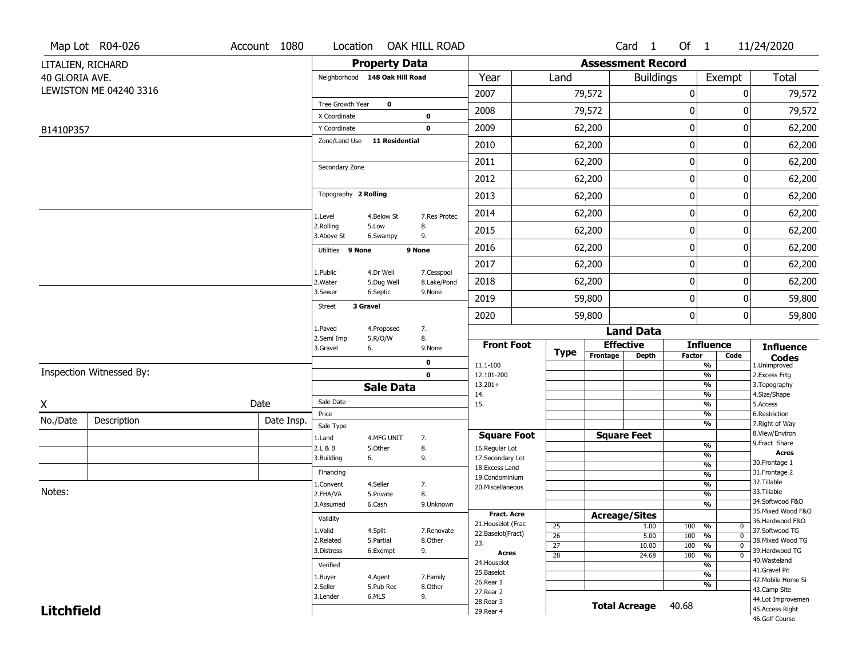|                   | Map Lot R04-026          | Account 1080 | Location                       |                         | OAK HILL ROAD              |                                  |                       |                          | Card 1               | Of $1$               |                                 | 11/24/2020                        |
|-------------------|--------------------------|--------------|--------------------------------|-------------------------|----------------------------|----------------------------------|-----------------------|--------------------------|----------------------|----------------------|---------------------------------|-----------------------------------|
|                   | LITALIEN, RICHARD        |              |                                | <b>Property Data</b>    |                            |                                  |                       | <b>Assessment Record</b> |                      |                      |                                 |                                   |
| 40 GLORIA AVE.    |                          |              | Neighborhood 148 Oak Hill Road |                         |                            | Year                             | Land                  |                          | <b>Buildings</b>     |                      | Exempt                          | <b>Total</b>                      |
|                   | LEWISTON ME 04240 3316   |              |                                |                         |                            | 2007                             |                       | 79,572                   |                      | 0                    | 0                               | 79,572                            |
|                   |                          |              | Tree Growth Year               | $\mathbf 0$             |                            | 2008                             |                       | 79,572                   |                      | 0                    | 0                               | 79,572                            |
|                   |                          |              | X Coordinate<br>Y Coordinate   |                         | $\mathbf 0$<br>$\mathbf 0$ | 2009                             |                       | 62,200                   |                      | 0                    | 0                               | 62,200                            |
| B1410P357         |                          |              | Zone/Land Use                  | <b>11 Residential</b>   |                            | 2010                             |                       | 62,200                   |                      | 0                    | 0                               | 62,200                            |
|                   |                          |              |                                |                         |                            |                                  |                       |                          |                      | 0                    |                                 |                                   |
|                   |                          |              | Secondary Zone                 |                         |                            | 2011                             |                       | 62,200                   |                      |                      | 0                               | 62,200                            |
|                   |                          |              |                                |                         |                            | 2012                             |                       | 62,200                   |                      | 0                    | 0                               | 62,200                            |
|                   |                          |              | Topography 2 Rolling           |                         |                            | 2013                             |                       | 62,200                   |                      | 0                    | 0                               | 62,200                            |
|                   |                          |              | 1.Level                        | 4.Below St              | 7.Res Protec               | 2014                             |                       | 62,200                   |                      | 0                    | 0                               | 62,200                            |
|                   |                          |              | 2.Rolling<br>3.Above St        | 5.Low<br>6.Swampy       | 8.<br>9.                   | 2015                             |                       | 62,200                   |                      | 0                    | 0                               | 62,200                            |
|                   |                          |              | Utilities 9 None               |                         | 9 None                     | 2016                             |                       | 62,200                   |                      | 0                    | 0                               | 62,200                            |
|                   |                          |              |                                |                         |                            | 2017                             |                       | 62,200                   |                      | 0                    | 0                               | 62,200                            |
|                   |                          |              | 1.Public<br>2. Water           | 4.Dr Well<br>5.Dug Well | 7.Cesspool<br>8.Lake/Pond  | 2018                             |                       | 62,200                   |                      | 0                    | 0                               | 62,200                            |
|                   |                          |              | 3.Sewer                        | 6.Septic                | 9.None                     | 2019                             |                       | 59,800                   |                      | 0                    | 0                               | 59,800                            |
|                   |                          |              | <b>Street</b>                  | 3 Gravel                |                            | 2020                             |                       | 59,800                   |                      | 0                    | 0                               | 59,800                            |
|                   |                          |              | 1.Paved                        | 4.Proposed              | 7.                         |                                  |                       |                          | <b>Land Data</b>     |                      |                                 |                                   |
|                   |                          |              | 2.Semi Imp<br>3.Gravel         | 5.R/O/W<br>6.           | 8.<br>9.None               | <b>Front Foot</b>                |                       |                          | <b>Effective</b>     |                      | <b>Influence</b>                | <b>Influence</b>                  |
|                   |                          |              |                                |                         | 0                          | 11.1-100                         | <b>Type</b>           | Frontage                 | Depth                | <b>Factor</b>        | Code<br>$\frac{9}{6}$           | <b>Codes</b><br>1.Unimproved      |
|                   | Inspection Witnessed By: |              |                                |                         | $\mathbf 0$                | 12.101-200                       |                       |                          |                      |                      | $\frac{9}{6}$                   | 2.Excess Frtg                     |
|                   |                          |              |                                | <b>Sale Data</b>        |                            | $13.201+$<br>14.                 |                       |                          |                      |                      | $\frac{9}{6}$<br>$\frac{9}{6}$  | 3. Topography<br>4.Size/Shape     |
| X                 |                          | Date         | Sale Date                      |                         |                            | 15.                              |                       |                          |                      |                      | $\frac{9}{6}$                   | 5.Access                          |
| No./Date          | Description              | Date Insp.   | Price                          |                         |                            |                                  |                       |                          |                      |                      | %<br>%                          | 6.Restriction<br>7. Right of Way  |
|                   |                          |              | Sale Type<br>1.Land            | 4.MFG UNIT              | 7.                         | <b>Square Foot</b>               |                       |                          | <b>Square Feet</b>   |                      |                                 | 8.View/Environ                    |
|                   |                          |              | 2.L & B                        | 5.Other                 | 8.                         | 16.Regular Lot                   |                       |                          |                      |                      | %                               | 9.Fract Share<br>Acres            |
|                   |                          |              | 3.Building                     | 6.                      | 9.                         | 17.Secondary Lot                 |                       |                          |                      |                      | %<br>$\frac{9}{6}$              | 30. Frontage 1                    |
|                   |                          |              | Financing                      |                         |                            | 18.Excess Land<br>19.Condominium |                       |                          |                      |                      | $\frac{9}{6}$                   | 31. Frontage 2                    |
|                   |                          |              | 1.Convent                      | 4.Seller                | 7.                         | 20.Miscellaneous                 |                       |                          |                      |                      | $\frac{9}{6}$                   | 32.Tillable                       |
| Notes:            |                          |              | 2.FHA/VA                       | 5.Private               | 8.                         |                                  |                       |                          |                      |                      | $\frac{9}{6}$                   | 33.Tillable<br>34.Softwood F&O    |
|                   |                          |              | 3.Assumed                      | 6.Cash                  | 9.Unknown                  | <b>Fract. Acre</b>               |                       |                          |                      |                      | $\frac{9}{6}$                   | 35. Mixed Wood F&O                |
|                   |                          |              | Validity                       |                         |                            | 21. Houselot (Frac               |                       |                          | <b>Acreage/Sites</b> |                      |                                 | 36.Hardwood F&O                   |
|                   |                          |              | 1.Valid                        | 4.Split                 | 7.Renovate                 | 22.Baselot(Fract)                | 25<br>$\overline{26}$ |                          | 1.00<br>5.00         | 100<br>%<br>100<br>% | 0<br>$\mathbf{0}$               | 37.Softwood TG                    |
|                   |                          |              | 2.Related                      | 5.Partial               | 8.Other                    | 23.                              | $\overline{27}$       |                          | 10.00                | 100                  | $\frac{9}{6}$<br>$\mathbf 0$    | 38. Mixed Wood TG                 |
|                   |                          |              | 3.Distress                     | 6.Exempt                | 9.                         | Acres                            | $\overline{28}$       |                          | 24.68                | 100                  | $\frac{9}{6}$<br>$\overline{0}$ | 39.Hardwood TG                    |
|                   |                          |              | Verified                       |                         |                            | 24. Houselot                     |                       |                          |                      |                      | $\frac{9}{6}$                   | 40. Wasteland<br>41.Gravel Pit    |
|                   |                          |              | 1.Buyer                        | 4.Agent                 | 7.Family                   | 25.Baselot                       |                       |                          |                      |                      | $\frac{9}{6}$                   | 42. Mobile Home Si                |
|                   |                          |              |                                | 5.Pub Rec               | 8.Other                    | 26.Rear 1<br>27. Rear 2          |                       |                          |                      |                      | $\frac{9}{6}$                   | 43.Camp Site                      |
|                   |                          |              |                                | 6.MLS                   | 9.                         | 28.Rear 3                        |                       |                          |                      |                      |                                 | 44.Lot Improvemen                 |
| <b>Litchfield</b> |                          |              |                                |                         |                            | 29. Rear 4                       |                       |                          | <b>Total Acreage</b> | 40.68                |                                 | 45.Access Right<br>46.Golf Course |
|                   |                          |              |                                |                         |                            |                                  |                       |                          |                      |                      |                                 |                                   |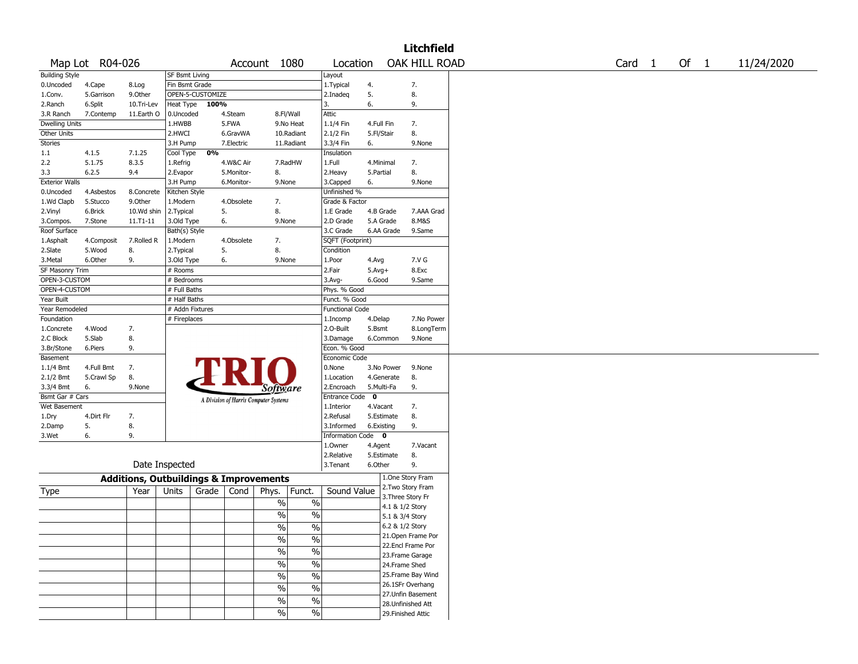|                       |                 |                                                   |                       |                  |            |                                       |               |                          |             |                 | <b>Litchfield</b>  |  |  |                   |      |            |
|-----------------------|-----------------|---------------------------------------------------|-----------------------|------------------|------------|---------------------------------------|---------------|--------------------------|-------------|-----------------|--------------------|--|--|-------------------|------|------------|
|                       | Map Lot R04-026 |                                                   |                       |                  |            | Account 1080                          |               | Location                 |             |                 | OAK HILL ROAD      |  |  | Card <sub>1</sub> | Of 1 | 11/24/2020 |
| <b>Building Style</b> |                 |                                                   | <b>SF Bsmt Living</b> |                  |            |                                       |               | Layout                   |             |                 |                    |  |  |                   |      |            |
| 0.Uncoded             | 4.Cape          | 8.Log                                             | Fin Bsmt Grade        |                  |            |                                       |               | 1.Typical                | 4.          |                 | 7.                 |  |  |                   |      |            |
| 1.Conv.               | 5.Garrison      | 9.0ther                                           |                       | OPEN-5-CUSTOMIZE |            |                                       |               | 2.Inadeg                 | 5.          |                 | 8.                 |  |  |                   |      |            |
| 2.Ranch               | 6.Split         | 10.Tri-Lev                                        | Heat Type             | 100%             |            |                                       |               | 3.                       | 6.          |                 | 9.                 |  |  |                   |      |            |
| 3.R Ranch             | 7.Contemp       | 11.Earth O                                        | 0.Uncoded             |                  | 4.Steam    |                                       | 8.Fl/Wall     | Attic                    |             |                 |                    |  |  |                   |      |            |
| <b>Dwelling Units</b> |                 |                                                   | 1.HWBB                |                  | 5.FWA      |                                       | 9.No Heat     | 1.1/4 Fin                | 4.Full Fin  |                 | 7.                 |  |  |                   |      |            |
| Other Units           |                 |                                                   | 2.HWCI                |                  | 6.GravWA   |                                       | 10.Radiant    | 2.1/2 Fin                | 5.Fl/Stair  |                 | 8.                 |  |  |                   |      |            |
| <b>Stories</b>        |                 |                                                   | 3.H Pump              |                  | 7.Electric |                                       | 11.Radiant    | 3.3/4 Fin                | 6.          |                 | 9.None             |  |  |                   |      |            |
| 1.1                   | 4.1.5           | 7.1.25                                            | Cool Type             | 0%               |            |                                       |               | Insulation               |             |                 |                    |  |  |                   |      |            |
| 2.2                   | 5.1.75          | 8.3.5                                             | 1.Refrig              |                  | 4.W&C Air  |                                       | 7.RadHW       | 1.Full                   | 4.Minimal   |                 | 7.                 |  |  |                   |      |            |
| 3.3                   | 6.2.5           | 9.4                                               | 2.Evapor              |                  | 5.Monitor- | 8.                                    |               | 2.Heavy                  | 5.Partial   |                 | 8.                 |  |  |                   |      |            |
| <b>Exterior Walls</b> |                 |                                                   | 3.H Pump              |                  | 6.Monitor- | 9.None                                |               | 3.Capped                 | 6.          |                 | 9.None             |  |  |                   |      |            |
| 0.Uncoded             | 4.Asbestos      | 8.Concrete                                        | Kitchen Style         |                  |            |                                       |               | Unfinished %             |             |                 |                    |  |  |                   |      |            |
| 1.Wd Clapb            | 5.Stucco        | 9.Other                                           | 1.Modern              |                  | 4.Obsolete | 7.                                    |               | Grade & Factor           |             |                 |                    |  |  |                   |      |            |
| 2.Vinyl               | 6.Brick         | 10.Wd shin                                        | 2.Typical             | 5.               |            | 8.                                    |               | 1.E Grade                | 4.B Grade   |                 | 7.AAA Grad         |  |  |                   |      |            |
| 3.Compos.             | 7.Stone         | 11.T1-11                                          | 3.Old Type            | 6.               |            | 9.None                                |               | 2.D Grade                | 5.A Grade   |                 | 8.M&S              |  |  |                   |      |            |
| Roof Surface          |                 |                                                   | Bath(s) Style         |                  |            |                                       |               | 3.C Grade                |             | 6.AA Grade      | 9.Same             |  |  |                   |      |            |
| 1.Asphalt             | 4.Composit      | 7.Rolled R                                        | 1.Modern              |                  | 4.Obsolete | 7.                                    |               | SQFT (Footprint)         |             |                 |                    |  |  |                   |      |            |
| 2.Slate               | 5.Wood          | 8.                                                | 2. Typical            | 5.               |            | 8.                                    |               | Condition                |             |                 |                    |  |  |                   |      |            |
| 3.Metal               | 6.Other         | 9.                                                | 3.Old Type            | 6.               |            | 9.None                                |               | 1.Poor                   | 4.Avg       |                 | 7.V G              |  |  |                   |      |            |
| SF Masonry Trim       |                 |                                                   | # Rooms               |                  |            |                                       |               | 2.Fair                   | $5.Avg+$    |                 | 8.Exc              |  |  |                   |      |            |
| OPEN-3-CUSTOM         |                 |                                                   | # Bedrooms            |                  |            |                                       |               | 3.Avg-                   | 6.Good      |                 | 9.Same             |  |  |                   |      |            |
| OPEN-4-CUSTOM         |                 |                                                   | # Full Baths          |                  |            |                                       |               | Phys. % Good             |             |                 |                    |  |  |                   |      |            |
| Year Built            |                 |                                                   | # Half Baths          |                  |            |                                       |               | Funct. % Good            |             |                 |                    |  |  |                   |      |            |
| Year Remodeled        |                 |                                                   | # Addn Fixtures       |                  |            |                                       |               | <b>Functional Code</b>   |             |                 |                    |  |  |                   |      |            |
| Foundation            |                 |                                                   | # Fireplaces          |                  |            |                                       |               |                          |             |                 | 7.No Power         |  |  |                   |      |            |
|                       |                 |                                                   |                       |                  |            |                                       |               | 1.Incomp                 | 4.Delap     |                 |                    |  |  |                   |      |            |
| 1.Concrete            | 4.Wood          | 7.                                                |                       |                  |            |                                       |               | 2.O-Built                | 5.Bsmt      |                 | 8.LongTerm         |  |  |                   |      |            |
| 2.C Block             | 5.Slab          | 8.                                                |                       |                  |            |                                       |               | 3.Damage<br>Econ. % Good |             | 6.Common        | 9.None             |  |  |                   |      |            |
| 3.Br/Stone            | 6.Piers         | 9.                                                |                       |                  |            |                                       |               |                          |             |                 |                    |  |  |                   |      |            |
| Basement              |                 |                                                   |                       |                  |            |                                       |               | Economic Code            |             |                 |                    |  |  |                   |      |            |
| $1.1/4$ Bmt           | 4.Full Bmt      | 7.                                                |                       |                  |            |                                       |               | 0.None                   |             | 3.No Power      | 9.None             |  |  |                   |      |            |
| 2.1/2 Bmt             | 5.Crawl Sp      | 8.                                                |                       |                  |            |                                       |               | 1.Location               |             | 4.Generate      | 8.                 |  |  |                   |      |            |
| 3.3/4 Bmt             | 6.              | 9.None                                            |                       |                  |            | <i>Software</i>                       |               | 2.Encroach               | 5.Multi-Fa  |                 | 9.                 |  |  |                   |      |            |
| Bsmt Gar # Cars       |                 |                                                   |                       |                  |            | A Division of Harris Computer Systems |               | <b>Entrance Code</b>     | $\mathbf 0$ |                 |                    |  |  |                   |      |            |
| Wet Basement          |                 |                                                   |                       |                  |            |                                       |               | 1.Interior               | 4.Vacant    |                 | 7.                 |  |  |                   |      |            |
| 1.Dry                 | 4.Dirt Flr      | 7.                                                |                       |                  |            |                                       |               | 2.Refusal                |             | 5.Estimate      | 8.                 |  |  |                   |      |            |
| 2.Damp                | 5.              | 8.                                                |                       |                  |            |                                       |               | 3.Informed               | 6.Existing  |                 | 9.                 |  |  |                   |      |            |
| 3.Wet                 | 6.              | 9.                                                |                       |                  |            |                                       |               | Information Code 0       |             |                 |                    |  |  |                   |      |            |
|                       |                 |                                                   |                       |                  |            |                                       |               | 1.Owner                  | 4.Agent     |                 | 7.Vacant           |  |  |                   |      |            |
|                       |                 |                                                   |                       |                  |            |                                       |               | 2.Relative               | 5.Estimate  |                 | 8.                 |  |  |                   |      |            |
|                       |                 | Date Inspected                                    |                       |                  |            |                                       |               | 3.Tenant                 | 6.Other     |                 | 9.                 |  |  |                   |      |            |
|                       |                 | <b>Additions, Outbuildings &amp; Improvements</b> |                       |                  |            |                                       |               |                          |             |                 | 1.One Story Fram   |  |  |                   |      |            |
| Type                  |                 | Year                                              | Units                 | Grade            | Cond       | Phys.                                 | Funct.        | Sound Value              |             |                 | 2. Two Story Fram  |  |  |                   |      |            |
|                       |                 |                                                   |                       |                  |            | $\%$                                  | $\%$          |                          |             |                 | 3. Three Story Fr  |  |  |                   |      |            |
|                       |                 |                                                   |                       |                  |            | %                                     | $\%$          |                          |             | 4.1 & 1/2 Story |                    |  |  |                   |      |            |
|                       |                 |                                                   |                       |                  |            |                                       |               |                          |             | 5.1 & 3/4 Story |                    |  |  |                   |      |            |
|                       |                 |                                                   |                       |                  |            | $\frac{1}{2}$                         | $\frac{0}{6}$ |                          |             | 6.2 & 1/2 Story |                    |  |  |                   |      |            |
|                       |                 |                                                   |                       |                  |            | $\%$                                  | $\%$          |                          |             |                 | 21. Open Frame Por |  |  |                   |      |            |
|                       |                 |                                                   |                       |                  |            | $\sqrt{6}$                            | $\%$          |                          |             |                 | 22.Encl Frame Por  |  |  |                   |      |            |
|                       |                 |                                                   |                       |                  |            |                                       |               |                          |             |                 | 23. Frame Garage   |  |  |                   |      |            |
|                       |                 |                                                   |                       |                  |            | $\frac{1}{2}$                         | $\%$          |                          |             | 24.Frame Shed   |                    |  |  |                   |      |            |
|                       |                 |                                                   |                       |                  |            | $\sqrt{6}$                            | $\%$          |                          |             |                 | 25. Frame Bay Wind |  |  |                   |      |            |
|                       |                 |                                                   |                       |                  |            | $\%$                                  | $\%$          |                          |             |                 | 26.1SFr Overhang   |  |  |                   |      |            |
|                       |                 |                                                   |                       |                  |            |                                       |               |                          |             |                 | 27.Unfin Basement  |  |  |                   |      |            |
|                       |                 |                                                   |                       |                  |            | $\sqrt{6}$                            | $\%$          |                          |             |                 | 28. Unfinished Att |  |  |                   |      |            |
|                       |                 |                                                   |                       |                  |            | $\%$                                  | $\%$          |                          |             |                 | 29. Finished Attic |  |  |                   |      |            |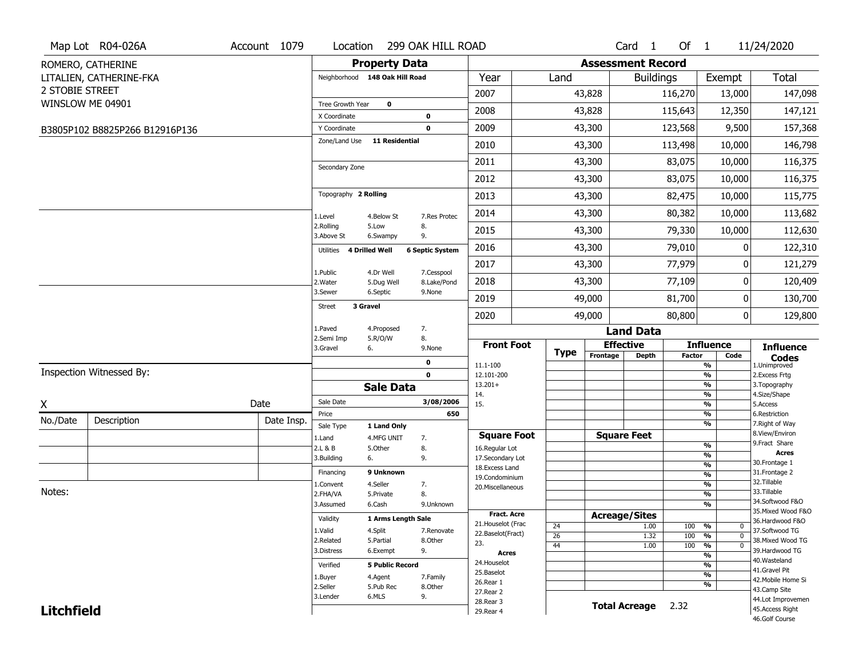|                   | Map Lot R04-026A               | Account 1079 | Location                |                                | 299 OAK HILL ROAD      |                                    |             |          | Card <sub>1</sub>        | Of 1          |                                | 11/24/2020                          |
|-------------------|--------------------------------|--------------|-------------------------|--------------------------------|------------------------|------------------------------------|-------------|----------|--------------------------|---------------|--------------------------------|-------------------------------------|
|                   | ROMERO, CATHERINE              |              |                         | <b>Property Data</b>           |                        |                                    |             |          | <b>Assessment Record</b> |               |                                |                                     |
|                   | LITALIEN, CATHERINE-FKA        |              |                         | Neighborhood 148 Oak Hill Road |                        | Year                               | Land        |          | <b>Buildings</b>         |               | Exempt                         | <b>Total</b>                        |
| 2 STOBIE STREET   |                                |              |                         |                                |                        | 2007                               |             | 43,828   |                          | 116,270       | 13,000                         | 147,098                             |
|                   | WINSLOW ME 04901               |              | Tree Growth Year        | $\bf{0}$                       |                        |                                    |             |          |                          |               |                                |                                     |
|                   |                                |              | X Coordinate            |                                | 0                      | 2008                               |             | 43,828   |                          | 115,643       | 12,350                         | 147,121                             |
|                   | B3805P102 B8825P266 B12916P136 |              | Y Coordinate            |                                | 0                      | 2009                               |             | 43,300   |                          | 123,568       | 9,500                          | 157,368                             |
|                   |                                |              | Zone/Land Use           | <b>11 Residential</b>          |                        | 2010                               |             | 43,300   |                          | 113,498       | 10,000                         | 146,798                             |
|                   |                                |              | Secondary Zone          |                                |                        | 2011                               |             | 43,300   |                          | 83,075        | 10,000                         | 116,375                             |
|                   |                                |              |                         |                                |                        | 2012                               |             | 43,300   |                          | 83,075        | 10,000                         | 116,375                             |
|                   |                                |              | Topography 2 Rolling    |                                |                        | 2013                               |             | 43,300   |                          | 82,475        | 10,000                         | 115,775                             |
|                   |                                |              | 1.Level                 | 4.Below St                     | 7.Res Protec           | 2014                               |             | 43,300   |                          | 80,382        | 10,000                         | 113,682                             |
|                   |                                |              | 2.Rolling<br>3.Above St | 5.Low<br>6.Swampy              | 8.<br>9.               | 2015                               |             | 43,300   |                          | 79,330        | 10,000                         | 112,630                             |
|                   |                                |              | Utilities               | <b>4 Drilled Well</b>          | <b>6 Septic System</b> | 2016                               |             | 43,300   |                          | 79,010        | 0                              | 122,310                             |
|                   |                                |              | 1.Public                | 4.Dr Well                      | 7.Cesspool             | 2017                               |             | 43,300   |                          | 77,979        | 0                              | 121,279                             |
|                   |                                |              | 2. Water                | 5.Dug Well                     | 8.Lake/Pond            | 2018                               |             | 43,300   |                          | 77,109        | 0                              | 120,409                             |
|                   |                                |              | 3.Sewer                 | 6.Septic                       | 9.None                 | 2019                               |             | 49,000   |                          | 81,700        | 0                              | 130,700                             |
|                   |                                |              | <b>Street</b>           | 3 Gravel                       |                        | 2020                               |             | 49,000   |                          | 80,800        | 0                              | 129,800                             |
|                   |                                |              | 1.Paved                 | 4.Proposed                     | 7.                     |                                    |             |          | <b>Land Data</b>         |               |                                |                                     |
|                   |                                |              | 2.Semi Imp<br>3.Gravel  | 5.R/O/W<br>6.                  | 8.<br>9.None           | <b>Front Foot</b>                  |             |          | <b>Effective</b>         |               | <b>Influence</b>               | <b>Influence</b>                    |
|                   |                                |              |                         |                                | 0                      | 11.1-100                           | <b>Type</b> | Frontage | <b>Depth</b>             | <b>Factor</b> | Code<br>%                      | <b>Codes</b><br>1.Unimproved        |
|                   | Inspection Witnessed By:       |              |                         |                                | $\mathbf 0$            | 12.101-200                         |             |          |                          |               | $\frac{9}{6}$                  | 2.Excess Frtg                       |
|                   |                                |              |                         | <b>Sale Data</b>               |                        | $13.201+$                          |             |          |                          |               | %                              | 3. Topography                       |
| X                 |                                | Date         | Sale Date               |                                | 3/08/2006              | 14.<br>15.                         |             |          |                          |               | %<br>%                         | 4.Size/Shape<br>5.Access            |
| No./Date          |                                |              | Price                   |                                | 650                    |                                    |             |          |                          |               | %                              | 6.Restriction                       |
|                   | Description                    | Date Insp.   | Sale Type               | 1 Land Only                    |                        |                                    |             |          |                          |               | %                              | 7. Right of Way<br>8.View/Environ   |
|                   |                                |              | 1.Land                  | 4.MFG UNIT                     | 7.                     | <b>Square Foot</b>                 |             |          | <b>Square Feet</b>       |               | $\frac{9}{6}$                  | 9.Fract Share                       |
|                   |                                |              | 2.L & B<br>3.Building   | 5.Other<br>6.                  | 8.<br>9.               | 16.Regular Lot<br>17.Secondary Lot |             |          |                          |               | $\frac{9}{6}$                  | <b>Acres</b>                        |
|                   |                                |              |                         | 9 Unknown                      |                        | 18.Excess Land                     |             |          |                          |               | $\frac{9}{6}$                  | 30.Frontage 1                       |
|                   |                                |              | Financing               |                                |                        | 19.Condominium                     |             |          |                          |               | $\frac{9}{6}$                  | 31. Frontage 2<br>32. Tillable      |
| Notes:            |                                |              | 1.Convent<br>2.FHA/VA   | 4.Seller<br>5.Private          | 7.<br>8.               | 20.Miscellaneous                   |             |          |                          |               | $\frac{9}{6}$<br>$\frac{9}{6}$ | 33.Tillable                         |
|                   |                                |              | 3.Assumed               | 6.Cash                         | 9.Unknown              |                                    |             |          |                          |               | $\frac{9}{6}$                  | 34.Softwood F&O                     |
|                   |                                |              |                         |                                |                        | Fract. Acre                        |             |          | <b>Acreage/Sites</b>     |               |                                | 35. Mixed Wood F&O                  |
|                   |                                |              | Validity                | 1 Arms Length Sale             |                        | 21. Houselot (Frac                 | 24          |          | 1.00                     | 100           | %<br>0                         | 36.Hardwood F&O                     |
|                   |                                |              | 1.Valid                 | 4.Split                        | 7.Renovate<br>8.Other  | 22.Baselot(Fract)                  | 26          |          | 1.32                     | 100           | %<br>$\mathbf 0$               | 37.Softwood TG<br>38. Mixed Wood TG |
|                   |                                |              | 2.Related<br>3.Distress | 5.Partial<br>6.Exempt          | 9.                     | 23.                                | 44          |          | 1.00                     | 100           | %<br>$\mathbf 0$               | 39.Hardwood TG                      |
|                   |                                |              |                         |                                |                        | Acres                              |             |          |                          |               | %                              | 40. Wasteland                       |
|                   |                                |              | Verified                | <b>5 Public Record</b>         |                        | 24. Houselot<br>25.Baselot         |             |          |                          |               | %                              | 41.Gravel Pit                       |
|                   |                                |              | 1.Buyer                 | 4.Agent                        | 7.Family               | 26.Rear 1                          |             |          |                          |               | $\frac{9}{6}$<br>%             | 42. Mobile Home Si                  |
|                   |                                |              | 2.Seller                | 5.Pub Rec                      | 8.Other                | 27.Rear 2                          |             |          |                          |               |                                | 43.Camp Site                        |
|                   |                                |              | 3.Lender                | 6.MLS                          | 9.                     | 28. Rear 3                         |             |          | <b>Total Acreage</b>     | 2.32          |                                | 44.Lot Improvemen                   |
| <b>Litchfield</b> |                                |              |                         |                                |                        | 29. Rear 4                         |             |          |                          |               |                                | 45.Access Right<br>46.Golf Course   |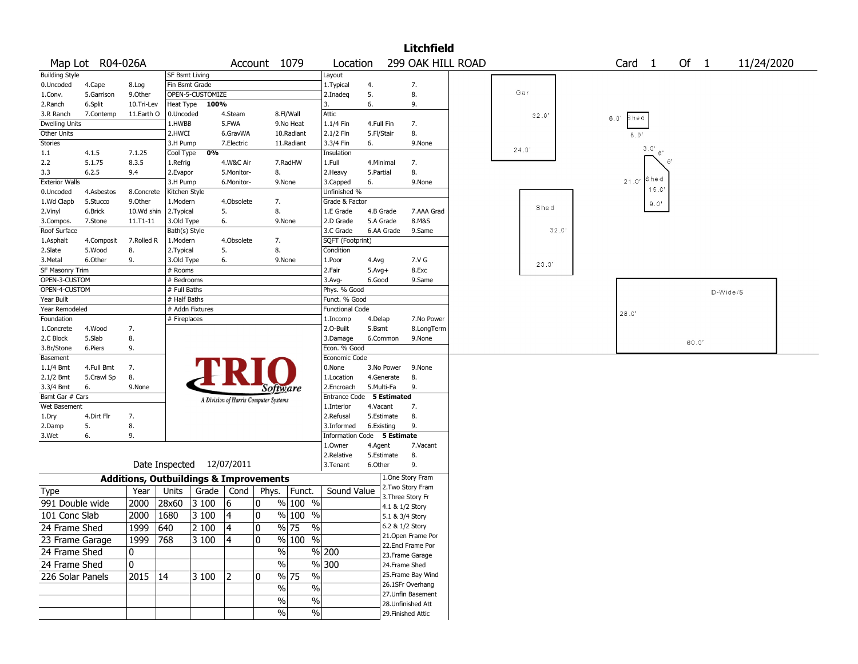|                              |                  |                                                   |                |                           |                                       |              |                     |                           |                   |            | <b>Litchfield</b>                   |  |       |      |      |                   |       |      |          |            |  |
|------------------------------|------------------|---------------------------------------------------|----------------|---------------------------|---------------------------------------|--------------|---------------------|---------------------------|-------------------|------------|-------------------------------------|--|-------|------|------|-------------------|-------|------|----------|------------|--|
|                              | Map Lot R04-026A |                                                   |                |                           |                                       | Account 1079 |                     | Location                  |                   |            | 299 OAK HILL ROAD                   |  |       |      |      | Card <sub>1</sub> |       | Of 1 |          | 11/24/2020 |  |
| <b>Building Style</b>        |                  |                                                   | SF Bsmt Living |                           |                                       |              |                     | Layout                    |                   |            |                                     |  |       |      |      |                   |       |      |          |            |  |
| 0.Uncoded                    | 4.Cape           | 8.Log                                             | Fin Bsmt Grade |                           |                                       |              |                     | 1.Typical                 | 4.                |            | 7.                                  |  |       |      |      |                   |       |      |          |            |  |
| 1.Conv.                      | 5.Garrison       | 9.0ther                                           |                | OPEN-5-CUSTOMIZE          |                                       |              |                     | 2.Inadeg                  | 5.                |            | 8.                                  |  | Gar   |      |      |                   |       |      |          |            |  |
| 2.Ranch                      | 6.Split          | 10.Tri-Lev                                        | Heat Type      | 100%                      |                                       |              |                     | 3.                        | 6.                |            | 9.                                  |  |       |      |      |                   |       |      |          |            |  |
| 3.R Ranch                    | 7.Contemp        | 11.Earth O                                        | 0.Uncoded      |                           | 4.Steam                               |              | 8.Fl/Wall           | Attic                     |                   |            |                                     |  | 32.0' |      | 6.0' | Shed              |       |      |          |            |  |
| <b>Dwelling Units</b>        |                  |                                                   | 1.HWBB         |                           | 5.FWA                                 |              | 9.No Heat           | 1.1/4 Fin                 | 4.Full Fin        |            | 7.                                  |  |       |      |      |                   |       |      |          |            |  |
| Other Units                  |                  |                                                   | 2.HWCI         |                           | 6.GravWA                              |              | 10.Radiant          | 2.1/2 Fin                 | 5.Fl/Stair        |            | 8.                                  |  |       |      |      | 8.0'              |       |      |          |            |  |
| <b>Stories</b>               |                  |                                                   | 3.H Pump       |                           | 7.Electric                            |              | 11.Radiant          | 3.3/4 Fin                 | 6.                |            | 9.None                              |  |       |      |      | 3.0'              |       |      |          |            |  |
| 1.1                          | 4.1.5            | 7.1.25                                            | Cool Type      | 0%                        |                                       |              |                     | Insulation                |                   |            |                                     |  | 24.0' |      |      |                   | 6'    |      |          |            |  |
| 2.2                          | 5.1.75           | 8.3.5                                             | 1.Refrig       |                           | 4.W&C Air                             |              | 7.RadHW             | 1.Full                    | 4.Minimal         |            | 7.                                  |  |       |      |      |                   |       |      |          |            |  |
| 3.3                          | 6.2.5            | 9.4                                               | 2.Evapor       |                           | 5.Monitor-                            | 8.           |                     | 2.Heavy                   | 5.Partial         |            | 8.                                  |  |       |      |      |                   |       |      |          |            |  |
| <b>Exterior Walls</b>        |                  |                                                   | 3.H Pump       |                           | 6.Monitor-                            |              | 9.None              | 3.Capped                  | 6.                |            | 9.None                              |  |       |      |      | 21.0              | Shed  |      |          |            |  |
| 0.Uncoded                    | 4.Asbestos       | 8.Concrete                                        | Kitchen Style  |                           |                                       |              |                     | Unfinished %              |                   |            |                                     |  |       |      |      |                   | 15.0' |      |          |            |  |
| 1.Wd Clapb                   | 5.Stucco         | 9.Other                                           | 1.Modern       |                           | 4.Obsolete                            | 7.           |                     | Grade & Factor            |                   |            |                                     |  | Shed  |      |      |                   | 9.0'  |      |          |            |  |
| 2.Vinyl                      | 6.Brick          | 10.Wd shin                                        | 2. Typical     |                           | 5.                                    | 8.           |                     | 1.E Grade                 | 4.B Grade         |            | 7.AAA Grad                          |  |       |      |      |                   |       |      |          |            |  |
| 3.Compos.                    | 7.Stone          | $11. T1 - 11$                                     | 3.Old Type     |                           | 6.                                    |              | 9.None              | 2.D Grade                 | 5.A Grade         |            | 8.M&S                               |  |       |      |      |                   |       |      |          |            |  |
| Roof Surface                 |                  |                                                   | Bath(s) Style  |                           |                                       |              |                     | 3.C Grade                 | 6.AA Grade        |            | 9.Same                              |  |       | 32.0 |      |                   |       |      |          |            |  |
| 1.Asphalt                    | 4.Composit       | 7.Rolled R                                        | 1.Modern       |                           | 4.Obsolete                            | 7.           |                     | SQFT (Footprint)          |                   |            |                                     |  |       |      |      |                   |       |      |          |            |  |
| 2.Slate                      | 5.Wood           | 8.                                                | 2. Typical     |                           | 5.                                    | 8.           |                     | Condition                 |                   |            |                                     |  |       |      |      |                   |       |      |          |            |  |
| 3.Metal                      | 6.Other          | 9.                                                | 3.Old Type     |                           | 6.                                    |              | 9.None              | 1.Poor                    | 4.Avg             |            | 7.V G                               |  | 20.0' |      |      |                   |       |      |          |            |  |
| SF Masonry Trim              |                  |                                                   | # Rooms        |                           |                                       |              |                     | 2.Fair                    | $5.$ Avg $+$      |            | 8.Exc                               |  |       |      |      |                   |       |      |          |            |  |
| OPEN-3-CUSTOM                |                  |                                                   | # Bedrooms     |                           |                                       |              |                     | 3.Avg-                    | 6.Good            |            | 9.Same                              |  |       |      |      |                   |       |      |          |            |  |
| OPEN-4-CUSTOM                |                  |                                                   | # Full Baths   |                           |                                       |              |                     | Phys. % Good              |                   |            |                                     |  |       |      |      |                   |       |      | D-Wide/S |            |  |
| Year Built<br>Year Remodeled |                  |                                                   | # Half Baths   | # Addn Fixtures           |                                       |              |                     | Funct. % Good             |                   |            |                                     |  |       |      |      |                   |       |      |          |            |  |
| Foundation                   |                  |                                                   | # Fireplaces   |                           |                                       |              |                     | <b>Functional Code</b>    |                   |            | 7.No Power                          |  |       |      |      | 28.0              |       |      |          |            |  |
| 1.Concrete                   | 4.Wood           | 7.                                                |                |                           |                                       |              |                     | 1.Incomp<br>2.O-Built     | 4.Delap<br>5.Bsmt |            | 8.LongTerm                          |  |       |      |      |                   |       |      |          |            |  |
| 2.C Block                    | 5.Slab           | 8.                                                |                |                           |                                       |              |                     | 3.Damage                  | 6.Common          |            | 9.None                              |  |       |      |      |                   |       |      |          |            |  |
| 3.Br/Stone                   | 6.Piers          | 9.                                                |                |                           |                                       |              |                     | Econ. % Good              |                   |            |                                     |  |       |      |      |                   |       | 60.0 |          |            |  |
| Basement                     |                  |                                                   |                |                           |                                       |              |                     | Economic Code             |                   |            |                                     |  |       |      |      |                   |       |      |          |            |  |
| $1.1/4$ Bmt                  | 4.Full Bmt       | 7.                                                |                |                           |                                       |              |                     | 0.None                    | 3.No Power        |            | 9.None                              |  |       |      |      |                   |       |      |          |            |  |
| 2.1/2 Bmt                    | 5.Crawl Sp       | 8.                                                |                |                           |                                       |              |                     | 1.Location                | 4.Generate        |            | 8.                                  |  |       |      |      |                   |       |      |          |            |  |
| 3.3/4 Bmt                    | 6.               | 9.None                                            |                |                           |                                       |              | Software            | 2.Encroach                | 5.Multi-Fa        |            | 9.                                  |  |       |      |      |                   |       |      |          |            |  |
| Bsmt Gar # Cars              |                  |                                                   |                |                           | A Division of Harris Computer Systems |              |                     | Entrance Code 5 Estimated |                   |            |                                     |  |       |      |      |                   |       |      |          |            |  |
| Wet Basement                 |                  |                                                   |                |                           |                                       |              |                     | 1.Interior                | 4.Vacant          |            | 7.                                  |  |       |      |      |                   |       |      |          |            |  |
| 1.Dry                        | 4.Dirt Flr       | 7.                                                |                |                           |                                       |              |                     | 2.Refusal                 | 5.Estimate        |            | 8.                                  |  |       |      |      |                   |       |      |          |            |  |
| 2.Damp                       | 5.               | 8.                                                |                |                           |                                       |              |                     | 3.Informed                | 6.Existing        |            | 9.                                  |  |       |      |      |                   |       |      |          |            |  |
| 3.Wet                        | 6.               | 9.                                                |                |                           |                                       |              |                     | <b>Information Code</b>   |                   | 5 Estimate |                                     |  |       |      |      |                   |       |      |          |            |  |
|                              |                  |                                                   |                |                           |                                       |              |                     | 1.Owner                   | 4.Agent           |            | 7.Vacant                            |  |       |      |      |                   |       |      |          |            |  |
|                              |                  |                                                   |                |                           |                                       |              |                     | 2.Relative                | 5.Estimate        |            | 8.                                  |  |       |      |      |                   |       |      |          |            |  |
|                              |                  |                                                   |                | Date Inspected 12/07/2011 |                                       |              |                     | 3.Tenant                  | 6.Other           |            | 9.                                  |  |       |      |      |                   |       |      |          |            |  |
|                              |                  | <b>Additions, Outbuildings &amp; Improvements</b> |                |                           |                                       |              |                     |                           |                   |            | 1.One Story Fram                    |  |       |      |      |                   |       |      |          |            |  |
| <b>Type</b>                  |                  | Year                                              | Units          | Grade                     | Cond                                  | Phys.        | Funct.              | Sound Value               |                   |            | 2. Two Story Fram                   |  |       |      |      |                   |       |      |          |            |  |
| 991 Double wide              |                  | 2000                                              | 28x60          | 3 100                     | 6                                     | 0            | % 100 %             |                           |                   |            | 3. Three Story Fr                   |  |       |      |      |                   |       |      |          |            |  |
|                              |                  |                                                   |                |                           |                                       |              |                     |                           |                   |            | 4.1 & 1/2 Story                     |  |       |      |      |                   |       |      |          |            |  |
| 101 Conc Slab                |                  | 2000                                              | 1680           | 3 100                     | 4                                     | 0            | $%100$ %            |                           |                   |            | 5.1 & 3/4 Story                     |  |       |      |      |                   |       |      |          |            |  |
| 24 Frame Shed                |                  | 1999   640                                        |                | 2 100                     | 4                                     | 10           | % 75<br>%           |                           |                   |            | $6.2 \& 1/2$ Story                  |  |       |      |      |                   |       |      |          |            |  |
| 23 Frame Garage              |                  | 1999                                              | 768            | $\sqrt{3}100$             | 4                                     | 0            | $\frac{9}{6}$ 100 % |                           |                   |            | 21.Open Frame Por                   |  |       |      |      |                   |       |      |          |            |  |
| 24 Frame Shed                |                  | 10                                                |                |                           |                                       |              | $\sqrt{0}$          | % 200                     |                   |            | 22.Encl Frame Por                   |  |       |      |      |                   |       |      |          |            |  |
| 24 Frame Shed                |                  | 0                                                 |                |                           |                                       |              | $\sqrt{6}$          | $\sqrt{96}$ 300           |                   |            | 23. Frame Garage                    |  |       |      |      |                   |       |      |          |            |  |
|                              |                  |                                                   |                |                           |                                       |              |                     |                           |                   |            | 24.Frame Shed<br>25. Frame Bay Wind |  |       |      |      |                   |       |      |          |            |  |
| 226 Solar Panels             |                  | 2015 $ \overline{14} $                            |                | 3 100                     | 2                                     | 0            | % 75<br>$\%$        |                           |                   |            | 26.1SFr Overhang                    |  |       |      |      |                   |       |      |          |            |  |
|                              |                  |                                                   |                |                           |                                       |              | $\%$<br>$\%$        |                           |                   |            | 27. Unfin Basement                  |  |       |      |      |                   |       |      |          |            |  |
|                              |                  |                                                   |                |                           |                                       |              | $\%$<br>%           |                           |                   |            | 28. Unfinished Att                  |  |       |      |      |                   |       |      |          |            |  |
|                              |                  |                                                   |                |                           |                                       |              | $\sqrt{6}$<br>$\%$  |                           |                   |            | 29. Finished Attic                  |  |       |      |      |                   |       |      |          |            |  |
|                              |                  |                                                   |                |                           |                                       |              |                     |                           |                   |            |                                     |  |       |      |      |                   |       |      |          |            |  |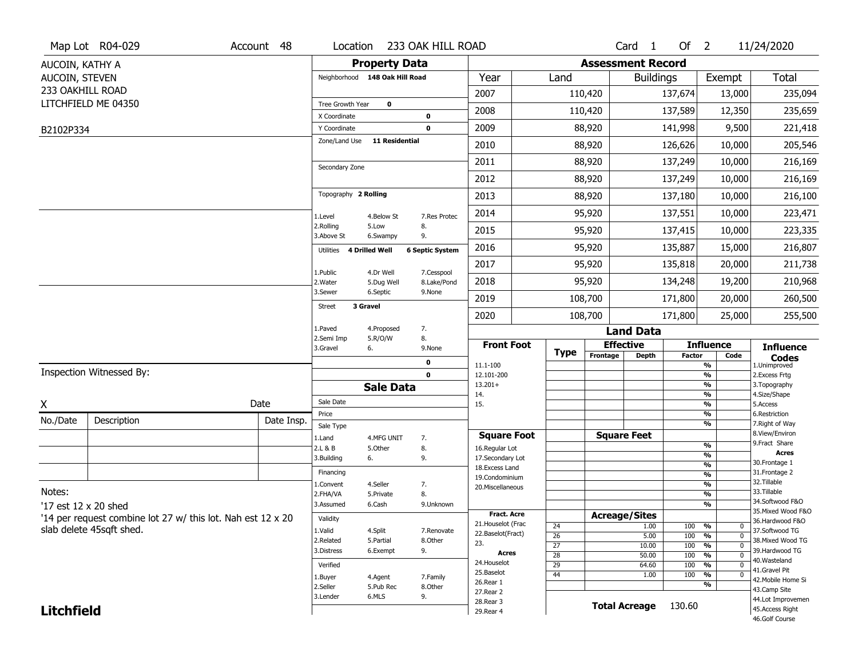|                   | Map Lot R04-029                                             | Account 48 | Location                      |                                | 233 OAK HILL ROAD      |                                   |                       |                          | Card <sub>1</sub>            | Of $2$        |                                 | 11/24/2020                           |
|-------------------|-------------------------------------------------------------|------------|-------------------------------|--------------------------------|------------------------|-----------------------------------|-----------------------|--------------------------|------------------------------|---------------|---------------------------------|--------------------------------------|
| AUCOIN, KATHY A   |                                                             |            |                               | <b>Property Data</b>           |                        |                                   |                       | <b>Assessment Record</b> |                              |               |                                 |                                      |
| AUCOIN, STEVEN    |                                                             |            |                               | Neighborhood 148 Oak Hill Road |                        | Year                              | Land                  |                          | <b>Buildings</b>             |               | Exempt                          | <b>Total</b>                         |
| 233 OAKHILL ROAD  |                                                             |            |                               |                                |                        | 2007                              |                       | 110,420                  |                              | 137,674       | 13,000                          | 235,094                              |
|                   | LITCHFIELD ME 04350                                         |            | Tree Growth Year              | $\mathbf 0$                    |                        | 2008                              |                       | 110,420                  |                              | 137,589       | 12,350                          | 235,659                              |
|                   |                                                             |            | X Coordinate                  |                                | 0                      |                                   |                       |                          |                              |               |                                 |                                      |
| B2102P334         |                                                             |            | Y Coordinate<br>Zone/Land Use | <b>11 Residential</b>          | 0                      | 2009                              |                       | 88,920                   |                              | 141,998       | 9,500                           | 221,418                              |
|                   |                                                             |            |                               |                                |                        | 2010                              |                       | 88,920                   |                              | 126,626       | 10,000                          | 205,546                              |
|                   |                                                             |            | Secondary Zone                |                                |                        | 2011                              |                       | 88,920                   |                              | 137,249       | 10,000                          | 216,169                              |
|                   |                                                             |            |                               |                                |                        | 2012                              |                       | 88,920                   |                              | 137,249       | 10,000                          | 216,169                              |
|                   |                                                             |            | Topography 2 Rolling          |                                |                        | 2013                              |                       | 88,920                   |                              | 137,180       | 10,000                          | 216,100                              |
|                   |                                                             |            | 1.Level                       | 4.Below St                     | 7.Res Protec           | 2014                              |                       | 95,920                   |                              | 137,551       | 10,000                          | 223,471                              |
|                   |                                                             |            | 2.Rolling<br>3.Above St       | 5.Low<br>6.Swampy              | 8.<br>9.               | 2015                              |                       | 95,920                   |                              | 137,415       | 10,000                          | 223,335                              |
|                   |                                                             |            | Utilities                     | 4 Drilled Well                 | <b>6 Septic System</b> | 2016                              |                       | 95,920                   |                              | 135,887       | 15,000                          | 216,807                              |
|                   |                                                             |            | 1.Public                      | 4.Dr Well                      | 7.Cesspool             | 2017                              |                       | 95,920                   |                              | 135,818       | 20,000                          | 211,738                              |
|                   |                                                             |            | 2. Water                      | 5.Dug Well                     | 8.Lake/Pond            | 2018                              |                       | 95,920                   |                              | 134,248       | 19,200                          | 210,968                              |
|                   |                                                             |            | 3.Sewer                       | 6.Septic<br>3 Gravel           | 9.None                 | 2019                              |                       | 108,700                  |                              | 171,800       | 20,000                          | 260,500                              |
|                   |                                                             |            | Street                        |                                |                        | 2020                              |                       | 108,700                  |                              | 171,800       | 25,000                          | 255,500                              |
|                   |                                                             |            | 1.Paved                       | 4.Proposed                     | 7.                     |                                   |                       |                          | <b>Land Data</b>             |               |                                 |                                      |
|                   |                                                             |            | 2.Semi Imp<br>3.Gravel        | 5.R/O/W<br>6.                  | 8.<br>9.None           | <b>Front Foot</b>                 | <b>Type</b>           |                          | <b>Effective</b>             |               | <b>Influence</b>                | <b>Influence</b>                     |
|                   |                                                             |            |                               |                                | 0                      | 11.1-100                          |                       | Frontage                 | <b>Depth</b>                 | <b>Factor</b> | Code<br>%                       | <b>Codes</b><br>1.Unimproved         |
|                   | Inspection Witnessed By:                                    |            |                               |                                | $\mathbf 0$            | 12.101-200                        |                       |                          |                              |               | $\frac{9}{6}$                   | 2. Excess Frtg                       |
|                   |                                                             |            |                               | <b>Sale Data</b>               |                        | $13.201+$<br>14.                  |                       |                          |                              |               | %<br>$\frac{9}{6}$              | 3. Topography<br>4.Size/Shape        |
| X                 |                                                             | Date       | Sale Date                     |                                |                        | 15.                               |                       |                          |                              |               | %                               | 5.Access                             |
| No./Date          | Description                                                 | Date Insp. | Price<br>Sale Type            |                                |                        |                                   |                       |                          |                              |               | %<br>%                          | 6.Restriction<br>7. Right of Way     |
|                   |                                                             |            | 1.Land                        | 4.MFG UNIT                     | 7.                     | <b>Square Foot</b>                |                       |                          | <b>Square Feet</b>           |               |                                 | 8.View/Environ                       |
|                   |                                                             |            | 2.L & B                       | 5.Other                        | 8.                     | 16.Regular Lot                    |                       |                          |                              |               | $\frac{9}{6}$                   | 9.Fract Share<br><b>Acres</b>        |
|                   |                                                             |            | 3.Building                    | 6.                             | 9.                     | 17.Secondary Lot                  |                       |                          |                              |               | %<br>$\frac{9}{6}$              | 30. Frontage 1                       |
|                   |                                                             |            | Financing                     |                                |                        | 18. Excess Land<br>19.Condominium |                       |                          |                              |               | $\overline{\frac{9}{6}}$        | 31. Frontage 2                       |
|                   |                                                             |            | 1.Convent                     | 4.Seller                       | 7.                     | 20.Miscellaneous                  |                       |                          |                              |               | $\frac{9}{6}$                   | 32. Tillable                         |
| Notes:            |                                                             |            | 2.FHA/VA                      | 5.Private                      | 8.                     |                                   |                       |                          |                              |               | $\overline{\frac{9}{6}}$        | 33.Tillable<br>34.Softwood F&O       |
|                   | '17 est 12 x 20 shed                                        |            | 3.Assumed                     | 6.Cash                         | 9.Unknown              | <b>Fract. Acre</b>                |                       |                          |                              |               | %                               | 35. Mixed Wood F&O                   |
|                   | '14 per request combine lot 27 w/ this lot. Nah est 12 x 20 |            | Validity                      |                                |                        | 21. Houselot (Frac                |                       |                          | <b>Acreage/Sites</b><br>1.00 |               | %<br>0                          | 36.Hardwood F&O                      |
|                   | slab delete 45sqft shed.                                    |            | 1.Valid                       | 4.Split                        | 7.Renovate             | 22.Baselot(Fract)                 | 24<br>$\overline{26}$ |                          | 5.00                         | 100<br>100    | $\overline{0}$<br>%             | 37.Softwood TG                       |
|                   |                                                             |            | 2.Related                     | 5.Partial                      | 8.Other                | 23.                               | $\overline{27}$       |                          | 10.00                        | 100           | $\overline{0}$<br>%             | 38. Mixed Wood TG                    |
|                   |                                                             |            | 3.Distress                    | 6.Exempt                       | 9.                     | Acres                             | $\overline{28}$       |                          | 50.00                        | 100           | $\frac{9}{6}$<br>$\overline{0}$ | 39.Hardwood TG<br>40. Wasteland      |
|                   |                                                             |            | Verified                      |                                |                        | 24. Houselot                      | 29                    |                          | 64.60                        | 100           | %<br>$\mathbf 0$                | 41.Gravel Pit                        |
|                   |                                                             |            | 1.Buyer                       | 4.Agent                        | 7.Family               | 25.Baselot<br>26.Rear 1           | 44                    |                          | 1.00                         | 100           | $\frac{9}{6}$<br>$\overline{0}$ | 42. Mobile Home Si                   |
|                   |                                                             |            | 2.Seller                      | 5.Pub Rec                      | 8.Other                |                                   |                       |                          |                              |               | %                               | 43.Camp Site                         |
|                   |                                                             |            |                               |                                |                        |                                   |                       |                          |                              |               |                                 |                                      |
| <b>Litchfield</b> |                                                             |            | 3.Lender                      | 6.MLS                          | 9.                     | 27. Rear 2<br>28. Rear 3          |                       |                          | <b>Total Acreage</b>         | 130.60        |                                 | 44.Lot Improvemen<br>45.Access Right |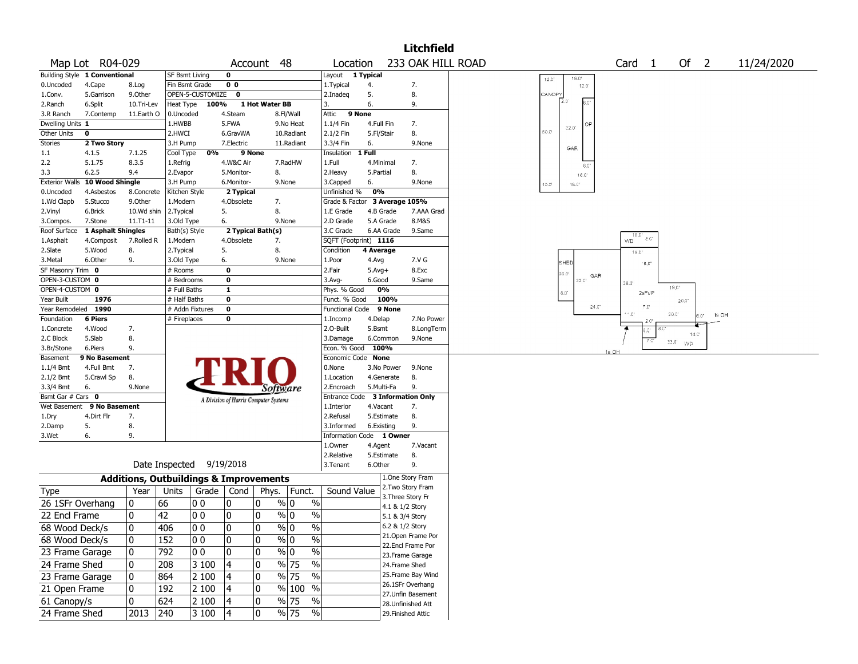|                         |                               |                 |                                                   |                                       |                                   |                              |                        | <b>Litchfield</b>                     |                         |                                             |                               |            |
|-------------------------|-------------------------------|-----------------|---------------------------------------------------|---------------------------------------|-----------------------------------|------------------------------|------------------------|---------------------------------------|-------------------------|---------------------------------------------|-------------------------------|------------|
|                         | Map Lot R04-029               |                 |                                                   |                                       | Account 48                        | Location                     |                        | 233 OAK HILL ROAD                     |                         | Card <sub>1</sub>                           | Of $2$                        | 11/24/2020 |
|                         | Building Style 1 Conventional |                 | <b>SF Bsmt Living</b>                             | 0                                     |                                   | Layout 1 Typical             |                        |                                       | 18.0<br>$12.0^\circ$    |                                             |                               |            |
| 0.Uncoded               | 4.Cape                        | 8.Log           | Fin Bsmt Grade                                    | 0 <sub>0</sub>                        |                                   | 1. Typical                   | 4.                     | 7.                                    | 12.01                   |                                             |                               |            |
| 1.Conv.                 | 5.Garrison                    | 9.Other         | OPEN-5-CUSTOMIZE                                  | $\mathbf{o}$                          |                                   | 2.Inadeq                     | 5.                     | 8.                                    | CANOPY                  |                                             |                               |            |
| 2.Ranch                 | 6.Split                       | 10.Tri-Lev      | Heat Type<br>100%                                 |                                       | 1 Hot Water BB                    | 3.                           | 6.                     | 9.                                    | $2.0^{\circ}$           |                                             |                               |            |
| 3.R Ranch               | 7.Contemp                     | 11.Earth O      | 0.Uncoded                                         | 4.Steam                               | 8.Fl/Wall                         | Attic<br>9 None              |                        |                                       |                         |                                             |                               |            |
| Dwelling Units 1        |                               |                 | 1.HWBB                                            | 5.FWA                                 | 9.No Heat                         | 1.1/4 Fin                    | 4.Full Fin             | 7.                                    | OF<br>32.0<br>60.01     |                                             |                               |            |
| Other Units             | 0                             |                 | 2.HWCI                                            | 6.GravWA                              | 10.Radiant                        | 2.1/2 Fin                    | 5.Fl/Stair             | 8.                                    |                         |                                             |                               |            |
| Stories                 | 2 Two Story                   |                 | 3.H Pump                                          | 7.Electric                            | 11.Radiant                        | 3.3/4 Fin                    | 6.                     | 9.None                                | GAR                     |                                             |                               |            |
| $1.1\,$                 | 4.1.5<br>5.1.75               | 7.1.25<br>8.3.5 | 0%<br>Cool Type                                   | 9 None                                | 7.RadHW                           | Insulation                   | 1 Full                 |                                       |                         |                                             |                               |            |
| 2.2<br>3.3              | 6.2.5                         | 9.4             | 1.Refrig<br>2.Evapor                              | 4.W&C Air<br>5.Monitor-               | 8.                                | 1.Full<br>2. Heavy           | 4.Minimal<br>5.Partial | 7.<br>8.                              | 6.C                     |                                             |                               |            |
| <b>Exterior Walls</b>   | 10 Wood Shingle               |                 | 3.H Pump                                          | 6.Monitor-                            | 9.None                            | 3.Capped                     | 6.                     | 9.None                                | 16.0                    |                                             |                               |            |
| 0.Uncoded               | 4.Asbestos                    | 8.Concrete      | Kitchen Style                                     | 2 Typical                             |                                   | Unfinished %                 | 0%                     |                                       | 10.01<br>$18.0^{\circ}$ |                                             |                               |            |
| 1.Wd Clapb              | 5.Stucco                      | 9.Other         | 1.Modern                                          | 4.Obsolete                            | 7.                                | Grade & Factor               |                        | 3 Average 105%                        |                         |                                             |                               |            |
| 2.Vinyl                 | 6.Brick                       | 10.Wd shin      | 2.Typical                                         | 5.                                    | 8.                                | 1.E Grade                    | 4.B Grade              | 7.AAA Grad                            |                         |                                             |                               |            |
| 3.Compos.               | 7.Stone                       | $11. T1 - 11$   | 3.Old Type                                        | 6.                                    | 9.None                            | 2.D Grade                    | 5.A Grade              | 8.M&S                                 |                         |                                             |                               |            |
| Roof Surface            | 1 Asphalt Shingles            |                 | Bath(s) Style                                     | 2 Typical Bath(s)                     |                                   | 3.C Grade                    | 6.AA Grade             | 9.Same                                |                         |                                             |                               |            |
| 1.Asphalt               | 4.Composit                    | 7.Rolled R      | 1.Modern                                          | 4.Obsolete                            | 7.                                | SQFT (Footprint) 1116        |                        |                                       |                         | 19.0<br>8.0<br>WD                           |                               |            |
| 2.Slate                 | 5.Wood                        | 8.              | 2. Typical                                        | 5.                                    | 8.                                | Condition                    | 4 Average              |                                       |                         | $19.0^{\circ}$                              |                               |            |
| 3.Metal                 | 6.Other                       | 9.              | 3.Old Type                                        | 6.                                    | 9.None                            | 1.Poor                       | 4.Avg                  | 7.V G                                 | SHED                    | $^{\circ}$ 8.0"                             |                               |            |
| SF Masonry Trim 0       |                               |                 | # Rooms                                           | 0                                     |                                   | 2.Fair                       | $5.Avg+$               | 8.Exc                                 | 26.0°                   |                                             |                               |            |
| OPEN-3-CUSTOM 0         |                               |                 | # Bedrooms                                        | 0                                     |                                   | 3.Avg-                       | 6.Good                 | 9.Same                                | GAR<br>$33.C+$          | 38.0                                        |                               |            |
| OPEN-4-CUSTOM 0         |                               |                 | # Full Baths                                      | $\mathbf{1}$                          |                                   | Phys. % Good                 | 0%                     |                                       | 8.0"                    | 2sFr/P                                      | $19.0^{\circ}$                |            |
| Year Built              | 1976                          |                 | # Half Baths                                      | 0                                     |                                   | Funct. % Good                | 100%                   |                                       |                         |                                             | 20.0°                         |            |
| Year Remodeled 1990     |                               |                 | # Addn Fixtures                                   | 0                                     |                                   | Functional Code              | $9$ None               |                                       | 24.0                    | $7.0^{\circ}$<br>$^{\prime}$ $^{\prime}$ .0 | $20.0^\circ$<br>1s OH<br>6.0" |            |
| Foundation              | <b>6 Piers</b>                |                 | # Fireplaces                                      | 0                                     |                                   | 1.Incomp                     | 4.Delap                | 7.No Power                            |                         |                                             |                               |            |
| 1.Concrete              | 4.Wood                        | 7.              |                                                   |                                       |                                   | 2.O-Built                    | 5.Bsmt                 | 8.LongTerm                            |                         |                                             | 14.C'                         |            |
| 2.C Block               | 5.Slab                        | 8.              |                                                   |                                       |                                   | 3.Damage                     | 6.Common               | 9.None                                |                         | 7.C                                         | 33.0'<br><b>WD</b>            |            |
| 3.Br/Stone              | 6.Piers                       | 9.              |                                                   |                                       |                                   | Econ. % Good 100%            |                        |                                       |                         | 1s OH                                       |                               |            |
| Basement<br>$1.1/4$ Bmt | 9 No Basement<br>4.Full Bmt   | 7.              |                                                   |                                       |                                   | Economic Code None<br>0.None | 3.No Power             | 9.None                                |                         |                                             |                               |            |
| $2.1/2$ Bmt             | 5.Crawl Sp                    | 8.              |                                                   |                                       |                                   | 1.Location                   | 4.Generate             | 8.                                    |                         |                                             |                               |            |
| 3.3/4 Bmt               | 6.                            | 9.None          |                                                   |                                       | Software                          | 2.Encroach                   | 5.Multi-Fa             | 9.                                    |                         |                                             |                               |            |
| Bsmt Gar # Cars 0       |                               |                 |                                                   |                                       |                                   | <b>Entrance Code</b>         |                        | <b>3 Information Only</b>             |                         |                                             |                               |            |
| Wet Basement            | 9 No Basement                 |                 |                                                   | A Division of Harris Computer Systems |                                   | 1.Interior                   | 4.Vacant               | 7.                                    |                         |                                             |                               |            |
| 1.Dry                   | 4.Dirt Flr                    | 7.              |                                                   |                                       |                                   | 2.Refusal                    | 5.Estimate             | 8.                                    |                         |                                             |                               |            |
| 2.Damp                  | 5.                            | 8.              |                                                   |                                       |                                   | 3.Informed                   | 6.Existing             | 9.                                    |                         |                                             |                               |            |
| 3.Wet                   | 6.                            | 9.              |                                                   |                                       |                                   | Information Code 1 Owner     |                        |                                       |                         |                                             |                               |            |
|                         |                               |                 |                                                   |                                       |                                   | 1.Owner                      | 4.Agent                | 7.Vacant                              |                         |                                             |                               |            |
|                         |                               |                 |                                                   |                                       |                                   | 2.Relative                   | 5.Estimate             | 8.                                    |                         |                                             |                               |            |
|                         |                               |                 | Date Inspected 9/19/2018                          |                                       |                                   | 3.Tenant                     | 6.Other                | 9.                                    |                         |                                             |                               |            |
|                         |                               |                 | <b>Additions, Outbuildings &amp; Improvements</b> |                                       |                                   |                              |                        | 1.One Story Fram                      |                         |                                             |                               |            |
| <b>Type</b>             |                               | Year            | Units<br>Grade                                    | Cond                                  | Phys.<br>Funct.                   | Sound Value                  |                        | 2. Two Story Fram                     |                         |                                             |                               |            |
| 26 1SFr Overhang        |                               | 0               | 66<br> O O                                        | 0<br>0                                | % 0<br>$\%$                       |                              |                        | 3. Three Story Fr<br>4.1 & 1/2 Story  |                         |                                             |                               |            |
| 22 Encl Frame           |                               | 0               | 42<br>l 0 0                                       | 0<br>0                                | $\frac{1}{9}$ 0<br>$\%$           |                              |                        | 5.1 & 3/4 Story                       |                         |                                             |                               |            |
| 68 Wood Deck/s          |                               | 10              | 406<br>10 O                                       | 10<br>0                               | $\%$ 0<br>$\%$                    |                              |                        | 6.2 & 1/2 Story                       |                         |                                             |                               |            |
| 68 Wood Deck/s          |                               | 10              | 152<br>00                                         | 0<br>0                                | $\sqrt{96}$ 0<br>$\%$             |                              |                        | 21. Open Frame Por                    |                         |                                             |                               |            |
| 23 Frame Garage         |                               | 10              | 792<br>00                                         | 0<br>0                                | $\sqrt[6]{0}$<br>$\%$             |                              |                        | 22.Encl Frame Por<br>23. Frame Garage |                         |                                             |                               |            |
| 24 Frame Shed           |                               | 0               | 208<br>3 100                                      | 0<br>4                                | $\sqrt{96}$ 75<br>$\%$            |                              |                        | 24.Frame Shed                         |                         |                                             |                               |            |
| 23 Frame Garage         |                               | 0               | 864<br>2 100                                      | 0<br>4                                | $\sqrt{96}$ 75<br>$\frac{0}{0}$   |                              |                        | 25. Frame Bay Wind                    |                         |                                             |                               |            |
| 21 Open Frame           |                               | 0               | 192<br>2 100                                      | 0<br>4                                | % 100 %                           |                              |                        | 26.1SFr Overhang<br>27.Unfin Basement |                         |                                             |                               |            |
| 61 Canopy/s             |                               | 10              | 624<br>2 100                                      | 0<br> 4                               | % 75<br>$\%$                      |                              |                        | 28.Unfinished Att                     |                         |                                             |                               |            |
| 24 Frame Shed           |                               | 2013 240        | 3 100                                             | 0<br> 4                               | $\frac{9}{6}$ 75<br>$\frac{0}{6}$ |                              |                        | 29. Finished Attic                    |                         |                                             |                               |            |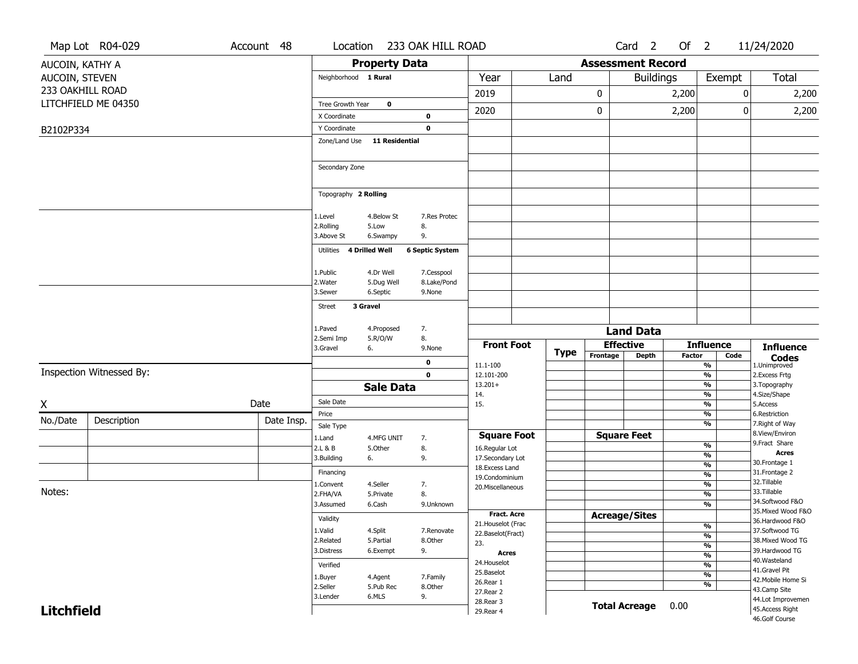|                   | Map Lot R04-029          | Account 48 | Location                |                       | 233 OAK HILL ROAD      |                                    |             |                          | Card <sub>2</sub>                | Of $2$        |                                |      | 11/24/2020                            |
|-------------------|--------------------------|------------|-------------------------|-----------------------|------------------------|------------------------------------|-------------|--------------------------|----------------------------------|---------------|--------------------------------|------|---------------------------------------|
| AUCOIN, KATHY A   |                          |            |                         | <b>Property Data</b>  |                        |                                    |             | <b>Assessment Record</b> |                                  |               |                                |      |                                       |
| AUCOIN, STEVEN    |                          |            | Neighborhood 1 Rural    |                       |                        | Year                               | Land        |                          | <b>Buildings</b>                 |               | Exempt                         |      | Total                                 |
| 233 OAKHILL ROAD  |                          |            |                         |                       |                        | 2019                               |             | 0                        |                                  | 2,200         |                                | 0    | 2,200                                 |
|                   | LITCHFIELD ME 04350      |            | Tree Growth Year        | $\mathbf 0$           |                        |                                    |             |                          |                                  |               |                                |      |                                       |
|                   |                          |            | X Coordinate            |                       | 0                      | 2020                               |             | 0                        |                                  | 2,200         |                                | 0    | 2,200                                 |
| B2102P334         |                          |            | Y Coordinate            |                       | 0                      |                                    |             |                          |                                  |               |                                |      |                                       |
|                   |                          |            | Zone/Land Use           | <b>11 Residential</b> |                        |                                    |             |                          |                                  |               |                                |      |                                       |
|                   |                          |            |                         |                       |                        |                                    |             |                          |                                  |               |                                |      |                                       |
|                   |                          |            | Secondary Zone          |                       |                        |                                    |             |                          |                                  |               |                                |      |                                       |
|                   |                          |            |                         |                       |                        |                                    |             |                          |                                  |               |                                |      |                                       |
|                   |                          |            | Topography 2 Rolling    |                       |                        |                                    |             |                          |                                  |               |                                |      |                                       |
|                   |                          |            |                         |                       |                        |                                    |             |                          |                                  |               |                                |      |                                       |
|                   |                          |            | 1.Level                 | 4.Below St            | 7.Res Protec           |                                    |             |                          |                                  |               |                                |      |                                       |
|                   |                          |            | 2.Rolling<br>3.Above St | 5.Low<br>6.Swampy     | 8.<br>9.               |                                    |             |                          |                                  |               |                                |      |                                       |
|                   |                          |            | Utilities               | 4 Drilled Well        | <b>6 Septic System</b> |                                    |             |                          |                                  |               |                                |      |                                       |
|                   |                          |            |                         |                       |                        |                                    |             |                          |                                  |               |                                |      |                                       |
|                   |                          |            | 1.Public                | 4.Dr Well             | 7.Cesspool             |                                    |             |                          |                                  |               |                                |      |                                       |
|                   |                          |            | 2. Water                | 5.Dug Well            | 8.Lake/Pond            |                                    |             |                          |                                  |               |                                |      |                                       |
|                   |                          |            | 3.Sewer                 | 6.Septic              | 9.None                 |                                    |             |                          |                                  |               |                                |      |                                       |
|                   |                          |            | <b>Street</b>           | 3 Gravel              |                        |                                    |             |                          |                                  |               |                                |      |                                       |
|                   |                          |            | 1.Paved                 | 4.Proposed            | 7.                     |                                    |             |                          |                                  |               |                                |      |                                       |
|                   |                          |            | 2.Semi Imp              | 5.R/O/W               | 8.                     |                                    |             |                          | <b>Land Data</b>                 |               |                                |      |                                       |
|                   |                          |            | 3.Gravel                | 6.                    | 9.None                 | <b>Front Foot</b>                  | <b>Type</b> | Frontage                 | <b>Effective</b><br><b>Depth</b> | <b>Factor</b> | <b>Influence</b>               | Code | <b>Influence</b>                      |
|                   |                          |            |                         |                       | 0                      | 11.1-100                           |             |                          |                                  |               | %                              |      | <b>Codes</b><br>1.Unimproved          |
|                   | Inspection Witnessed By: |            |                         |                       | $\mathbf 0$            | 12.101-200                         |             |                          |                                  |               | $\frac{9}{6}$                  |      | 2.Excess Frtg                         |
|                   |                          |            |                         | <b>Sale Data</b>      |                        | $13.201+$<br>14.                   |             |                          |                                  |               | $\frac{9}{6}$<br>%             |      | 3. Topography<br>4.Size/Shape         |
| Χ                 |                          | Date       | Sale Date               |                       |                        | 15.                                |             |                          |                                  |               | %                              |      | 5.Access                              |
| No./Date          | Description              | Date Insp. | Price                   |                       |                        |                                    |             |                          |                                  |               | %                              |      | 6.Restriction                         |
|                   |                          |            | Sale Type               |                       |                        | <b>Square Foot</b>                 |             |                          | <b>Square Feet</b>               |               | %                              |      | 7. Right of Way<br>8.View/Environ     |
|                   |                          |            | 1.Land<br>2.L & B       | 4.MFG UNIT<br>5.Other | 7.<br>8.               | 16.Regular Lot                     |             |                          |                                  |               | $\frac{9}{6}$                  |      | 9. Fract Share                        |
|                   |                          |            | 3.Building              | 6.                    | 9.                     | 17.Secondary Lot                   |             |                          |                                  |               | %                              |      | <b>Acres</b>                          |
|                   |                          |            | Financing               |                       |                        | 18.Excess Land                     |             |                          |                                  |               | $\frac{9}{6}$<br>$\frac{9}{6}$ |      | 30.Frontage 1<br>31. Frontage 2       |
|                   |                          |            | 1.Convent               | 4.Seller              | 7.                     | 19.Condominium<br>20.Miscellaneous |             |                          |                                  |               | $\frac{9}{6}$                  |      | 32.Tillable                           |
| Notes:            |                          |            | 2.FHA/VA                | 5.Private             | 8.                     |                                    |             |                          |                                  |               | $\frac{9}{6}$                  |      | 33.Tillable                           |
|                   |                          |            | 3.Assumed               | 6.Cash                | 9.Unknown              | <b>Fract. Acre</b>                 |             |                          |                                  |               | $\frac{9}{6}$                  |      | 34.Softwood F&O<br>35. Mixed Wood F&O |
|                   |                          |            | Validity                |                       |                        | 21. Houselot (Frac                 |             |                          | <b>Acreage/Sites</b>             |               | %                              |      | 36.Hardwood F&O                       |
|                   |                          |            | 1.Valid                 | 4.Split               | 7.Renovate             | 22.Baselot(Fract)                  |             |                          |                                  |               | $\frac{9}{6}$                  |      | 37.Softwood TG                        |
|                   |                          |            | 2.Related<br>3.Distress | 5.Partial<br>6.Exempt | 8.Other<br>9.          | 23.                                |             |                          |                                  |               | $\frac{9}{6}$                  |      | 38. Mixed Wood TG<br>39.Hardwood TG   |
|                   |                          |            | Verified                |                       |                        | Acres<br>24. Houselot              |             |                          |                                  |               | $\frac{9}{6}$<br>$\frac{9}{6}$ |      | 40. Wasteland                         |
|                   |                          |            | 1.Buyer                 | 4.Agent               | 7.Family               | 25.Baselot                         |             |                          |                                  |               | $\frac{9}{6}$                  |      | 41.Gravel Pit                         |
|                   |                          |            | 2.Seller                | 5.Pub Rec             | 8.Other                | 26.Rear 1                          |             |                          |                                  |               | $\frac{9}{6}$                  |      | 42. Mobile Home Si<br>43.Camp Site    |
|                   |                          |            | 3.Lender                | 6.MLS                 | 9.                     | 27.Rear 2<br>28. Rear 3            |             |                          |                                  |               |                                |      | 44.Lot Improvemen                     |
| <b>Litchfield</b> |                          |            |                         |                       |                        | 29. Rear 4                         |             |                          | <b>Total Acreage</b>             | 0.00          |                                |      | 45.Access Right                       |
|                   |                          |            |                         |                       |                        |                                    |             |                          |                                  |               |                                |      | 46.Golf Course                        |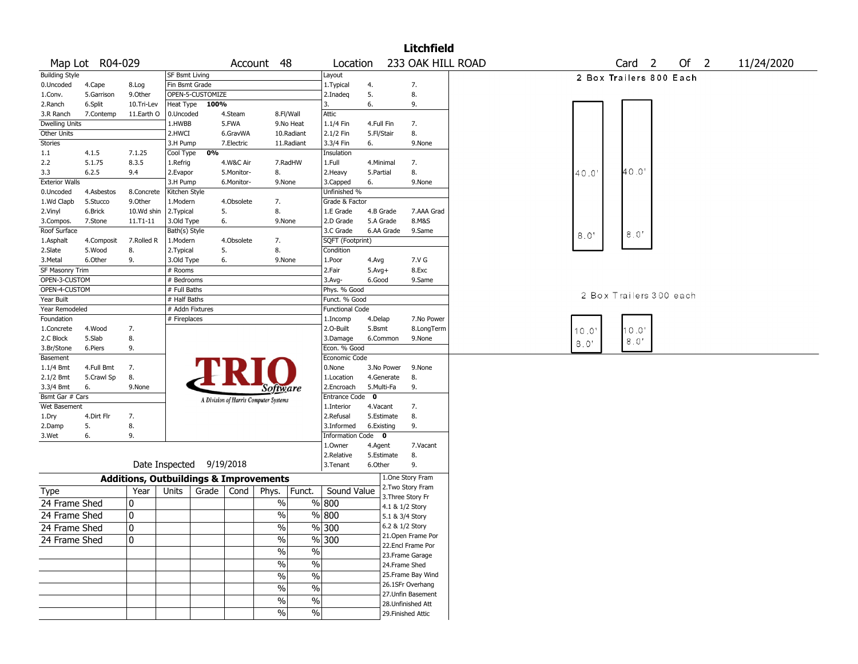|                             |                 |                                                   |                              |                  |            |                                       |            |                                         |             |            | <b>Litchfield</b>                    |                                                              |
|-----------------------------|-----------------|---------------------------------------------------|------------------------------|------------------|------------|---------------------------------------|------------|-----------------------------------------|-------------|------------|--------------------------------------|--------------------------------------------------------------|
|                             | Map Lot R04-029 |                                                   |                              |                  |            | Account 48                            |            | Location                                |             |            |                                      | 233 OAK HILL ROAD<br>Of 2<br>11/24/2020<br>Card <sub>2</sub> |
| <b>Building Style</b>       |                 |                                                   | SF Bsmt Living               |                  |            |                                       |            | Layout                                  |             |            |                                      | 2 Box Trailers 800 Each                                      |
| 0.Uncoded                   | 4.Cape          | 8.Log                                             | Fin Bsmt Grade               |                  |            |                                       |            | 1. Typical                              | 4.          |            | 7.                                   |                                                              |
| 1.Conv.                     | 5.Garrison      | 9.0ther                                           |                              | OPEN-5-CUSTOMIZE |            |                                       |            | 2.Inadeg                                | 5.          |            | 8.                                   |                                                              |
| 2.Ranch                     | 6.Split         | 10.Tri-Lev                                        | Heat Type                    | 100%             |            |                                       |            | 3.                                      | 6.          |            | 9.                                   |                                                              |
| 3.R Ranch                   | 7.Contemp       | 11.Earth O                                        | 0.Uncoded                    |                  | 4.Steam    | 8.Fl/Wall                             |            | Attic                                   |             |            |                                      |                                                              |
| <b>Dwelling Units</b>       |                 |                                                   | 1.HWBB                       |                  | 5.FWA      |                                       | 9.No Heat  | 1.1/4 Fin                               | 4.Full Fin  |            | 7.                                   |                                                              |
| Other Units                 |                 |                                                   | 2.HWCI                       |                  | 6.GravWA   |                                       | 10.Radiant | 2.1/2 Fin                               | 5.Fl/Stair  |            | 8.                                   |                                                              |
| Stories                     |                 |                                                   | 3.H Pump                     |                  | 7.Electric |                                       | 11.Radiant | 3.3/4 Fin                               | 6.          |            | 9.None                               |                                                              |
| 1.1                         | 4.1.5           | 7.1.25                                            | Cool Type                    | 0%               |            |                                       |            | Insulation                              |             |            |                                      |                                                              |
| 2.2                         | 5.1.75          | 8.3.5                                             | 1.Refrig                     |                  | 4.W&C Air  | 7.RadHW                               |            | 1.Full                                  | 4.Minimal   |            | 7.                                   |                                                              |
| 3.3                         | 6.2.5           | 9.4                                               | 2.Evapor                     |                  | 5.Monitor- | 8.                                    |            | 2. Heavy                                | 5.Partial   |            | 8.                                   | 40.0<br>40.0                                                 |
| <b>Exterior Walls</b>       |                 |                                                   | 3.H Pump                     |                  | 6.Monitor- | 9.None                                |            | 3.Capped                                | 6.          |            | 9.None                               |                                                              |
| 0.Uncoded                   | 4.Asbestos      | 8.Concrete                                        | Kitchen Style                |                  |            |                                       |            | Unfinished %                            |             |            |                                      |                                                              |
| 1.Wd Clapb                  | 5.Stucco        | 9.Other                                           | 1.Modern                     |                  | 4.Obsolete | 7.                                    |            | Grade & Factor                          |             |            |                                      |                                                              |
| 2.Vinyl                     | 6.Brick         | 10.Wd shin                                        | 2. Typical                   | 5.               |            | 8.                                    |            | 1.E Grade                               |             | 4.B Grade  | 7.AAA Grad                           |                                                              |
| 3.Compos.                   | 7.Stone         | $11.71 - 11$                                      | 3.Old Type                   | 6.               |            | 9.None                                |            | 2.D Grade                               |             | 5.A Grade  | 8.M&S                                |                                                              |
| Roof Surface                |                 |                                                   | Bath(s) Style                |                  |            |                                       |            | 3.C Grade                               |             | 6.AA Grade | 9.Same                               | 8.0'<br>8.0'                                                 |
| 1.Asphalt                   | 4.Composit      | 7.Rolled R                                        | 1.Modern                     |                  | 4.Obsolete | 7.                                    |            | SQFT (Footprint)                        |             |            |                                      |                                                              |
| 2.Slate                     | 5.Wood          | 8.                                                | 2. Typical                   | 5.               |            | 8.                                    |            | Condition                               |             |            |                                      |                                                              |
| 3.Metal                     | 6.Other         | 9.                                                | 3.Old Type                   | 6.               |            | 9.None                                |            | 1.Poor                                  | 4.Avg       |            | 7.V G                                |                                                              |
| SF Masonry Trim             |                 |                                                   | # Rooms                      |                  |            |                                       |            | 2.Fair                                  | $5.Avg+$    |            | 8.Exc                                |                                                              |
| OPEN-3-CUSTOM               |                 |                                                   | # Bedrooms                   |                  |            |                                       |            | $3.Avg-$                                | 6.Good      |            | 9.Same                               |                                                              |
| OPEN-4-CUSTOM<br>Year Built |                 |                                                   | # Full Baths<br># Half Baths |                  |            |                                       |            | Phys. % Good                            |             |            |                                      | 2 Box Trailers 300 each                                      |
| Year Remodeled              |                 |                                                   | # Addn Fixtures              |                  |            |                                       |            | Funct. % Good<br><b>Functional Code</b> |             |            |                                      |                                                              |
| Foundation                  |                 |                                                   | # Fireplaces                 |                  |            |                                       |            | 1.Incomp                                | 4.Delap     |            | 7.No Power                           |                                                              |
| 1.Concrete                  | 4.Wood          | 7.                                                |                              |                  |            |                                       |            | 2.O-Built                               | 5.Bsmt      |            | 8.LongTerm                           |                                                              |
| 2.C Block                   | 5.Slab          | 8.                                                |                              |                  |            |                                       |            | 3.Damage                                |             | 6.Common   | 9.None                               | 10.0'<br>10.0'                                               |
| 3.Br/Stone                  | 6.Piers         | 9.                                                |                              |                  |            |                                       |            | Econ. % Good                            |             |            |                                      | 8.0'<br>8.0'                                                 |
| Basement                    |                 |                                                   |                              |                  |            |                                       |            | Economic Code                           |             |            |                                      |                                                              |
| $1.1/4$ Bmt                 | 4.Full Bmt      | 7.                                                |                              |                  |            |                                       |            | 0.None                                  |             | 3.No Power | 9.None                               |                                                              |
| 2.1/2 Bmt                   | 5.Crawl Sp      | 8.                                                |                              |                  |            |                                       |            | 1.Location                              |             | 4.Generate | 8.                                   |                                                              |
| 3.3/4 Bmt                   | 6.              | 9.None                                            |                              |                  |            | Software                              |            | 2.Encroach                              | 5.Multi-Fa  |            | 9.                                   |                                                              |
| Bsmt Gar # Cars             |                 |                                                   |                              |                  |            | A Division of Harris Computer Systems |            | <b>Entrance Code</b>                    | $\mathbf 0$ |            |                                      |                                                              |
| Wet Basement                |                 |                                                   |                              |                  |            |                                       |            | 1.Interior                              | 4.Vacant    |            | 7.                                   |                                                              |
| 1.Dry                       | 4.Dirt Flr      | 7.                                                |                              |                  |            |                                       |            | 2.Refusal                               |             | 5.Estimate | 8.                                   |                                                              |
| 2.Damp                      | 5.              | 8.                                                |                              |                  |            |                                       |            | 3.Informed                              | 6.Existing  |            | 9.                                   |                                                              |
| 3.Wet                       | 6.              | 9.                                                |                              |                  |            |                                       |            | Information Code 0                      |             |            |                                      |                                                              |
|                             |                 |                                                   |                              |                  |            |                                       |            | 1.0wner                                 | 4.Agent     |            | 7.Vacant                             |                                                              |
|                             |                 |                                                   |                              |                  |            |                                       |            | 2.Relative                              |             | 5.Estimate | 8.                                   |                                                              |
|                             |                 | Date Inspected 9/19/2018                          |                              |                  |            |                                       |            | 3.Tenant                                | 6.Other     |            | 9.                                   |                                                              |
|                             |                 | <b>Additions, Outbuildings &amp; Improvements</b> |                              |                  |            |                                       |            |                                         |             |            | 1.One Story Fram                     |                                                              |
| Type                        |                 | Year                                              | Units                        | Grade            | Cond       | Phys.                                 | Funct.     | Sound Value                             |             |            | 2. Two Story Fram                    |                                                              |
| 24 Frame Shed               |                 | 10                                                |                              |                  |            | $\%$                                  |            | % 800                                   |             |            | 3. Three Story Fr<br>4.1 & 1/2 Story |                                                              |
| 24 Frame Shed               |                 | 10                                                |                              |                  |            | %                                     |            | % 800                                   |             |            | 5.1 & 3/4 Story                      |                                                              |
|                             |                 |                                                   |                              |                  |            |                                       |            |                                         |             |            | 6.2 & 1/2 Story                      |                                                              |
| 24 Frame Shed               |                 | $\overline{\mathfrak{o}}$                         |                              |                  |            | $\sqrt{6}$                            |            | $\frac{9}{6}$ 300                       |             |            | 21. Open Frame Por                   |                                                              |
| 24 Frame Shed               |                 | 10                                                |                              |                  |            | $\frac{1}{2}$                         |            | %300                                    |             |            | 22.Encl Frame Por                    |                                                              |
|                             |                 |                                                   |                              |                  |            | $\sqrt{6}$                            | $\sqrt{6}$ |                                         |             |            | 23. Frame Garage                     |                                                              |
|                             |                 |                                                   |                              |                  |            | $\frac{1}{2}$                         | $\%$       |                                         |             |            | 24.Frame Shed                        |                                                              |
|                             |                 |                                                   |                              |                  |            | $\frac{1}{2}$                         | $\%$       |                                         |             |            | 25. Frame Bay Wind                   |                                                              |
|                             |                 |                                                   |                              |                  |            |                                       |            |                                         |             |            | 26.1SFr Overhang                     |                                                              |
|                             |                 |                                                   |                              |                  |            | $\%$                                  | $\%$       |                                         |             |            | 27.Unfin Basement                    |                                                              |
|                             |                 |                                                   |                              |                  |            | $\sqrt{6}$                            | $\sqrt{6}$ |                                         |             |            | 28.Unfinished Att                    |                                                              |
|                             |                 |                                                   |                              |                  |            | $\sqrt{6}$                            | $\%$       |                                         |             |            | 29. Finished Attic                   |                                                              |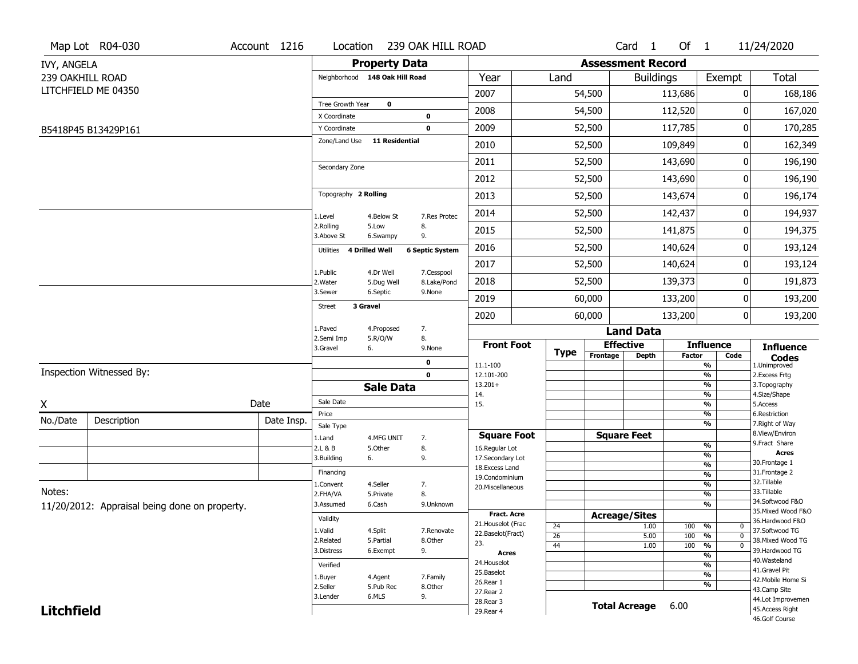|                   | Map Lot R04-030                               | Account 1216 | Location                      |                                | 239 OAK HILL ROAD         |                                          |                       |          | Card <sub>1</sub>        | Of $1$        |                                        | 11/24/2020                            |
|-------------------|-----------------------------------------------|--------------|-------------------------------|--------------------------------|---------------------------|------------------------------------------|-----------------------|----------|--------------------------|---------------|----------------------------------------|---------------------------------------|
| IVY, ANGELA       |                                               |              |                               | <b>Property Data</b>           |                           |                                          |                       |          | <b>Assessment Record</b> |               |                                        |                                       |
| 239 OAKHILL ROAD  |                                               |              |                               | Neighborhood 148 Oak Hill Road |                           | Year                                     | Land                  |          | <b>Buildings</b>         |               | Exempt                                 | <b>Total</b>                          |
|                   | LITCHFIELD ME 04350                           |              |                               |                                |                           | 2007                                     |                       | 54,500   |                          | 113,686       | 0                                      | 168,186                               |
|                   |                                               |              | Tree Growth Year              | $\mathbf 0$                    |                           | 2008                                     |                       | 54,500   |                          | 112,520       | 0                                      | 167,020                               |
|                   |                                               |              | X Coordinate                  |                                | $\bf{0}$                  |                                          |                       |          |                          |               |                                        |                                       |
|                   | B5418P45 B13429P161                           |              | Y Coordinate<br>Zone/Land Use | <b>11 Residential</b>          | $\mathbf 0$               | 2009                                     |                       | 52,500   |                          | 117,785       | 0                                      | 170,285                               |
|                   |                                               |              |                               |                                |                           | 2010                                     |                       | 52,500   |                          | 109,849       | 0                                      | 162,349                               |
|                   |                                               |              | Secondary Zone                |                                |                           | 2011                                     |                       | 52,500   |                          | 143,690       | 0                                      | 196,190                               |
|                   |                                               |              |                               |                                |                           | 2012                                     |                       | 52,500   |                          | 143,690       | 0                                      | 196,190                               |
|                   |                                               |              | Topography 2 Rolling          |                                |                           | 2013                                     |                       | 52,500   |                          | 143,674       | 0                                      | 196,174                               |
|                   |                                               |              | 1.Level                       | 4.Below St                     | 7.Res Protec              | 2014                                     |                       | 52,500   |                          | 142,437       | 0                                      | 194,937                               |
|                   |                                               |              | 2.Rolling<br>3.Above St       | 5.Low<br>6.Swampy              | 8.<br>9.                  | 2015                                     |                       | 52,500   |                          | 141,875       | 0                                      | 194,375                               |
|                   |                                               |              | Utilities                     | 4 Drilled Well                 | <b>6 Septic System</b>    | 2016                                     |                       | 52,500   |                          | 140,624       | 0                                      | 193,124                               |
|                   |                                               |              |                               |                                |                           | 2017                                     |                       | 52,500   |                          | 140,624       | 0                                      | 193,124                               |
|                   |                                               |              | 1.Public<br>2. Water          | 4.Dr Well<br>5.Dug Well        | 7.Cesspool<br>8.Lake/Pond | 2018                                     |                       | 52,500   |                          | 139,373       | 0                                      | 191,873                               |
|                   |                                               |              | 3.Sewer                       | 6.Septic                       | 9.None                    | 2019                                     |                       | 60,000   |                          | 133,200       | 0                                      | 193,200                               |
|                   |                                               |              | <b>Street</b>                 | 3 Gravel                       |                           | 2020                                     |                       | 60,000   |                          | 133,200       | 0                                      | 193,200                               |
|                   |                                               |              | 1.Paved                       | 4.Proposed                     | 7.                        |                                          |                       |          | <b>Land Data</b>         |               |                                        |                                       |
|                   |                                               |              | 2.Semi Imp<br>3.Gravel        | 5.R/O/W<br>6.                  | 8.<br>9.None              | <b>Front Foot</b>                        |                       |          | <b>Effective</b>         |               | <b>Influence</b>                       | <b>Influence</b>                      |
|                   |                                               |              |                               |                                | 0                         | 11.1-100                                 | <b>Type</b>           | Frontage | <b>Depth</b>             | <b>Factor</b> | Code<br>%                              | <b>Codes</b><br>1.Unimproved          |
|                   | Inspection Witnessed By:                      |              |                               |                                | $\mathbf 0$               | 12.101-200                               |                       |          |                          |               | $\frac{9}{6}$                          | 2. Excess Frtg                        |
|                   |                                               |              |                               | <b>Sale Data</b>               |                           | $13.201+$<br>14.                         |                       |          |                          |               | $\frac{9}{6}$<br>$\frac{9}{6}$         | 3. Topography<br>4.Size/Shape         |
| χ                 |                                               | Date         | Sale Date                     |                                |                           | 15.                                      |                       |          |                          |               | $\frac{9}{6}$                          | 5.Access                              |
| No./Date          | Description                                   | Date Insp.   | Price                         |                                |                           |                                          |                       |          |                          |               | %                                      | 6.Restriction                         |
|                   |                                               |              | Sale Type                     |                                |                           | <b>Square Foot</b>                       |                       |          | <b>Square Feet</b>       |               | %                                      | 7. Right of Way<br>8.View/Environ     |
|                   |                                               |              | 1.Land<br>2.L & B             | 4.MFG UNIT<br>5.Other          | 7.<br>8.                  | 16.Regular Lot                           |                       |          |                          |               | $\frac{9}{6}$                          | 9.Fract Share                         |
|                   |                                               |              | 3.Building                    | 6.                             | 9.                        | 17.Secondary Lot                         |                       |          |                          |               | $\frac{9}{6}$                          | <b>Acres</b><br>30. Frontage 1        |
|                   |                                               |              | Financing                     |                                |                           | 18.Excess Land<br>19.Condominium         |                       |          |                          |               | $\frac{9}{6}$<br>$\frac{9}{6}$         | 31. Frontage 2                        |
|                   |                                               |              | 1.Convent                     | 4.Seller                       | 7.                        | 20.Miscellaneous                         |                       |          |                          |               | $\frac{9}{6}$                          | 32.Tillable                           |
| Notes:            |                                               |              | 2.FHA/VA                      | 5.Private                      | 8.                        |                                          |                       |          |                          |               | $\frac{9}{6}$                          | 33.Tillable                           |
|                   | 11/20/2012: Appraisal being done on property. |              | 3.Assumed                     | 6.Cash                         | 9.Unknown                 |                                          |                       |          |                          |               | $\overline{\frac{9}{6}}$               | 34.Softwood F&O<br>35. Mixed Wood F&O |
|                   |                                               |              | Validity                      |                                |                           | <b>Fract. Acre</b><br>21. Houselot (Frac |                       |          | <b>Acreage/Sites</b>     |               |                                        | 36.Hardwood F&O                       |
|                   |                                               |              | 1.Valid                       | 4.Split                        | 7.Renovate                | 22.Baselot(Fract)                        | 24<br>$\overline{26}$ |          | 1.00<br>5.00             | 100<br>100    | %<br>0<br>$\frac{9}{6}$<br>$\mathbf 0$ | 37.Softwood TG                        |
|                   |                                               |              | 2.Related                     | 5.Partial                      | 8.Other                   | 23.                                      | 44                    |          | 1.00                     | 100           | $\frac{9}{6}$<br>0                     | 38. Mixed Wood TG                     |
|                   |                                               |              | 3.Distress                    | 6.Exempt                       | 9.                        | <b>Acres</b>                             |                       |          |                          |               | $\frac{9}{6}$                          | 39.Hardwood TG                        |
|                   |                                               |              | Verified                      |                                |                           | 24. Houselot                             |                       |          |                          |               | $\frac{9}{6}$                          | 40. Wasteland<br>41.Gravel Pit        |
|                   |                                               |              | 1.Buyer                       | 4.Agent                        | 7.Family                  | 25.Baselot<br>26.Rear 1                  |                       |          |                          |               | $\frac{9}{6}$                          | 42. Mobile Home Si                    |
|                   |                                               |              | 2.Seller                      | 5.Pub Rec                      | 8.Other                   | 27.Rear 2                                |                       |          |                          |               | %                                      | 43.Camp Site                          |
|                   |                                               |              | 3.Lender                      | 6.MLS                          | 9.                        | 28. Rear 3                               |                       |          | <b>Total Acreage</b>     | 6.00          |                                        | 44.Lot Improvemen                     |
| <b>Litchfield</b> |                                               |              |                               |                                |                           | 29. Rear 4                               |                       |          |                          |               |                                        | 45. Access Right<br>46.Golf Course    |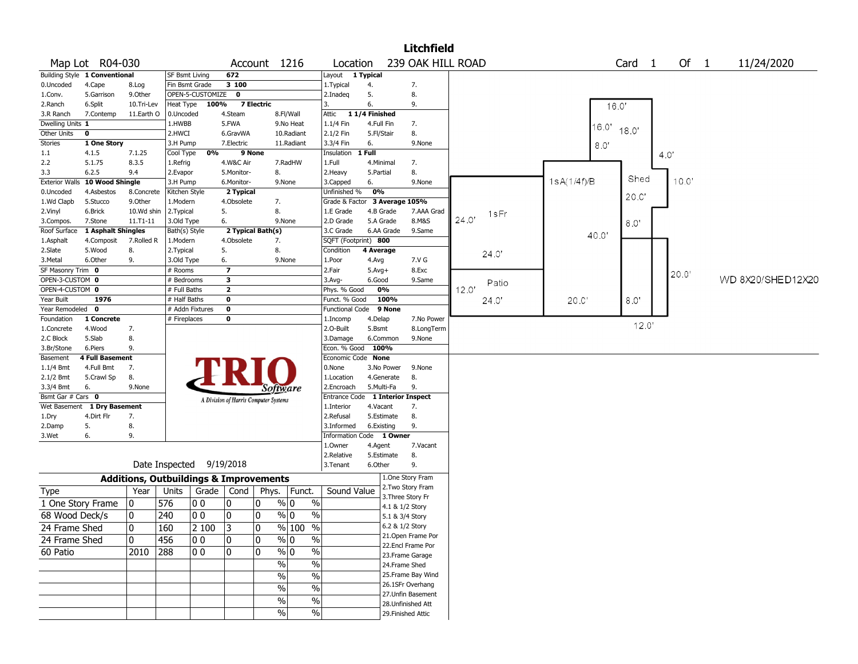|                        |                                      |                                                   |                |                          |                         |                                       |                       |                              |                          | <b>Litchfield</b>  |       |             |                   |      |       |                   |
|------------------------|--------------------------------------|---------------------------------------------------|----------------|--------------------------|-------------------------|---------------------------------------|-----------------------|------------------------------|--------------------------|--------------------|-------|-------------|-------------------|------|-------|-------------------|
|                        | Map Lot R04-030                      |                                                   |                |                          |                         | Account 1216                          |                       | Location                     |                          | 239 OAK HILL ROAD  |       |             | Card <sub>1</sub> |      | Of 1  | 11/24/2020        |
|                        | Building Style 1 Conventional        |                                                   | SF Bsmt Living |                          | 672                     |                                       |                       | Layout                       | 1 Typical                |                    |       |             |                   |      |       |                   |
| 0.Uncoded              | 4.Cape                               | 8.Log                                             | Fin Bsmt Grade |                          | 3100                    |                                       |                       | 1.Typical                    | 4.                       | 7.                 |       |             |                   |      |       |                   |
| 1.Conv.                | 5.Garrison                           | 9.0ther                                           |                | OPEN-5-CUSTOMIZE         | $\bf{0}$                |                                       |                       | 2.Inadeg                     | 5.                       | 8.                 |       |             |                   |      |       |                   |
| 2.Ranch                | 6.Split                              | 10.Tri-Lev                                        | Heat Type      | 100%                     |                         | <b>7 Electric</b>                     |                       | 3.                           | 6.                       | 9.                 |       |             | 16.0'             |      |       |                   |
| 3.R Ranch              | 7.Contemp                            | 11.Earth O                                        | 0.Uncoded      |                          | 4.Steam                 |                                       | 8.Fl/Wall             | Attic                        | 11/4 Finished            |                    |       |             |                   |      |       |                   |
| Dwelling Units 1       |                                      |                                                   | 1.HWBB         |                          | 5.FWA                   |                                       | 9.No Heat             | 1.1/4 Fin                    | 4.Full Fin               | 7.                 |       | 16.0'       |                   |      |       |                   |
| Other Units            | $\mathbf 0$                          |                                                   | 2.HWCI         |                          | 6.GravWA                |                                       | 10.Radiant            | 2.1/2 Fin                    | 5.Fl/Stair               | 8.                 |       |             | 18.0'             |      |       |                   |
| Stories                | 1 One Story                          |                                                   | 3.H Pump       |                          | 7.Electric              |                                       | 11.Radiant            | 3.3/4 Fin                    | 6.                       | 9.None             |       | 8.0"        |                   |      |       |                   |
| 1.1                    | 4.1.5                                | 7.1.25                                            | Cool Type      | 0%                       |                         | 9 None                                |                       | Insulation                   | $1$ Full                 |                    |       |             |                   | 4.0" |       |                   |
| 2.2                    | 5.1.75                               | 8.3.5                                             | 1.Refrig       |                          | 4.W&C Air               |                                       | 7.RadHW               | 1.Full                       | 4.Minimal                | 7.                 |       |             |                   |      |       |                   |
| 3.3                    | 6.2.5                                | 9.4                                               | 2.Evapor       |                          | 5.Monitor-              | 8.                                    |                       | 2. Heavy                     | 5.Partial                | 8.                 |       |             |                   |      |       |                   |
| <b>Exterior Walls</b>  | 10 Wood Shingle                      |                                                   | 3.H Pump       |                          | 6.Monitor-              |                                       | 9.None                | 3.Capped                     | 6.                       | 9.None             |       | 1sA(1/4f)/B | Shed              |      | 10.0' |                   |
| 0.Uncoded              | 4.Asbestos                           | 8.Concrete                                        | Kitchen Style  |                          | 2 Typical               |                                       |                       | Unfinished %                 | 0%                       |                    |       |             | 20.0              |      |       |                   |
| 1.Wd Clapb             | 5.Stucco                             | 9.0ther                                           | 1.Modern       |                          | 4.Obsolete              | 7.                                    |                       | Grade & Factor               |                          | 3 Average 105%     |       |             |                   |      |       |                   |
| 2.Vinyl                | 6.Brick                              | 10.Wd shin                                        | 2.Typical      |                          | 5.                      | 8.                                    |                       | 1.E Grade                    | 4.B Grade                | 7.AAA Grad         | 1sFr  |             |                   |      |       |                   |
| 3.Compos.              | 7.Stone                              | $11. T1 - 11$                                     | 3.Old Type     |                          | 6.                      |                                       | 9.None                | 2.D Grade                    | 5.A Grade                | 8.M&S              | 24.0' |             | 8.0"              |      |       |                   |
| Roof Surface           | 1 Asphalt Shingles                   |                                                   | Bath(s) Style  |                          |                         | 2 Typical Bath(s)                     |                       | 3.C Grade                    | 6.AA Grade               | 9.Same             |       | 40.0"       |                   |      |       |                   |
| 1.Asphalt              | 4.Composit                           | 7.Rolled R                                        | 1.Modern       |                          | 4.Obsolete              | 7.                                    |                       | SQFT (Footprint) 800         |                          |                    |       |             |                   |      |       |                   |
| 2.Slate                | 5.Wood                               | 8.                                                | 2.Typical      |                          | 5.                      | 8.                                    |                       | Condition                    | 4 Average                |                    | 24.0  |             |                   |      |       |                   |
| 3.Metal                | 6.Other                              | 9.                                                | 3.Old Type     |                          | 6.                      |                                       | 9.None                | 1.Poor                       | 4.Avg                    | 7.V G              |       |             |                   |      |       |                   |
| SF Masonry Trim 0      |                                      |                                                   | # Rooms        |                          | $\overline{\mathbf{z}}$ |                                       |                       | 2.Fair                       | $5.Avg+$                 | 8.Exc              |       |             |                   |      | 20.0' |                   |
| OPEN-3-CUSTOM 0        |                                      |                                                   | # Bedrooms     |                          | 3                       |                                       |                       | 3.Avg-                       | 6.Good                   | 9.Same             | Patio |             |                   |      |       | WD 8X20/SHED12X20 |
| OPEN-4-CUSTOM 0        |                                      |                                                   | # Full Baths   |                          | $\overline{2}$          |                                       |                       | Phys. % Good                 | 0%                       |                    | 12.0' |             |                   |      |       |                   |
| Year Built             | 1976                                 |                                                   | # Half Baths   |                          | $\mathbf 0$             |                                       |                       | Funct. % Good                | 100%                     |                    | 24.0' | 20C         | 8.0"              |      |       |                   |
| Year Remodeled 0       |                                      |                                                   |                | # Addn Fixtures          | $\mathbf 0$             |                                       |                       | <b>Functional Code</b>       | 9 None                   |                    |       |             |                   |      |       |                   |
| Foundation             | 1 Concrete                           |                                                   | # Fireplaces   |                          | 0                       |                                       |                       | 1.Incomp                     | 4.Delap                  | 7.No Power         |       |             | 12.0'             |      |       |                   |
| 1.Concrete             | 4.Wood                               | 7.                                                |                |                          |                         |                                       |                       | 2.O-Built                    | 5.Bsmt                   | 8.LongTerm         |       |             |                   |      |       |                   |
| 2.C Block              | 5.Slab                               | 8.                                                |                |                          |                         |                                       |                       | 3.Damage                     | 6.Common                 | 9.None             |       |             |                   |      |       |                   |
| 3.Br/Stone             | 6.Piers                              | 9.                                                |                |                          |                         |                                       |                       | Econ. % Good 100%            |                          |                    |       |             |                   |      |       |                   |
| Basement               | <b>4 Full Basement</b><br>4.Full Bmt |                                                   |                |                          |                         |                                       |                       | Economic Code None<br>0.None |                          |                    |       |             |                   |      |       |                   |
| $1.1/4$ Bmt            |                                      | 7.<br>8.                                          |                |                          |                         |                                       |                       | 1.Location                   | 3.No Power<br>4.Generate | 9.None<br>8.       |       |             |                   |      |       |                   |
| 2.1/2 Bmt<br>3.3/4 Bmt | 5.Crawl Sp<br>6.                     | 9.None                                            |                |                          |                         |                                       |                       | 2.Encroach                   | 5.Multi-Fa               | 9.                 |       |             |                   |      |       |                   |
| Bsmt Gar # Cars 0      |                                      |                                                   |                |                          |                         | <i>Software</i>                       |                       | Entrance Code                |                          | 1 Interior Inspect |       |             |                   |      |       |                   |
| Wet Basement           | 1 Dry Basement                       |                                                   |                |                          |                         | A Division of Harris Computer Systems |                       | 1.Interior                   | 4.Vacant                 | 7.                 |       |             |                   |      |       |                   |
| 1.Dry                  | 4.Dirt Flr                           | 7.                                                |                |                          |                         |                                       |                       | 2.Refusal                    | 5.Estimate               | 8.                 |       |             |                   |      |       |                   |
| 2.Damp                 | 5.                                   | 8.                                                |                |                          |                         |                                       |                       | 3.Informed                   | 6.Existing               | 9.                 |       |             |                   |      |       |                   |
| 3.Wet                  | 6.                                   | 9.                                                |                |                          |                         |                                       |                       |                              | Information Code 1 Owner |                    |       |             |                   |      |       |                   |
|                        |                                      |                                                   |                |                          |                         |                                       |                       | 1.0wner                      | 4.Agent                  | 7.Vacant           |       |             |                   |      |       |                   |
|                        |                                      |                                                   |                |                          |                         |                                       |                       | 2.Relative                   | 5.Estimate               | 8.                 |       |             |                   |      |       |                   |
|                        |                                      |                                                   |                | Date Inspected 9/19/2018 |                         |                                       |                       | 3.Tenant                     | 6.Other                  | 9.                 |       |             |                   |      |       |                   |
|                        |                                      |                                                   |                |                          |                         |                                       |                       |                              |                          | 1.One Story Fram   |       |             |                   |      |       |                   |
|                        |                                      | <b>Additions, Outbuildings &amp; Improvements</b> |                |                          |                         |                                       |                       |                              |                          | 2. Two Story Fram  |       |             |                   |      |       |                   |
| Type                   |                                      | Year                                              | Units          | Grade                    | Cond                    | Phys.                                 | Funct.                | Sound Value                  |                          | 3. Three Story Fr  |       |             |                   |      |       |                   |
|                        | 1 One Story Frame                    | 0                                                 | 576            | O O                      | 10                      | 0                                     | % 0<br>$\%$           |                              |                          | 4.1 & 1/2 Story    |       |             |                   |      |       |                   |
| 68 Wood Deck/s         |                                      | $\mathbf 0$                                       | 240            | 0 <sub>0</sub>           | 10                      | $\mathbf 0$                           | $\%$ 0<br>$\%$        |                              |                          | 5.1 & 3/4 Story    |       |             |                   |      |       |                   |
|                        |                                      |                                                   |                |                          |                         |                                       |                       |                              |                          | 6.2 & 1/2 Story    |       |             |                   |      |       |                   |
| 24 Frame Shed          |                                      | 10                                                | 160            | 2 100                    | 3                       | 10                                    | $% 100$ %             |                              |                          | 21. Open Frame Por |       |             |                   |      |       |                   |
| 24 Frame Shed          |                                      | 10                                                | 456            | 00                       | 10                      | 0                                     | $\sqrt[6]{0}$<br>$\%$ |                              |                          | 22.Encl Frame Por  |       |             |                   |      |       |                   |
| 60 Patio               |                                      | 2010                                              | 288            | 00                       | 10                      | 10                                    | $\sqrt[6]{0}$<br>%    |                              |                          | 23. Frame Garage   |       |             |                   |      |       |                   |
|                        |                                      |                                                   |                |                          |                         | $\%$                                  | %                     |                              |                          | 24.Frame Shed      |       |             |                   |      |       |                   |
|                        |                                      |                                                   |                |                          |                         | $\frac{0}{0}$                         | $\%$                  |                              |                          | 25. Frame Bay Wind |       |             |                   |      |       |                   |
|                        |                                      |                                                   |                |                          |                         |                                       |                       |                              |                          | 26.1SFr Overhang   |       |             |                   |      |       |                   |
|                        |                                      |                                                   |                |                          |                         | %                                     | $\%$                  |                              |                          | 27.Unfin Basement  |       |             |                   |      |       |                   |
|                        |                                      |                                                   |                |                          |                         | %                                     | $\%$                  |                              |                          | 28. Unfinished Att |       |             |                   |      |       |                   |
|                        |                                      |                                                   |                |                          |                         | $\%$                                  | %                     |                              |                          | 29. Finished Attic |       |             |                   |      |       |                   |
|                        |                                      |                                                   |                |                          |                         |                                       |                       |                              |                          |                    |       |             |                   |      |       |                   |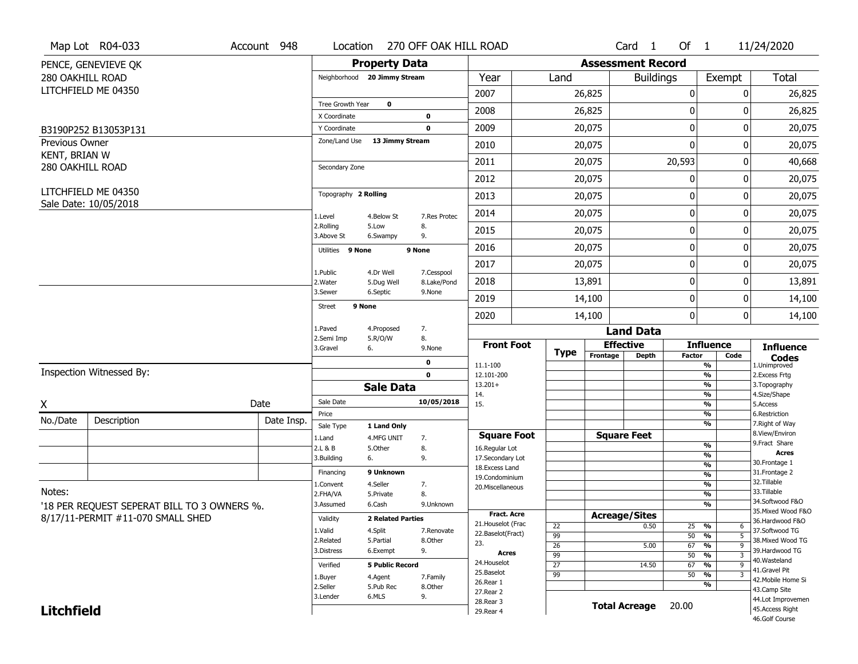|                   | Map Lot R04-033                             | Account 948 | Location                     |                              | 270 OFF OAK HILL ROAD |                                     |                 |                          | Card <sub>1</sub>    | Of $1$           |                                        | 11/24/2020                           |
|-------------------|---------------------------------------------|-------------|------------------------------|------------------------------|-----------------------|-------------------------------------|-----------------|--------------------------|----------------------|------------------|----------------------------------------|--------------------------------------|
|                   | PENCE, GENEVIEVE OK                         |             |                              | <b>Property Data</b>         |                       |                                     |                 | <b>Assessment Record</b> |                      |                  |                                        |                                      |
| 280 OAKHILL ROAD  |                                             |             |                              | Neighborhood 20 Jimmy Stream |                       | Year                                | Land            |                          | <b>Buildings</b>     |                  | Exempt                                 | Total                                |
|                   | LITCHFIELD ME 04350                         |             |                              |                              |                       | 2007                                |                 | 26,825                   |                      | $\boldsymbol{0}$ | 0                                      | 26,825                               |
|                   |                                             |             | Tree Growth Year             | $\mathbf 0$                  |                       | 2008                                |                 | 26,825                   |                      | 0                | 0                                      | 26,825                               |
|                   | B3190P252 B13053P131                        |             | X Coordinate<br>Y Coordinate |                              | 0<br>$\mathbf 0$      | 2009                                |                 | 20,075                   |                      | $\mathbf 0$      | 0                                      | 20,075                               |
| Previous Owner    |                                             |             | Zone/Land Use                | 13 Jimmy Stream              |                       | 2010                                |                 | 20,075                   |                      | $\mathbf{0}$     | 0                                      | 20,075                               |
| KENT, BRIAN W     |                                             |             |                              |                              |                       | 2011                                |                 | 20,075                   |                      | 20,593           | 0                                      | 40,668                               |
| 280 OAKHILL ROAD  |                                             |             | Secondary Zone               |                              |                       | 2012                                |                 | 20,075                   |                      | 0                | 0                                      | 20,075                               |
|                   | LITCHFIELD ME 04350                         |             | Topography 2 Rolling         |                              |                       |                                     |                 |                          |                      |                  |                                        |                                      |
|                   | Sale Date: 10/05/2018                       |             |                              |                              |                       | 2013                                |                 | 20,075                   |                      | 0                | 0                                      | 20,075                               |
|                   |                                             |             | 1.Level<br>2.Rolling         | 4.Below St<br>5.Low          | 7.Res Protec<br>8.    | 2014                                |                 | 20,075                   |                      | 0                | 0                                      | 20,075                               |
|                   |                                             |             | 3.Above St                   | 6.Swampy                     | 9.                    | 2015                                |                 | 20,075                   |                      | 0                | 0                                      | 20,075                               |
|                   |                                             |             | Utilities 9 None             |                              | 9 None                | 2016                                |                 | 20,075                   |                      | $\boldsymbol{0}$ | 0                                      | 20,075                               |
|                   |                                             |             | 1.Public                     | 4.Dr Well                    | 7.Cesspool            | 2017                                |                 | 20,075                   |                      | $\mathbf 0$      | 0                                      | 20,075                               |
|                   |                                             |             | 2. Water                     | 5.Dug Well                   | 8.Lake/Pond           | 2018                                |                 | 13,891                   |                      | 0                | 0                                      | 13,891                               |
|                   |                                             |             | 3.Sewer                      | 6.Septic<br>9 None           | 9.None                | 2019                                |                 | 14,100                   |                      | $\boldsymbol{0}$ | 0                                      | 14,100                               |
|                   |                                             |             | Street                       |                              |                       | 2020                                |                 | 14,100                   |                      | $\mathbf 0$      | 0                                      | 14,100                               |
|                   |                                             |             | 1.Paved<br>2.Semi Imp        | 4.Proposed<br>5.R/O/W        | 7.<br>8.              |                                     |                 |                          | <b>Land Data</b>     |                  |                                        |                                      |
|                   |                                             |             | 3.Gravel                     | 6.                           | 9.None                | <b>Front Foot</b>                   | Type            | <b>Effective</b>         |                      |                  | <b>Influence</b>                       | <b>Influence</b>                     |
|                   |                                             |             |                              |                              | $\mathbf 0$           | 11.1-100                            |                 | Frontage                 | <b>Depth</b>         | <b>Factor</b>    | Code<br>$\frac{9}{6}$                  | <b>Codes</b><br>1.Unimproved         |
|                   | Inspection Witnessed By:                    |             |                              |                              | $\mathbf 0$           | 12.101-200                          |                 |                          |                      |                  | $\frac{9}{6}$                          | 2. Excess Frtg                       |
|                   |                                             |             |                              | <b>Sale Data</b>             |                       | $13.201+$<br>14.                    |                 |                          |                      |                  | $\frac{9}{6}$<br>%                     | 3. Topography<br>4.Size/Shape        |
| X                 |                                             | Date        | Sale Date                    |                              | 10/05/2018            | 15.                                 |                 |                          |                      |                  | $\frac{9}{6}$                          | 5.Access                             |
| No./Date          | Description                                 | Date Insp.  | Price<br>Sale Type           | 1 Land Only                  |                       |                                     |                 |                          |                      |                  | %<br>%                                 | 6.Restriction<br>7. Right of Way     |
|                   |                                             |             | 1.Land                       | 4.MFG UNIT                   | 7.                    | <b>Square Foot</b>                  |                 | <b>Square Feet</b>       |                      |                  |                                        | 8.View/Environ                       |
|                   |                                             |             | 2.L & B                      | 5.Other                      | 8.                    | 16.Regular Lot                      |                 |                          |                      |                  | $\frac{9}{6}$                          | 9. Fract Share<br><b>Acres</b>       |
|                   |                                             |             | 3.Building                   | 6.                           | 9.                    | 17.Secondary Lot<br>18. Excess Land |                 |                          |                      |                  | %<br>%                                 | 30. Frontage 1                       |
|                   |                                             |             | Financing                    | 9 Unknown                    |                       | 19.Condominium                      |                 |                          |                      |                  | %                                      | 31. Frontage 2                       |
| Notes:            |                                             |             | 1.Convent                    | 4.Seller                     | 7.                    | 20.Miscellaneous                    |                 |                          |                      |                  | %                                      | 32.Tillable                          |
|                   |                                             |             | 2.FHA/VA                     | 5.Private                    | 8.                    |                                     |                 |                          |                      |                  | %                                      | 33.Tillable<br>34.Softwood F&O       |
|                   | '18 PER REQUEST SEPERAT BILL TO 3 OWNERS %. |             | 3.Assumed                    | 6.Cash                       | 9.Unknown             | <b>Fract. Acre</b>                  |                 |                          |                      |                  | %                                      | 35. Mixed Wood F&O                   |
|                   | 8/17/11-PERMIT #11-070 SMALL SHED           |             | Validity                     | <b>2 Related Parties</b>     |                       | 21. Houselot (Frac                  | 22              | <b>Acreage/Sites</b>     | 0.50                 | $25 - 9/6$       | 6                                      | 36.Hardwood F&O                      |
|                   |                                             |             | 1.Valid                      | 4.Split                      | 7.Renovate            | 22.Baselot(Fract)                   | 99              |                          |                      | 50               | $\frac{1}{\sqrt{6}}$<br>$\overline{5}$ | 37.Softwood TG                       |
|                   |                                             |             | 2.Related                    | 5.Partial                    | 8.Other               | 23.                                 | 26              |                          | 5.00                 | 67               | $\frac{1}{\sqrt{6}}$<br>9              | 38. Mixed Wood TG                    |
|                   |                                             |             | 3.Distress                   | 6.Exempt                     | 9.                    | Acres                               | 99              |                          |                      | 50               | %<br>3                                 | 39.Hardwood TG<br>40.Wasteland       |
|                   |                                             |             | Verified                     | <b>5 Public Record</b>       |                       | 24. Houselot                        | $\overline{27}$ |                          | 14.50                | 67               | $\frac{9}{6}$<br>9                     | 41.Gravel Pit                        |
|                   |                                             |             | 1.Buyer                      | 4.Agent                      | 7.Family              | 25.Baselot<br>26.Rear 1             | 99              |                          |                      | 50               | %<br>$\overline{3}$                    | 42. Mobile Home Si                   |
|                   |                                             |             | 2.Seller                     | 5.Pub Rec                    | 8.0ther               | 27. Rear 2                          |                 |                          |                      |                  | $\overline{\frac{9}{6}}$               | 43.Camp Site                         |
|                   |                                             |             | 3.Lender                     | 6.MLS                        | 9.                    |                                     |                 |                          |                      |                  |                                        |                                      |
| <b>Litchfield</b> |                                             |             |                              |                              |                       | 28. Rear 3                          |                 |                          | <b>Total Acreage</b> | 20.00            |                                        | 44.Lot Improvemen<br>45.Access Right |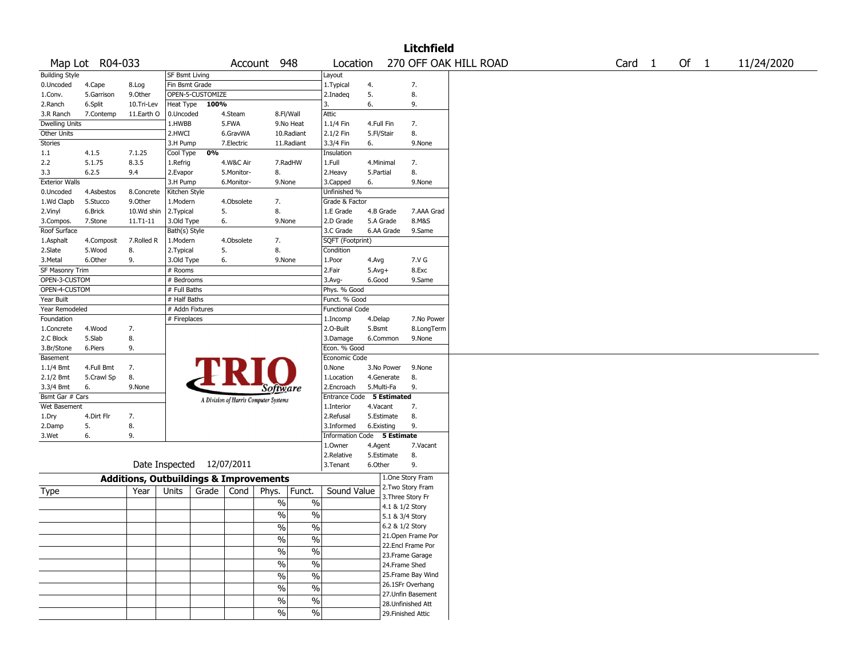|                        |                 |                                                   |                       |                           |            |                                           |                             |            |                   | <b>Litchfield</b>  |                       |        |        |            |
|------------------------|-----------------|---------------------------------------------------|-----------------------|---------------------------|------------|-------------------------------------------|-----------------------------|------------|-------------------|--------------------|-----------------------|--------|--------|------------|
|                        | Map Lot R04-033 |                                                   |                       |                           |            | Account 948                               | Location                    |            |                   |                    | 270 OFF OAK HILL ROAD | Card 1 | Of $1$ | 11/24/2020 |
| <b>Building Style</b>  |                 |                                                   | <b>SF Bsmt Living</b> |                           |            |                                           | Layout                      |            |                   |                    |                       |        |        |            |
| 0.Uncoded              | 4.Cape          | 8.Log                                             | Fin Bsmt Grade        |                           |            |                                           | 1. Typical                  | 4.         |                   | 7.                 |                       |        |        |            |
| 1.Conv.                | 5.Garrison      | 9.Other                                           |                       | OPEN-5-CUSTOMIZE          |            |                                           | 2.Inadeq                    | 5.         |                   | 8.                 |                       |        |        |            |
| 2.Ranch                | 6.Split         | 10.Tri-Lev                                        | <b>Heat Type</b>      | 100%                      |            |                                           | 3.                          | 6.         |                   | 9.                 |                       |        |        |            |
| 3.R Ranch              | 7.Contemp       | 11.Earth O                                        | 0.Uncoded             |                           | 4.Steam    | 8.Fl/Wall                                 | <b>Attic</b>                |            |                   |                    |                       |        |        |            |
| <b>Dwelling Units</b>  |                 |                                                   | 1.HWBB                |                           | 5.FWA      | 9.No Heat                                 | 1.1/4 Fin                   | 4.Full Fin |                   | 7.                 |                       |        |        |            |
| Other Units            |                 |                                                   | 2.HWCI                |                           | 6.GravWA   | 10.Radiant                                | 2.1/2 Fin                   | 5.Fl/Stair |                   | 8.                 |                       |        |        |            |
| Stories                |                 |                                                   | 3.H Pump              |                           | 7.Electric | 11.Radiant                                | 3.3/4 Fin                   | 6.         |                   | 9.None             |                       |        |        |            |
| 1.1                    | 4.1.5           | 7.1.25                                            | Cool Type             | 0%                        |            |                                           | Insulation                  |            |                   |                    |                       |        |        |            |
| 2.2                    | 5.1.75          | 8.3.5                                             | 1.Refrig              |                           | 4.W&C Air  | 7.RadHW                                   | 1.Full                      | 4.Minimal  |                   | 7.                 |                       |        |        |            |
| 3.3                    | 6.2.5           | 9.4                                               | 2.Evapor              |                           | 5.Monitor- | 8.                                        | 2.Heavy                     | 5.Partial  |                   | 8.                 |                       |        |        |            |
| <b>Exterior Walls</b>  |                 |                                                   | 3.H Pump              |                           | 6.Monitor- | 9.None                                    | 3.Capped                    | 6.         |                   | 9.None             |                       |        |        |            |
| 0.Uncoded              | 4.Asbestos      | 8.Concrete                                        | Kitchen Style         |                           |            |                                           | Unfinished %                |            |                   |                    |                       |        |        |            |
| 1.Wd Clapb             | 5.Stucco        | 9.Other                                           | 1.Modern              |                           | 4.Obsolete | 7.                                        | Grade & Factor              |            |                   |                    |                       |        |        |            |
| 2.Vinyl                | 6.Brick         | 10.Wd shin                                        | 2. Typical            |                           | 5.         | 8.                                        | 1.E Grade                   | 4.B Grade  |                   | 7.AAA Grad         |                       |        |        |            |
| 3.Compos.              | 7.Stone         | 11.T1-11                                          | 3.Old Type            |                           | 6.         | 9.None                                    | 2.D Grade                   | 5.A Grade  |                   | 8.M&S              |                       |        |        |            |
| Roof Surface           |                 |                                                   |                       |                           |            |                                           | 3.C Grade                   |            | 6.AA Grade        | 9.Same             |                       |        |        |            |
|                        |                 |                                                   | Bath(s) Style         |                           |            |                                           |                             |            |                   |                    |                       |        |        |            |
| 1.Asphalt              | 4.Composit      | 7.Rolled R                                        | 1.Modern              |                           | 4.Obsolete | 7.                                        | SQFT (Footprint)            |            |                   |                    |                       |        |        |            |
| 2.Slate                | 5.Wood          | 8.                                                | 2. Typical            |                           | 5.         | 8.                                        | Condition                   |            |                   |                    |                       |        |        |            |
| 3.Metal                | 6.Other         | 9.                                                | 3.Old Type            |                           | 6.         | 9.None                                    | 1.Poor                      | 4.Avg      |                   | 7.V G              |                       |        |        |            |
| <b>SF Masonry Trim</b> |                 |                                                   | # Rooms               |                           |            |                                           | 2.Fair                      | $5.Avg+$   |                   | 8.Exc              |                       |        |        |            |
| OPEN-3-CUSTOM          |                 |                                                   | # Bedrooms            |                           |            |                                           | $3.$ Avg-                   | 6.Good     |                   | 9.Same             |                       |        |        |            |
| OPEN-4-CUSTOM          |                 |                                                   | # Full Baths          |                           |            |                                           | Phys. % Good                |            |                   |                    |                       |        |        |            |
| Year Built             |                 |                                                   | # Half Baths          |                           |            |                                           | Funct. % Good               |            |                   |                    |                       |        |        |            |
| Year Remodeled         |                 |                                                   | # Addn Fixtures       |                           |            |                                           | <b>Functional Code</b>      |            |                   |                    |                       |        |        |            |
| Foundation             |                 |                                                   | # Fireplaces          |                           |            |                                           | 1.Incomp                    | 4.Delap    |                   | 7.No Power         |                       |        |        |            |
| 1.Concrete             | 4.Wood          | 7.                                                |                       |                           |            |                                           | 2.0-Built                   | 5.Bsmt     |                   | 8.LongTerm         |                       |        |        |            |
| 2.C Block              | 5.Slab          | 8.                                                |                       |                           |            |                                           | 3.Damage                    |            | 6.Common          | 9.None             |                       |        |        |            |
| 3.Br/Stone             | 6.Piers         | 9.                                                |                       |                           |            |                                           | Econ. % Good                |            |                   |                    |                       |        |        |            |
| Basement               |                 |                                                   |                       |                           |            |                                           | Economic Code               |            |                   |                    |                       |        |        |            |
| $1.1/4$ Bmt            | 4.Full Bmt      | 7.                                                |                       |                           |            |                                           | 0.None                      |            | 3.No Power        | 9.None             |                       |        |        |            |
| $2.1/2$ Bmt            | 5.Crawl Sp      | 8.                                                |                       |                           |            |                                           | 1.Location                  |            | 4.Generate        | 8.                 |                       |        |        |            |
| 3.3/4 Bmt              | 6.              | 9.None                                            |                       |                           |            | Software                                  | 2.Encroach                  | 5.Multi-Fa |                   | 9.                 |                       |        |        |            |
| Bsmt Gar # Cars        |                 |                                                   |                       |                           |            | A Division of Harris Computer Systems     | Entrance Code 5 Estimated   |            |                   |                    |                       |        |        |            |
| Wet Basement           |                 |                                                   |                       |                           |            |                                           | 1.Interior                  | 4.Vacant   |                   | 7.                 |                       |        |        |            |
| 1.Dry                  | 4.Dirt Flr      | 7.                                                |                       |                           |            |                                           | 2.Refusal                   |            | 5.Estimate        | 8.                 |                       |        |        |            |
| 2.Damp                 | 5.              | 8.                                                |                       |                           |            |                                           | 3.Informed                  | 6.Existing |                   | 9.                 |                       |        |        |            |
| 3.Wet                  | 6.              | 9.                                                |                       |                           |            |                                           | Information Code 5 Estimate |            |                   |                    |                       |        |        |            |
|                        |                 |                                                   |                       |                           |            |                                           | 1.Owner                     | 4.Agent    |                   | 7.Vacant           |                       |        |        |            |
|                        |                 |                                                   |                       |                           |            |                                           | 2.Relative                  |            | 5.Estimate        | 8.                 |                       |        |        |            |
|                        |                 |                                                   |                       | Date Inspected 12/07/2011 |            |                                           | 3. Tenant                   | 6.Other    |                   | 9.                 |                       |        |        |            |
|                        |                 | <b>Additions, Outbuildings &amp; Improvements</b> |                       |                           |            |                                           |                             |            |                   | 1.One Story Fram   |                       |        |        |            |
|                        |                 |                                                   |                       |                           |            |                                           | Sound Value                 |            |                   | 2. Two Story Fram  |                       |        |        |            |
| Type                   |                 | Year                                              | Units                 | Grade                     | Cond       | Funct.<br>Phys.                           |                             |            | 3. Three Story Fr |                    |                       |        |        |            |
|                        |                 |                                                   |                       |                           |            | $\%$<br>$\%$                              |                             |            | 4.1 & 1/2 Story   |                    |                       |        |        |            |
|                        |                 |                                                   |                       |                           |            | $\%$<br>$\%$                              |                             |            | 5.1 & 3/4 Story   |                    |                       |        |        |            |
|                        |                 |                                                   |                       |                           |            | $\frac{1}{2}$<br>$\overline{\frac{0}{0}}$ |                             |            | 6.2 & 1/2 Story   |                    |                       |        |        |            |
|                        |                 |                                                   |                       |                           |            |                                           |                             |            |                   | 21.Open Frame Por  |                       |        |        |            |
|                        |                 |                                                   |                       |                           |            | $\%$<br>$\%$                              |                             |            |                   | 22.Encl Frame Por  |                       |        |        |            |
|                        |                 |                                                   |                       |                           |            | $\sqrt{6}$<br>$\%$                        |                             |            |                   | 23. Frame Garage   |                       |        |        |            |
|                        |                 |                                                   |                       |                           |            | $\%$<br>$\%$                              |                             |            | 24.Frame Shed     |                    |                       |        |        |            |
|                        |                 |                                                   |                       |                           |            | $\overline{\frac{0}{6}}$                  |                             |            |                   | 25.Frame Bay Wind  |                       |        |        |            |
|                        |                 |                                                   |                       |                           |            | %                                         |                             |            |                   | 26.1SFr Overhang   |                       |        |        |            |
|                        |                 |                                                   |                       |                           |            | $\overline{\frac{0}{6}}$<br>$\frac{0}{0}$ |                             |            |                   | 27.Unfin Basement  |                       |        |        |            |
|                        |                 |                                                   |                       |                           |            | $\overline{\frac{0}{6}}$<br>$\%$          |                             |            |                   | 28.Unfinished Att  |                       |        |        |            |
|                        |                 |                                                   |                       |                           |            | $\frac{9}{6}$<br>$\%$                     |                             |            |                   |                    |                       |        |        |            |
|                        |                 |                                                   |                       |                           |            |                                           |                             |            |                   | 29. Finished Attic |                       |        |        |            |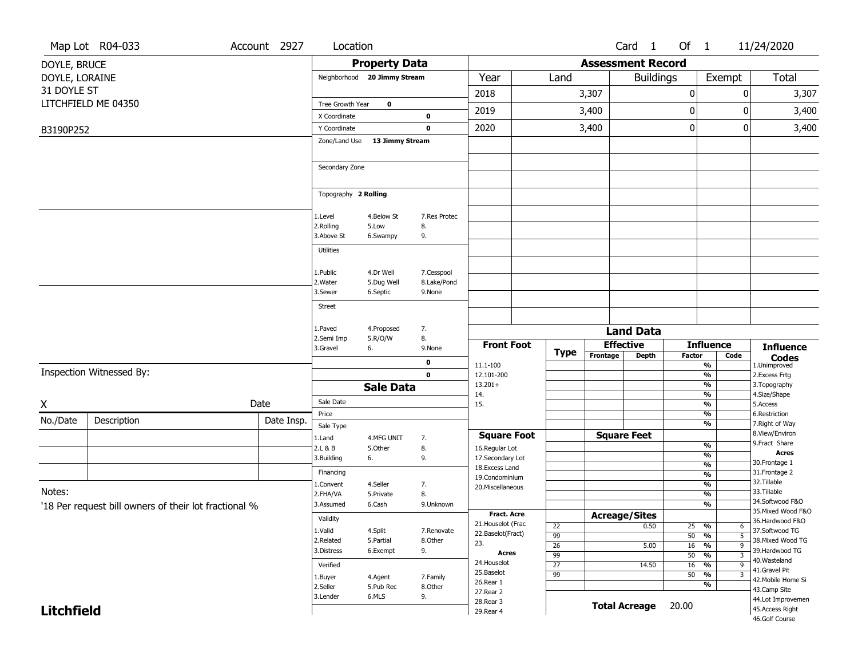|                                 | Map Lot R04-033                                       | Account 2927 | Location              |                              |                            |                                    |                       |                          | Card <sub>1</sub>    | Of 1             |                                                   | 11/24/2020                        |
|---------------------------------|-------------------------------------------------------|--------------|-----------------------|------------------------------|----------------------------|------------------------------------|-----------------------|--------------------------|----------------------|------------------|---------------------------------------------------|-----------------------------------|
| DOYLE, BRUCE                    |                                                       |              |                       | <b>Property Data</b>         |                            |                                    |                       | <b>Assessment Record</b> |                      |                  |                                                   |                                   |
| DOYLE, LORAINE                  |                                                       |              |                       | Neighborhood 20 Jimmy Stream |                            | Year                               | Land                  |                          | <b>Buildings</b>     |                  | Exempt                                            | Total                             |
| 31 DOYLE ST                     |                                                       |              |                       |                              |                            | 2018                               |                       | 3,307                    |                      | $\pmb{0}$        |                                                   | 3,307<br>0                        |
|                                 | LITCHFIELD ME 04350                                   |              | Tree Growth Year      | 0                            |                            | 2019                               |                       | 3,400                    |                      | $\boldsymbol{0}$ |                                                   | 0<br>3,400                        |
|                                 |                                                       |              | X Coordinate          |                              | $\bf{0}$                   |                                    |                       |                          |                      |                  |                                                   |                                   |
| B3190P252                       |                                                       |              | Y Coordinate          |                              | $\mathbf 0$                | 2020                               |                       | 3,400                    |                      | $\mathbf 0$      |                                                   | 3,400<br>0                        |
|                                 |                                                       |              | Zone/Land Use         | 13 Jimmy Stream              |                            |                                    |                       |                          |                      |                  |                                                   |                                   |
|                                 |                                                       |              | Secondary Zone        |                              |                            |                                    |                       |                          |                      |                  |                                                   |                                   |
|                                 |                                                       |              |                       |                              |                            |                                    |                       |                          |                      |                  |                                                   |                                   |
|                                 |                                                       |              | Topography 2 Rolling  |                              |                            |                                    |                       |                          |                      |                  |                                                   |                                   |
|                                 |                                                       |              |                       | 4.Below St                   | 7.Res Protec               |                                    |                       |                          |                      |                  |                                                   |                                   |
|                                 |                                                       |              | 1.Level<br>2.Rolling  | 5.Low                        | 8.                         |                                    |                       |                          |                      |                  |                                                   |                                   |
|                                 |                                                       |              | 3.Above St            | 6.Swampy                     | 9.                         |                                    |                       |                          |                      |                  |                                                   |                                   |
|                                 |                                                       |              | <b>Utilities</b>      |                              |                            |                                    |                       |                          |                      |                  |                                                   |                                   |
|                                 |                                                       |              | 1.Public              | 4.Dr Well                    | 7.Cesspool                 |                                    |                       |                          |                      |                  |                                                   |                                   |
|                                 |                                                       |              | 2. Water              | 5.Dug Well                   | 8.Lake/Pond                |                                    |                       |                          |                      |                  |                                                   |                                   |
|                                 |                                                       |              | 3.Sewer               | 6.Septic                     | 9.None                     |                                    |                       |                          |                      |                  |                                                   |                                   |
|                                 |                                                       |              | <b>Street</b>         |                              |                            |                                    |                       |                          |                      |                  |                                                   |                                   |
|                                 |                                                       |              | 1.Paved               | 4.Proposed                   | 7.                         |                                    |                       |                          | <b>Land Data</b>     |                  |                                                   |                                   |
|                                 |                                                       |              | 2.Semi Imp            | 5.R/O/W                      | 8.                         | <b>Front Foot</b>                  |                       |                          | <b>Effective</b>     |                  | <b>Influence</b>                                  |                                   |
|                                 |                                                       |              | 3.Gravel              | 6.                           | 9.None                     |                                    | <b>Type</b>           | Frontage                 | <b>Depth</b>         | <b>Factor</b>    | Code                                              | <b>Influence</b><br><b>Codes</b>  |
|                                 | Inspection Witnessed By:                              |              |                       |                              | $\mathbf 0$<br>$\mathbf 0$ | 11.1-100<br>12.101-200             |                       |                          |                      |                  | $\frac{9}{6}$<br>$\frac{9}{6}$                    | 1.Unimproved<br>2.Excess Frtg     |
|                                 |                                                       |              |                       | <b>Sale Data</b>             |                            | $13.201+$                          |                       |                          |                      |                  | $\frac{9}{6}$                                     | 3. Topography                     |
|                                 |                                                       | Date         | Sale Date             |                              |                            | 14.<br>15.                         |                       |                          |                      |                  | $\frac{9}{6}$<br>$\frac{9}{6}$                    | 4.Size/Shape<br>5.Access          |
| $\frac{\mathsf{X}}{\mathsf{I}}$ |                                                       |              | Price                 |                              |                            |                                    |                       |                          |                      |                  | $\frac{9}{6}$                                     | 6.Restriction                     |
| No./Date                        | Description                                           | Date Insp.   | Sale Type             |                              |                            |                                    |                       |                          |                      |                  | $\frac{9}{6}$                                     | 7. Right of Way                   |
|                                 |                                                       |              | 1.Land                | 4.MFG UNIT                   | 7.                         | <b>Square Foot</b>                 |                       |                          | <b>Square Feet</b>   |                  | %                                                 | 8.View/Environ<br>9.Fract Share   |
|                                 |                                                       |              | 2.L & B<br>3.Building | 5.Other<br>6.                | 8.<br>9.                   | 16.Regular Lot<br>17.Secondary Lot |                       |                          |                      |                  | %                                                 | <b>Acres</b>                      |
|                                 |                                                       |              | Financing             |                              |                            | 18. Excess Land                    |                       |                          |                      |                  | %<br>%                                            | 30. Frontage 1<br>31. Frontage 2  |
|                                 |                                                       |              | 1.Convent             | 4.Seller                     | 7.                         | 19.Condominium<br>20.Miscellaneous |                       |                          |                      |                  | %                                                 | 32. Tillable                      |
| Notes:                          |                                                       |              | 2.FHA/VA              | 5.Private                    | 8.                         |                                    |                       |                          |                      |                  | %                                                 | 33.Tillable<br>34.Softwood F&O    |
|                                 | '18 Per request bill owners of their lot fractional % |              | 3.Assumed             | 6.Cash                       | 9.Unknown                  | <b>Fract. Acre</b>                 |                       |                          | <b>Acreage/Sites</b> |                  | %                                                 | 35. Mixed Wood F&O                |
|                                 |                                                       |              | Validity<br>1.Valid   | 4.Split                      |                            | 21. Houselot (Frac                 | 22                    |                          | 0.50                 |                  | $25 - 9/6$<br>$\sigma$                            | 36.Hardwood F&O<br>37.Softwood TG |
|                                 |                                                       |              | 2.Related             | 5.Partial                    | 7.Renovate<br>8.Other      | 22.Baselot(Fract)<br>23.           | 99                    |                          |                      |                  | $\overline{5}$<br>50 %                            | 38. Mixed Wood TG                 |
|                                 |                                                       |              | 3.Distress            | 6.Exempt                     | 9.                         | Acres                              | $\overline{26}$<br>99 |                          | 5.00                 | 16               | $\frac{9}{6}$<br>$\overline{9}$<br>$50 - 96$<br>3 | 39.Hardwood TG                    |
|                                 |                                                       |              | Verified              |                              |                            | 24. Houselot<br>25.Baselot         | $\overline{27}$       |                          | 14.50                | 16               | $\frac{9}{6}$<br>9                                | 40.Wasteland<br>41.Gravel Pit     |
|                                 |                                                       |              | 1.Buyer               | 4.Agent                      | 7.Family                   | 26.Rear 1                          | $\overline{99}$       |                          |                      |                  | $50 - 96$<br>3<br>%                               | 42. Mobile Home Si                |
|                                 |                                                       |              | 2.Seller<br>3.Lender  | 5.Pub Rec<br>6.MLS           | 8.Other<br>9.              | 27.Rear 2                          |                       |                          |                      |                  |                                                   | 43.Camp Site<br>44.Lot Improvemen |
| <b>Litchfield</b>               |                                                       |              |                       |                              |                            | 28. Rear 3<br>29. Rear 4           |                       |                          | <b>Total Acreage</b> | 20.00            |                                                   | 45.Access Right                   |
|                                 |                                                       |              |                       |                              |                            |                                    |                       |                          |                      |                  |                                                   | 46.Golf Course                    |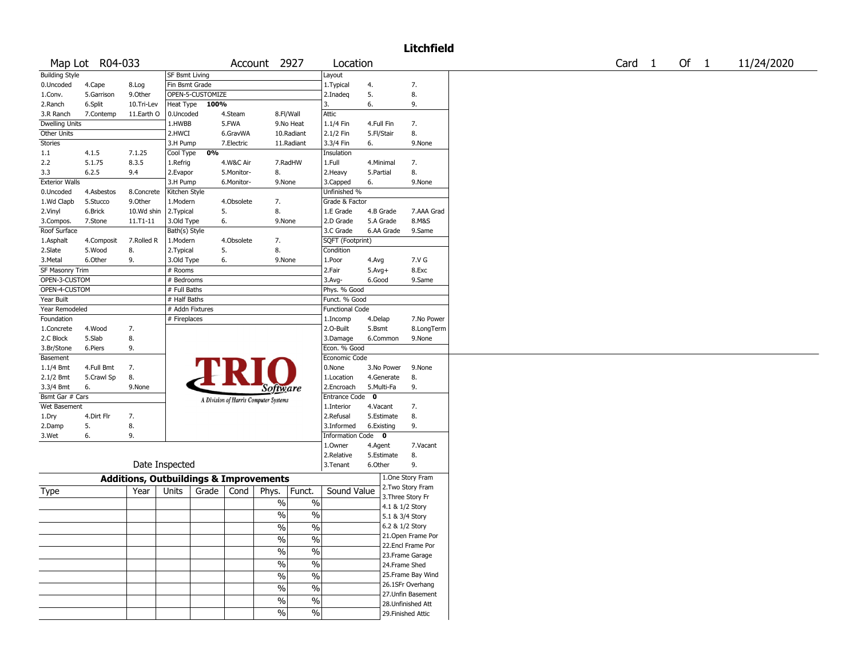## Litchfield

|                        | Map Lot R04-033 |                                                   |                            |                  |            | Account 2927                          |                          | Location               |                          |                 |                    |
|------------------------|-----------------|---------------------------------------------------|----------------------------|------------------|------------|---------------------------------------|--------------------------|------------------------|--------------------------|-----------------|--------------------|
| <b>Building Style</b>  |                 |                                                   | <b>SF Bsmt Living</b>      |                  |            |                                       |                          | Layout                 |                          |                 |                    |
| 0.Uncoded              | 4.Cape          | 8.Log                                             | Fin Bsmt Grade             |                  |            |                                       |                          | 1. Typical             | 4.                       |                 | 7.                 |
| 1.Conv.                | 5.Garrison      | 9.Other                                           |                            | OPEN-5-CUSTOMIZE |            |                                       |                          | 2.Inadeq               | 5.                       |                 | 8.                 |
| 2.Ranch                | 6.Split         | 10.Tri-Lev                                        |                            | Heat Type 100%   |            |                                       |                          | 3.                     | 6.                       |                 | 9.                 |
| 3.R Ranch              | 7.Contemp       | 11.Earth O                                        | 0.Uncoded                  |                  | 4.Steam    |                                       | 8.Fl/Wall                | Attic                  |                          |                 |                    |
| <b>Dwelling Units</b>  |                 |                                                   | 1.HWBB                     |                  | 5.FWA      |                                       | 9.No Heat                | 1.1/4 Fin              | 4.Full Fin               |                 | 7.                 |
| <b>Other Units</b>     |                 |                                                   | 2.HWCI                     |                  | 6.GravWA   |                                       | 10.Radiant               | 2.1/2 Fin              | 5.Fl/Stair               |                 | 8.                 |
| <b>Stories</b>         |                 |                                                   | 3.H Pump                   |                  | 7.Electric |                                       | 11.Radiant               | 3.3/4 Fin              | 6.                       |                 | 9.None             |
| 1.1                    | 4.1.5           | 7.1.25                                            | Cool Type                  | 0%               |            |                                       |                          | Insulation             |                          |                 |                    |
| 2.2                    | 5.1.75          | 8.3.5                                             | 1.Refrig                   |                  | 4.W&C Air  |                                       | 7.RadHW                  | 1.Full                 | 4.Minimal                |                 | 7.                 |
| 3.3                    | 6.2.5           | 9.4                                               | 2. Evapor                  |                  | 5.Monitor- | 8.                                    |                          | 2.Heavy                | 5.Partial                |                 | 8.                 |
| <b>Exterior Walls</b>  |                 |                                                   | 3.H Pump                   |                  | 6.Monitor- | 9.None                                |                          | 3.Capped               | 6.                       |                 | 9.None             |
| 0.Uncoded              | 4.Asbestos      | 8.Concrete                                        | Kitchen Style              |                  |            |                                       |                          | Unfinished %           |                          |                 |                    |
| 1.Wd Clapb             | 5.Stucco        | 9.Other                                           | 1.Modern                   |                  | 4.Obsolete | 7.                                    |                          | Grade & Factor         |                          |                 |                    |
| 2.Vinyl                | 6.Brick         | 10.Wd shin                                        | 2.Typical                  |                  | 5.         | 8.                                    |                          | 1.E Grade              |                          | 4.B Grade       | 7.AAA Grad         |
| 3.Compos.              | 7.Stone         | $11.71 - 11$                                      | 3.Old Type                 |                  | 6.         | 9.None                                |                          | 2.D Grade              |                          | 5.A Grade       | 8.M&S              |
| Roof Surface           |                 |                                                   | Bath(s) Style              |                  |            |                                       |                          | 3.C Grade              |                          | 6.AA Grade      | 9.Same             |
| 1.Asphalt              | 4.Composit      | 7.Rolled R                                        | 1.Modern                   |                  | 4.Obsolete | 7.                                    |                          | SQFT (Footprint)       |                          |                 |                    |
| 2.Slate                | 5.Wood          | 8.                                                | 2.Typical                  |                  | 5.         | 8.                                    |                          | Condition              |                          |                 |                    |
| 3.Metal                | 6.Other         | 9.                                                | 3.Old Type                 |                  | 6.         | 9.None                                |                          | 1.Poor                 | 4.Avg                    |                 | 7.V G              |
| <b>SF Masonry Trim</b> |                 |                                                   | # Rooms                    |                  |            |                                       |                          | 2.Fair                 | $5.$ Avg+                |                 | 8.Exc              |
| OPEN-3-CUSTOM          |                 |                                                   |                            |                  |            |                                       |                          |                        | 6.Good                   |                 |                    |
| OPEN-4-CUSTOM          |                 |                                                   | # Bedrooms<br># Full Baths |                  |            |                                       |                          | 3.Avg-                 |                          |                 | 9.Same             |
|                        |                 |                                                   |                            |                  |            |                                       |                          | Phys. % Good           |                          |                 |                    |
| Year Built             |                 |                                                   | # Half Baths               |                  |            |                                       |                          | Funct. % Good          |                          |                 |                    |
| Year Remodeled         |                 |                                                   | # Addn Fixtures            |                  |            |                                       |                          | <b>Functional Code</b> |                          |                 |                    |
| Foundation             |                 |                                                   | # Fireplaces               |                  |            |                                       |                          | 1.Incomp               | 4.Delap                  |                 | 7.No Power         |
| 1.Concrete             | 4.Wood          | 7.                                                |                            |                  |            |                                       |                          | 2.0-Built              | 5.Bsmt                   |                 | 8.LongTerm         |
| 2.C Block              | 5.Slab          | 8.                                                |                            |                  |            |                                       |                          | 3.Damage               |                          | 6.Common        | 9.None             |
| 3.Br/Stone             | 6.Piers         | 9.                                                |                            |                  |            |                                       |                          | Econ. % Good           |                          |                 |                    |
| Basement               |                 |                                                   |                            |                  |            |                                       |                          | Economic Code          |                          |                 |                    |
| $1.1/4$ Bmt            | 4.Full Bmt      | 7.                                                |                            |                  |            |                                       |                          | 0.None                 |                          | 3.No Power      | 9.None             |
| $2.1/2$ Bmt            | 5.Crawl Sp      | 8.                                                |                            |                  |            |                                       |                          | 1.Location             |                          | 4.Generate      | 8.                 |
| 3.3/4 Bmt              | 6.              | 9.None                                            |                            |                  |            | Software                              |                          | 2.Encroach             |                          | 5.Multi-Fa      | 9.                 |
| Bsmt Gar # Cars        |                 |                                                   |                            |                  |            | A Division of Harris Computer Systems |                          | <b>Entrance Code</b>   | $\overline{\phantom{a}}$ |                 |                    |
| <b>Wet Basement</b>    |                 |                                                   |                            |                  |            |                                       |                          | 1.Interior             | 4.Vacant                 |                 | 7.                 |
| 1.Dry                  | 4.Dirt Flr      | 7.                                                |                            |                  |            |                                       |                          | 2.Refusal              |                          | 5.Estimate      | 8.                 |
| 2.Damp                 | 5.              | 8.                                                |                            |                  |            |                                       |                          | 3.Informed             | 6.Existing               |                 | 9.                 |
| 3.Wet                  | 6.              | 9.                                                |                            |                  |            |                                       |                          | Information Code 0     |                          |                 |                    |
|                        |                 |                                                   |                            |                  |            |                                       |                          | 1.Owner                | 4.Agent                  |                 | 7.Vacant           |
|                        |                 |                                                   |                            |                  |            |                                       |                          | 2.Relative             |                          | 5.Estimate      | 8.                 |
|                        |                 |                                                   | Date Inspected             |                  |            |                                       |                          | 3. Tenant              | 6.Other                  |                 | 9.                 |
|                        |                 | <b>Additions, Outbuildings &amp; Improvements</b> |                            |                  |            |                                       |                          |                        |                          |                 | 1.One Story Fram   |
|                        |                 | Year                                              | Units                      | Grade            | Cond       | Phys.                                 | Funct.                   | Sound Value            |                          |                 | 2. Two Story Fram  |
| Type                   |                 |                                                   |                            |                  |            |                                       |                          |                        |                          |                 | 3. Three Story Fr  |
|                        |                 |                                                   |                            |                  |            | %                                     | $\%$                     |                        |                          | 4.1 & 1/2 Story |                    |
|                        |                 |                                                   |                            |                  |            | $\frac{1}{2}$                         | $\%$                     |                        |                          | 5.1 & 3/4 Story |                    |
|                        |                 |                                                   |                            |                  |            | $\frac{1}{2}$                         | $\%$                     |                        |                          | 6.2 & 1/2 Story |                    |
|                        |                 |                                                   |                            |                  |            |                                       |                          |                        |                          |                 | 21. Open Frame Por |
|                        |                 |                                                   |                            |                  |            | %                                     | $\%$                     |                        |                          |                 | 22.Encl Frame Por  |
|                        |                 |                                                   |                            |                  |            | $\%$                                  | $\overline{\frac{0}{0}}$ |                        |                          |                 | 23. Frame Garage   |
|                        |                 |                                                   |                            |                  |            | %                                     | $\%$                     |                        |                          | 24.Frame Shed   |                    |
|                        |                 |                                                   |                            |                  |            |                                       |                          |                        |                          |                 | 25. Frame Bay Wind |
|                        |                 |                                                   |                            |                  |            | $\frac{0}{6}$                         | $\%$                     |                        |                          |                 | 26.1SFr Overhang   |
|                        |                 |                                                   |                            |                  |            | %                                     | $\%$                     |                        |                          |                 | 27.Unfin Basement  |
|                        |                 |                                                   |                            |                  |            | $\frac{1}{2}$                         | $\%$                     |                        |                          |                 | 28. Unfinished Att |
|                        |                 |                                                   |                            |                  |            |                                       | $\overline{\%}$          |                        |                          |                 |                    |
|                        |                 |                                                   |                            |                  |            | %                                     |                          |                        |                          |                 | 29. Finished Attic |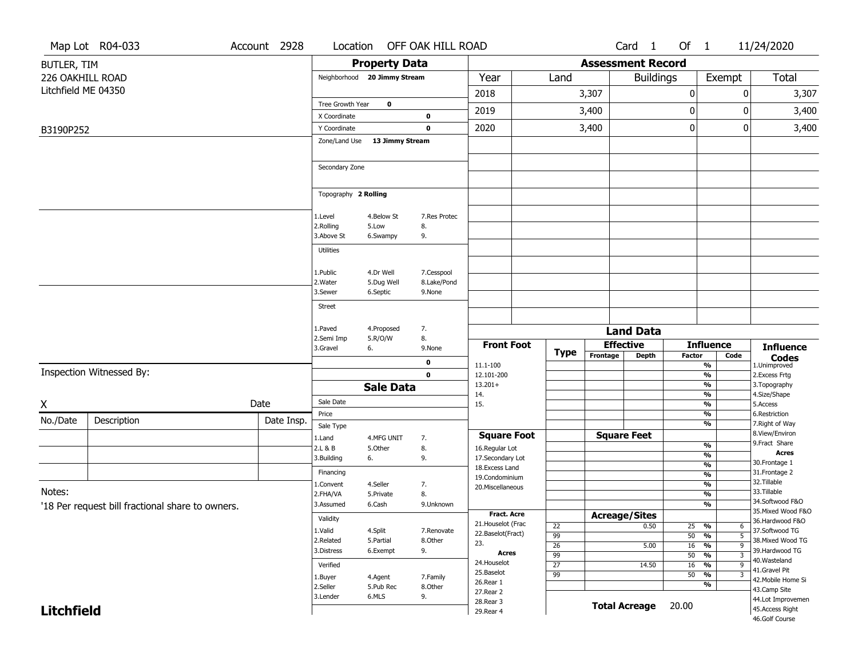|                     | Map Lot R04-033                                  | Account 2928 | Location                     |                       | OFF OAK HILL ROAD |                                         |                 |                          | Card <sub>1</sub>                    | Of $1$          |                                                                  | 11/24/2020                            |
|---------------------|--------------------------------------------------|--------------|------------------------------|-----------------------|-------------------|-----------------------------------------|-----------------|--------------------------|--------------------------------------|-----------------|------------------------------------------------------------------|---------------------------------------|
| BUTLER, TIM         |                                                  |              |                              | <b>Property Data</b>  |                   |                                         |                 | <b>Assessment Record</b> |                                      |                 |                                                                  |                                       |
| 226 OAKHILL ROAD    |                                                  |              | Neighborhood 20 Jimmy Stream |                       |                   | Year                                    | Land            |                          | <b>Buildings</b>                     |                 | Exempt                                                           | Total                                 |
| Litchfield ME 04350 |                                                  |              |                              |                       |                   | 2018                                    |                 | 3,307                    |                                      | 0               | 0                                                                | 3,307                                 |
|                     |                                                  |              | Tree Growth Year             | $\mathbf 0$           |                   | 2019                                    |                 | 3,400                    |                                      | 0               | 0                                                                | 3,400                                 |
|                     |                                                  |              | X Coordinate                 |                       | 0                 |                                         |                 |                          |                                      |                 |                                                                  |                                       |
| B3190P252           |                                                  |              | Y Coordinate                 |                       | $\mathbf 0$       | 2020                                    |                 | 3,400                    |                                      | 0               | 0                                                                | 3,400                                 |
|                     |                                                  |              | Zone/Land Use                | 13 Jimmy Stream       |                   |                                         |                 |                          |                                      |                 |                                                                  |                                       |
|                     |                                                  |              | Secondary Zone               |                       |                   |                                         |                 |                          |                                      |                 |                                                                  |                                       |
|                     |                                                  |              | Topography 2 Rolling         |                       |                   |                                         |                 |                          |                                      |                 |                                                                  |                                       |
|                     |                                                  |              | 1.Level                      | 4.Below St            | 7.Res Protec      |                                         |                 |                          |                                      |                 |                                                                  |                                       |
|                     |                                                  |              | 2.Rolling                    | 5.Low                 | 8.                |                                         |                 |                          |                                      |                 |                                                                  |                                       |
|                     |                                                  |              | 3.Above St                   | 6.Swampy              | 9.                |                                         |                 |                          |                                      |                 |                                                                  |                                       |
|                     |                                                  |              | Utilities                    |                       |                   |                                         |                 |                          |                                      |                 |                                                                  |                                       |
|                     |                                                  |              | 1.Public                     | 4.Dr Well             | 7.Cesspool        |                                         |                 |                          |                                      |                 |                                                                  |                                       |
|                     |                                                  |              | 2. Water                     | 5.Dug Well            | 8.Lake/Pond       |                                         |                 |                          |                                      |                 |                                                                  |                                       |
|                     |                                                  |              | 3.Sewer                      | 6.Septic              | 9.None            |                                         |                 |                          |                                      |                 |                                                                  |                                       |
|                     |                                                  |              | <b>Street</b>                |                       |                   |                                         |                 |                          |                                      |                 |                                                                  |                                       |
|                     |                                                  |              | 1.Paved                      | 4.Proposed            | 7.                |                                         |                 |                          |                                      |                 |                                                                  |                                       |
|                     |                                                  |              | 2.Semi Imp                   | 5.R/O/W               | 8.                |                                         |                 |                          | <b>Land Data</b><br><b>Effective</b> |                 | <b>Influence</b>                                                 |                                       |
|                     |                                                  |              | 3.Gravel                     | 6.                    | 9.None            | <b>Front Foot</b>                       | <b>Type</b>     | Frontage                 | <b>Depth</b>                         | <b>Factor</b>   | Code                                                             | <b>Influence</b><br><b>Codes</b>      |
|                     | Inspection Witnessed By:                         |              |                              |                       | 0                 | 11.1-100                                |                 |                          |                                      |                 | %                                                                | 1.Unimproved                          |
|                     |                                                  |              |                              |                       | $\mathbf 0$       | 12.101-200<br>$13.201+$                 |                 |                          |                                      |                 | %<br>%                                                           | 2.Excess Frtg<br>3. Topography        |
|                     |                                                  |              |                              | <b>Sale Data</b>      |                   | 14.                                     |                 |                          |                                      |                 | %                                                                | 4.Size/Shape                          |
| X                   |                                                  | Date         | Sale Date<br>Price           |                       |                   | 15.                                     |                 |                          |                                      |                 | %<br>%                                                           | 5.Access<br>6.Restriction             |
| No./Date            | Description                                      | Date Insp.   | Sale Type                    |                       |                   |                                         |                 |                          |                                      |                 | %                                                                | 7. Right of Way                       |
|                     |                                                  |              | 1.Land                       | 4.MFG UNIT            | 7.                | <b>Square Foot</b>                      |                 |                          | <b>Square Feet</b>                   |                 |                                                                  | 8.View/Environ                        |
|                     |                                                  |              | 2.L & B                      | 5.Other               | 8.                | 16.Regular Lot                          |                 |                          |                                      |                 | %                                                                | 9.Fract Share<br><b>Acres</b>         |
|                     |                                                  |              | 3.Building                   | 6.                    | 9.                | 17.Secondary Lot<br>18.Excess Land      |                 |                          |                                      |                 | %<br>$\overline{\frac{9}{6}}$                                    | 30. Frontage 1                        |
|                     |                                                  |              | Financing                    |                       |                   | 19.Condominium                          |                 |                          |                                      |                 | %                                                                | 31. Frontage 2<br>32.Tillable         |
| Notes:              |                                                  |              | 1.Convent<br>2.FHA/VA        | 4.Seller<br>5.Private | 7.<br>8.          | 20.Miscellaneous                        |                 |                          |                                      |                 | $\frac{9}{6}$<br>%                                               | 33.Tillable                           |
|                     | '18 Per request bill fractional share to owners. |              | 3.Assumed                    | 6.Cash                | 9.Unknown         |                                         |                 |                          |                                      |                 | $\frac{9}{6}$                                                    | 34.Softwood F&O                       |
|                     |                                                  |              | Validity                     |                       |                   | <b>Fract. Acre</b>                      |                 |                          | <b>Acreage/Sites</b>                 |                 |                                                                  | 35. Mixed Wood F&O<br>36.Hardwood F&O |
|                     |                                                  |              | 1.Valid                      | 4.Split               | 7.Renovate        | 21. Houselot (Frac<br>22.Baselot(Fract) | 22              |                          | 0.50                                 | 25 %            | 6                                                                | 37.Softwood TG                        |
|                     |                                                  |              | 2.Related                    | 5.Partial             | 8.Other           | 23.                                     | 99<br>26        |                          | 5.00                                 | 50<br>$16 - 96$ | $\frac{0}{6}$<br>$\overline{5}$<br>$\overline{9}$                | 38. Mixed Wood TG                     |
|                     |                                                  |              | 3.Distress                   | 6.Exempt              | 9.                | <b>Acres</b>                            | 99              |                          |                                      | 50              | $\frac{1}{\sqrt{6}}$<br>$\overline{\mathbf{3}}$                  | 39.Hardwood TG<br>40. Wasteland       |
|                     |                                                  |              | Verified                     |                       |                   | 24. Houselot<br>25.Baselot              | $\overline{27}$ |                          | 14.50                                | 16              | $\frac{9}{6}$<br>$\overline{9}$                                  | 41.Gravel Pit                         |
|                     |                                                  |              | 1.Buyer                      | 4.Agent               | 7.Family          | 26.Rear 1                               | $\overline{99}$ |                          |                                      | 50              | $\frac{1}{\sqrt{6}}$<br>$\overline{\mathbf{3}}$<br>$\frac{9}{6}$ | 42. Mobile Home Si                    |
|                     |                                                  |              | 2.Seller                     | 5.Pub Rec             | 8.Other           |                                         |                 |                          |                                      |                 |                                                                  | 43.Camp Site                          |
|                     |                                                  |              |                              |                       |                   | 27.Rear 2                               |                 |                          |                                      |                 |                                                                  |                                       |
| <b>Litchfield</b>   |                                                  |              | 3.Lender                     | 6.MLS                 | 9.                | 28. Rear 3<br>29. Rear 4                |                 |                          | <b>Total Acreage</b>                 | 20.00           |                                                                  | 44.Lot Improvemen<br>45.Access Right  |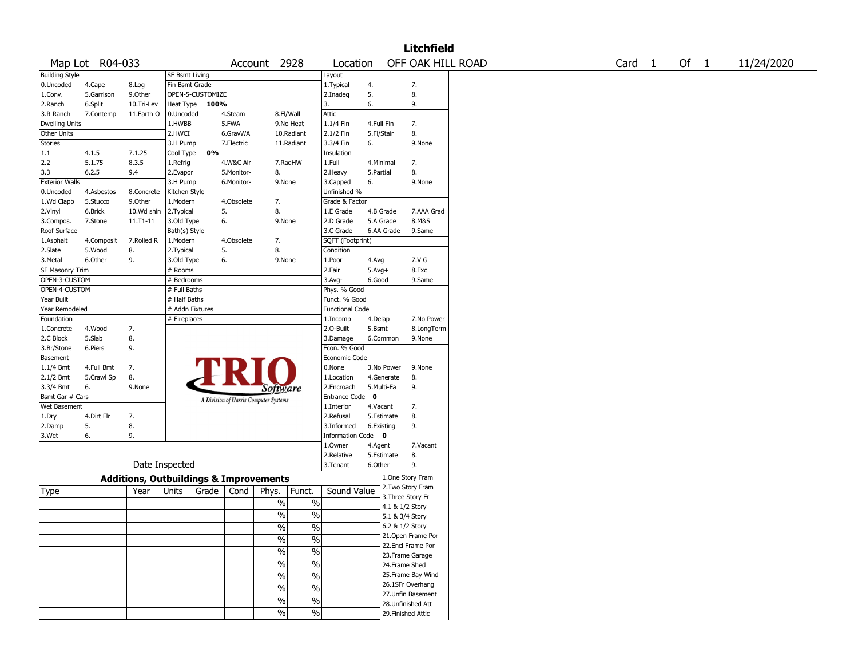|                       |                 |                                                   |                       |                  |            |                                       |               |                        |             |            | <b>Litchfield</b>  |  |        |        |            |
|-----------------------|-----------------|---------------------------------------------------|-----------------------|------------------|------------|---------------------------------------|---------------|------------------------|-------------|------------|--------------------|--|--------|--------|------------|
|                       | Map Lot R04-033 |                                                   |                       |                  |            | Account 2928                          |               | Location               |             |            | OFF OAK HILL ROAD  |  | Card 1 | Of $1$ | 11/24/2020 |
| <b>Building Style</b> |                 |                                                   | <b>SF Bsmt Living</b> |                  |            |                                       |               | Layout                 |             |            |                    |  |        |        |            |
| 0.Uncoded             | 4.Cape          | 8.Log                                             | Fin Bsmt Grade        |                  |            |                                       |               | 1. Typical             | 4.          |            | 7.                 |  |        |        |            |
| 1.Conv.               | 5.Garrison      | 9.0ther                                           |                       | OPEN-5-CUSTOMIZE |            |                                       |               | 2.Inadeg               | 5.          |            | 8.                 |  |        |        |            |
| 2.Ranch               | 6.Split         | 10.Tri-Lev                                        | Heat Type             | 100%             |            |                                       |               | 3.                     | 6.          |            | 9.                 |  |        |        |            |
| 3.R Ranch             | 7.Contemp       | 11.Earth O                                        | 0.Uncoded             |                  | 4.Steam    | 8.Fl/Wall                             |               | Attic                  |             |            |                    |  |        |        |            |
| <b>Dwelling Units</b> |                 |                                                   | 1.HWBB                |                  | 5.FWA      |                                       | 9.No Heat     | 1.1/4 Fin              | 4.Full Fin  |            | 7.                 |  |        |        |            |
| Other Units           |                 |                                                   | 2.HWCI                |                  | 6.GravWA   |                                       | 10.Radiant    | 2.1/2 Fin              | 5.Fl/Stair  |            | 8.                 |  |        |        |            |
| Stories               |                 |                                                   | 3.H Pump              |                  | 7.Electric |                                       | 11.Radiant    | 3.3/4 Fin              | 6.          |            | 9.None             |  |        |        |            |
| 1.1                   | 4.1.5           | 7.1.25                                            | Cool Type             | 0%               |            |                                       |               | Insulation             |             |            |                    |  |        |        |            |
| 2.2                   | 5.1.75          | 8.3.5                                             | 1.Refrig              |                  | 4.W&C Air  |                                       | 7.RadHW       | 1.Full                 | 4.Minimal   |            | 7.                 |  |        |        |            |
| 3.3                   | 6.2.5           | 9.4                                               | 2.Evapor              |                  | 5.Monitor- | 8.                                    |               | 2.Heavy                | 5.Partial   |            | 8.                 |  |        |        |            |
| <b>Exterior Walls</b> |                 |                                                   | 3.H Pump              |                  | 6.Monitor- | 9.None                                |               | 3.Capped               | 6.          |            | 9.None             |  |        |        |            |
| 0.Uncoded             | 4.Asbestos      | 8.Concrete                                        | Kitchen Style         |                  |            |                                       |               | Unfinished %           |             |            |                    |  |        |        |            |
| 1.Wd Clapb            | 5.Stucco        | 9.0ther                                           | 1.Modern              |                  | 4.Obsolete | 7.                                    |               | Grade & Factor         |             |            |                    |  |        |        |            |
| 2.Vinyl               | 6.Brick         | 10.Wd shin                                        | 2. Typical            | 5.               |            | 8.                                    |               | 1.E Grade              | 4.B Grade   |            | 7.AAA Grad         |  |        |        |            |
| 3.Compos.             | 7.Stone         | 11.T1-11                                          | 3.Old Type            | 6.               |            | 9.None                                |               | 2.D Grade              |             | 5.A Grade  | 8.M&S              |  |        |        |            |
| Roof Surface          |                 |                                                   | Bath(s) Style         |                  |            |                                       |               | 3.C Grade              |             | 6.AA Grade | 9.Same             |  |        |        |            |
| 1.Asphalt             | 4.Composit      | 7.Rolled R                                        | 1.Modern              |                  | 4.Obsolete | 7.                                    |               | SQFT (Footprint)       |             |            |                    |  |        |        |            |
| 2.Slate               | 5.Wood          | 8.                                                | 2. Typical            | 5.               |            | 8.                                    |               | Condition              |             |            |                    |  |        |        |            |
| 3.Metal               | 6.Other         | 9.                                                | 3.Old Type            | 6.               |            | 9.None                                |               | 1.Poor                 | 4.Avg       |            | 7.V G              |  |        |        |            |
| SF Masonry Trim       |                 |                                                   | # Rooms               |                  |            |                                       |               | 2.Fair                 | $5.Avg+$    |            | 8.Exc              |  |        |        |            |
| OPEN-3-CUSTOM         |                 |                                                   | # Bedrooms            |                  |            |                                       |               | 3.Avg-                 | 6.Good      |            | 9.Same             |  |        |        |            |
| OPEN-4-CUSTOM         |                 |                                                   | # Full Baths          |                  |            |                                       |               | Phys. % Good           |             |            |                    |  |        |        |            |
| Year Built            |                 |                                                   | # Half Baths          |                  |            |                                       |               | Funct. % Good          |             |            |                    |  |        |        |            |
| Year Remodeled        |                 |                                                   | # Addn Fixtures       |                  |            |                                       |               | <b>Functional Code</b> |             |            |                    |  |        |        |            |
| Foundation            |                 |                                                   | # Fireplaces          |                  |            |                                       |               | 1.Incomp               | 4.Delap     |            | 7.No Power         |  |        |        |            |
| 1.Concrete            | 4.Wood          | 7.                                                |                       |                  |            |                                       |               | 2.O-Built              | 5.Bsmt      |            | 8.LongTerm         |  |        |        |            |
| 2.C Block             | 5.Slab          | 8.                                                |                       |                  |            |                                       |               | 3.Damage               |             | 6.Common   | 9.None             |  |        |        |            |
| 3.Br/Stone            | 6.Piers         | 9.                                                |                       |                  |            |                                       |               | Econ. % Good           |             |            |                    |  |        |        |            |
| Basement              |                 |                                                   |                       |                  |            |                                       |               | Economic Code          |             |            |                    |  |        |        |            |
| $1.1/4$ Bmt           | 4.Full Bmt      | 7.                                                |                       |                  |            |                                       |               | 0.None                 |             | 3.No Power | 9.None             |  |        |        |            |
| 2.1/2 Bmt             | 5.Crawl Sp      | 8.                                                |                       |                  |            |                                       |               | 1.Location             |             | 4.Generate | 8.                 |  |        |        |            |
| 3.3/4 Bmt             | 6.              | 9.None                                            |                       |                  |            | Software                              |               | 2.Encroach             | 5.Multi-Fa  |            | 9.                 |  |        |        |            |
| Bsmt Gar # Cars       |                 |                                                   |                       |                  |            | A Division of Harris Computer Systems |               | Entrance Code          | $\mathbf 0$ |            |                    |  |        |        |            |
| Wet Basement          |                 |                                                   |                       |                  |            |                                       |               | 1.Interior             | 4.Vacant    |            | 7.                 |  |        |        |            |
| 1.Dry                 | 4.Dirt Flr      | 7.                                                |                       |                  |            |                                       |               | 2.Refusal              |             | 5.Estimate | 8.                 |  |        |        |            |
| 2.Damp                | 5.              | 8.                                                |                       |                  |            |                                       |               | 3.Informed             | 6.Existing  |            | 9.                 |  |        |        |            |
| 3.Wet                 | 6.              | 9.                                                |                       |                  |            |                                       |               | Information Code 0     |             |            |                    |  |        |        |            |
|                       |                 |                                                   |                       |                  |            |                                       |               | 1.0wner                | 4.Agent     |            | 7.Vacant           |  |        |        |            |
|                       |                 |                                                   |                       |                  |            |                                       |               | 2.Relative             |             | 5.Estimate | 8.                 |  |        |        |            |
|                       |                 | Date Inspected                                    |                       |                  |            |                                       |               | 3. Tenant              | 6.Other     |            | 9.                 |  |        |        |            |
|                       |                 | <b>Additions, Outbuildings &amp; Improvements</b> |                       |                  |            |                                       |               |                        |             |            | 1.One Story Fram   |  |        |        |            |
| Type                  |                 | Year                                              | Units                 | Grade            | Cond       | Phys.                                 | Funct.        | Sound Value            |             |            | 2. Two Story Fram  |  |        |        |            |
|                       |                 |                                                   |                       |                  |            |                                       |               |                        |             |            | 3. Three Story Fr  |  |        |        |            |
|                       |                 |                                                   |                       |                  |            | $\%$                                  | $\%$          |                        |             |            | 4.1 & 1/2 Story    |  |        |        |            |
|                       |                 |                                                   |                       |                  |            | $\frac{0}{0}$                         | $\%$          |                        |             |            | 5.1 & 3/4 Story    |  |        |        |            |
|                       |                 |                                                   |                       |                  |            | %                                     | $\%$          |                        |             |            | 6.2 & 1/2 Story    |  |        |        |            |
|                       |                 |                                                   |                       |                  |            | $\frac{0}{6}$                         | $\frac{1}{2}$ |                        |             |            | 21. Open Frame Por |  |        |        |            |
|                       |                 |                                                   |                       |                  |            |                                       |               |                        |             |            | 22.Encl Frame Por  |  |        |        |            |
|                       |                 |                                                   |                       |                  |            | $\frac{1}{2}$                         | $\frac{1}{2}$ |                        |             |            | 23. Frame Garage   |  |        |        |            |
|                       |                 |                                                   |                       |                  |            | $\%$                                  | $\frac{1}{2}$ |                        |             |            | 24.Frame Shed      |  |        |        |            |
|                       |                 |                                                   |                       |                  |            | $\%$                                  | $\%$          |                        |             |            | 25. Frame Bay Wind |  |        |        |            |
|                       |                 |                                                   |                       |                  |            |                                       |               |                        |             |            | 26.1SFr Overhang   |  |        |        |            |
|                       |                 |                                                   |                       |                  |            | $\frac{0}{0}$                         | $\%$          |                        |             |            | 27. Unfin Basement |  |        |        |            |
|                       |                 |                                                   |                       |                  |            | $\%$                                  | $\%$          |                        |             |            | 28. Unfinished Att |  |        |        |            |
|                       |                 |                                                   |                       |                  |            | $\%$                                  | $\%$          |                        |             |            | 29. Finished Attic |  |        |        |            |
|                       |                 |                                                   |                       |                  |            |                                       |               |                        |             |            |                    |  |        |        |            |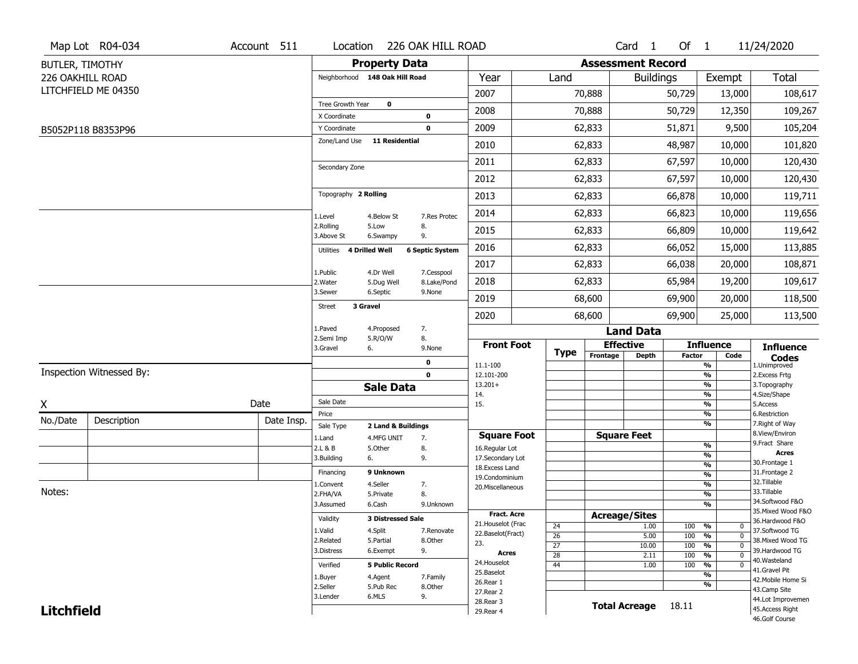|                   | Map Lot R04-034          | Account 511 | Location                           |                          | 226 OAK HILL ROAD         |                                    |                 |                          | Card <sub>1</sub>    | Of 1          |                                        | 11/24/2020                           |
|-------------------|--------------------------|-------------|------------------------------------|--------------------------|---------------------------|------------------------------------|-----------------|--------------------------|----------------------|---------------|----------------------------------------|--------------------------------------|
| BUTLER, TIMOTHY   |                          |             |                                    | <b>Property Data</b>     |                           |                                    |                 | <b>Assessment Record</b> |                      |               |                                        |                                      |
| 226 OAKHILL ROAD  |                          |             | Neighborhood 148 Oak Hill Road     |                          |                           | Year                               | Land            |                          | <b>Buildings</b>     |               | Exempt                                 | <b>Total</b>                         |
|                   | LITCHFIELD ME 04350      |             |                                    |                          |                           | 2007                               |                 | 70,888                   |                      | 50,729        | 13,000                                 | 108,617                              |
|                   |                          |             | Tree Growth Year                   | $\mathbf 0$              |                           | 2008                               |                 | 70,888                   |                      | 50,729        | 12,350                                 | 109,267                              |
|                   |                          |             | X Coordinate                       |                          | 0                         |                                    |                 |                          |                      |               |                                        |                                      |
|                   | B5052P118 B8353P96       |             | Y Coordinate                       |                          | 0                         | 2009                               |                 | 62,833                   |                      | 51,871        | 9,500                                  | 105,204                              |
|                   |                          |             | Zone/Land Use                      | <b>11 Residential</b>    |                           | 2010                               |                 | 62,833                   |                      | 48,987        | 10,000                                 | 101,820                              |
|                   |                          |             | Secondary Zone                     |                          |                           | 2011                               |                 | 62,833                   |                      | 67,597        | 10,000                                 | 120,430                              |
|                   |                          |             |                                    |                          |                           | 2012                               |                 | 62,833                   |                      | 67,597        | 10,000                                 | 120,430                              |
|                   |                          |             | Topography 2 Rolling               |                          |                           | 2013                               |                 | 62,833                   |                      | 66,878        | 10,000                                 | 119,711                              |
|                   |                          |             | 1.Level                            | 4.Below St               | 7.Res Protec              | 2014                               |                 | 62,833                   |                      | 66,823        | 10,000                                 | 119,656                              |
|                   |                          |             | 2.Rolling<br>3.Above St            | 5.Low<br>6.Swampy        | 8.<br>9.                  | 2015                               |                 | 62,833                   |                      | 66,809        | 10,000                                 | 119,642                              |
|                   |                          |             | <b>4 Drilled Well</b><br>Utilities |                          | <b>6 Septic System</b>    | 2016                               |                 | 62,833                   |                      | 66,052        | 15,000                                 | 113,885                              |
|                   |                          |             |                                    |                          |                           | 2017                               |                 | 62,833                   |                      | 66,038        | 20,000                                 | 108,871                              |
|                   |                          |             | 1.Public<br>2. Water               | 4.Dr Well<br>5.Dug Well  | 7.Cesspool<br>8.Lake/Pond | 2018                               |                 | 62,833                   |                      | 65,984        | 19,200                                 | 109,617                              |
|                   |                          |             | 3.Sewer                            | 6.Septic                 | 9.None                    | 2019                               |                 | 68,600                   |                      | 69,900        | 20,000                                 | 118,500                              |
|                   |                          |             | 3 Gravel<br><b>Street</b>          |                          |                           | 2020                               |                 | 68,600                   |                      | 69,900        | 25,000                                 | 113,500                              |
|                   |                          |             | 1.Paved                            | 4.Proposed               | 7.                        |                                    |                 |                          | <b>Land Data</b>     |               |                                        |                                      |
|                   |                          |             | 2.Semi Imp<br>3.Gravel             | 5.R/O/W<br>6.            | 8.<br>9.None              | <b>Front Foot</b>                  |                 | <b>Effective</b>         |                      |               | <b>Influence</b>                       | <b>Influence</b>                     |
|                   |                          |             |                                    |                          | 0                         | 11.1-100                           | <b>Type</b>     | Frontage                 | <b>Depth</b>         | <b>Factor</b> | Code<br>%                              | <b>Codes</b><br>1.Unimproved         |
|                   | Inspection Witnessed By: |             |                                    |                          | $\mathbf 0$               | 12.101-200                         |                 |                          |                      |               | $\frac{9}{6}$                          | 2. Excess Frtg                       |
|                   |                          |             |                                    | <b>Sale Data</b>         |                           | $13.201+$                          |                 |                          |                      |               | %                                      | 3. Topography                        |
| X                 |                          | Date        | Sale Date                          |                          |                           | 14.<br>15.                         |                 |                          |                      |               | %<br>$\frac{9}{6}$                     | 4.Size/Shape<br>5.Access             |
| No./Date          |                          |             | Price                              |                          |                           |                                    |                 |                          |                      |               | %                                      | 6.Restriction                        |
|                   | Description              | Date Insp.  | Sale Type                          | 2 Land & Buildings       |                           |                                    |                 |                          |                      |               | %                                      | 7. Right of Way<br>8.View/Environ    |
|                   |                          |             | 1.Land                             | 4.MFG UNIT               | 7.                        | <b>Square Foot</b>                 |                 |                          | <b>Square Feet</b>   |               | $\frac{9}{6}$                          | 9. Fract Share                       |
|                   |                          |             | 2.L & B<br>3.Building              | 5.Other<br>6.            | 8.<br>9.                  | 16.Regular Lot<br>17.Secondary Lot |                 |                          |                      |               | $\overline{\frac{9}{6}}$               | <b>Acres</b>                         |
|                   |                          |             |                                    |                          |                           | 18.Excess Land                     |                 |                          |                      |               | $\frac{9}{6}$                          | 30.Frontage 1                        |
|                   |                          |             | Financing                          | 9 Unknown                |                           | 19.Condominium                     |                 |                          |                      |               | $\frac{9}{6}$                          | 31. Frontage 2<br>32.Tillable        |
| Notes:            |                          |             | 1.Convent                          | 4.Seller                 | 7.                        | 20.Miscellaneous                   |                 |                          |                      |               | $\frac{9}{6}$                          | 33.Tillable                          |
|                   |                          |             | 2.FHA/VA<br>3.Assumed              | 5.Private<br>6.Cash      | 8.<br>9.Unknown           |                                    |                 |                          |                      |               | $\frac{9}{6}$<br>%                     | 34.Softwood F&O                      |
|                   |                          |             |                                    |                          |                           | <b>Fract. Acre</b>                 |                 |                          |                      |               |                                        | 35. Mixed Wood F&O                   |
|                   |                          |             | Validity                           | <b>3 Distressed Sale</b> |                           | 21. Houselot (Frac                 |                 | <b>Acreage/Sites</b>     |                      |               |                                        | 36.Hardwood F&O                      |
|                   |                          |             | 1.Valid                            | 4.Split                  | 7.Renovate                | 22.Baselot(Fract)                  | 24<br>26        |                          | 1.00<br>5.00         | 100<br>100    | %<br>0<br>$\frac{9}{6}$<br>$\mathbf 0$ | 37.Softwood TG                       |
|                   |                          |             | 2.Related                          | 5.Partial                | 8.Other                   | 23.                                | $\overline{27}$ |                          | 10.00                | 100           | $\frac{9}{6}$<br>$\mathbf 0$           | 38. Mixed Wood TG                    |
|                   |                          |             | 3.Distress                         | 6.Exempt                 | 9.                        | Acres                              | 28              |                          | 2.11                 | 100           | $\frac{9}{6}$<br>$\Omega$              | 39.Hardwood TG                       |
|                   |                          |             | Verified                           | <b>5 Public Record</b>   |                           | 24. Houselot                       | 44              |                          | 1.00                 | 100           | %<br>$\mathbf 0$                       | 40. Wasteland                        |
|                   |                          |             | 1.Buyer                            | 4.Agent                  | 7.Family                  | 25.Baselot                         |                 |                          |                      |               | $\overline{\frac{9}{6}}$               | 41.Gravel Pit                        |
|                   |                          |             | 2.Seller                           | 5.Pub Rec                | 8.Other                   | 26.Rear 1                          |                 |                          |                      |               | %                                      | 42. Mobile Home Si                   |
|                   |                          |             |                                    |                          |                           | 27.Rear 2                          |                 |                          |                      |               |                                        | 43.Camp Site                         |
|                   |                          |             | 3.Lender                           | 6.MLS                    |                           |                                    |                 |                          |                      |               |                                        |                                      |
| <b>Litchfield</b> |                          |             |                                    |                          | 9.                        | 28. Rear 3<br>29. Rear 4           |                 |                          | <b>Total Acreage</b> | 18.11         |                                        | 44.Lot Improvemen<br>45.Access Right |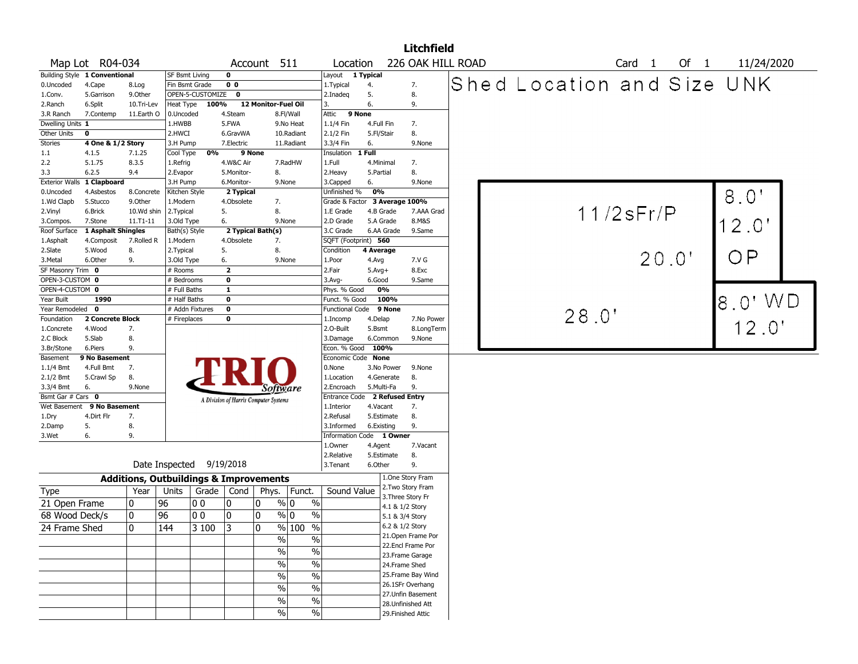|                               |                               |                |                            |                                                   |                |                                       |                     |                               |              |                                    | <b>Litchfield</b>  |  |                            |                 |        |       |        |      |               |  |
|-------------------------------|-------------------------------|----------------|----------------------------|---------------------------------------------------|----------------|---------------------------------------|---------------------|-------------------------------|--------------|------------------------------------|--------------------|--|----------------------------|-----------------|--------|-------|--------|------|---------------|--|
|                               | Map Lot R04-034               |                |                            |                                                   |                | Account 511                           |                     | Location                      |              |                                    | 226 OAK HILL ROAD  |  |                            |                 | Card 1 |       | Of $1$ |      | 11/24/2020    |  |
|                               | Building Style 1 Conventional |                | <b>SF Bsmt Living</b>      |                                                   | 0              |                                       |                     | Layout 1 Typical              |              |                                    |                    |  |                            |                 |        |       |        |      |               |  |
| 0.Uncoded                     | 4.Cape                        | 8.Log          |                            | Fin Bsmt Grade                                    | 0 <sub>0</sub> |                                       |                     | 1.Typical                     | 4.           |                                    | 7.                 |  | Shed Location and Size UNK |                 |        |       |        |      |               |  |
| 1.Conv.                       | 5.Garrison                    | 9.Other        |                            | OPEN-5-CUSTOMIZE                                  | $\mathbf 0$    |                                       |                     | 2.Inadeg                      | 5.           |                                    | 8.                 |  |                            |                 |        |       |        |      |               |  |
| 2.Ranch                       | 6.Split                       | 10.Tri-Lev     | <b>Heat Type</b>           | 100%                                              |                | 12 Monitor-Fuel Oil                   |                     | 3.                            | 6.           |                                    | 9.                 |  |                            |                 |        |       |        |      |               |  |
| 3.R Ranch                     | 7.Contemp                     | 11.Earth O     | 0.Uncoded                  |                                                   | 4.Steam        |                                       | 8.Fl/Wall           | Attic 9 None                  |              |                                    |                    |  |                            |                 |        |       |        |      |               |  |
| Dwelling Units 1              |                               |                | 1.HWBB                     |                                                   | 5.FWA          |                                       | 9.No Heat           | 1.1/4 Fin                     | 4.Full Fin   |                                    | 7.                 |  |                            |                 |        |       |        |      |               |  |
| Other Units                   | 0                             |                | 2.HWCI                     |                                                   | 6.GravWA       |                                       | 10.Radiant          | 2.1/2 Fin                     | 5.Fl/Stair   |                                    | 8.                 |  |                            |                 |        |       |        |      |               |  |
| <b>Stories</b>                | 4 One & 1/2 Story             |                | 3.H Pump                   |                                                   | 7.Electric     |                                       | 11.Radiant          | 3.3/4 Fin                     | 6.           |                                    | 9.None             |  |                            |                 |        |       |        |      |               |  |
| 1.1                           | 4.1.5                         | 7.1.25         | Cool Type                  | 0%                                                |                | 9 None                                |                     | Insulation                    | 1 Full       |                                    |                    |  |                            |                 |        |       |        |      |               |  |
| 2.2                           | 5.1.75                        | 8.3.5          | 1.Refrig                   |                                                   | 4.W&C Air      |                                       | 7.RadHW             | 1.Full                        | 4.Minimal    |                                    | 7.                 |  |                            |                 |        |       |        |      |               |  |
| 3.3                           | 6.2.5                         | 9.4            | 2.Evapor                   |                                                   | 5.Monitor-     | 8.                                    |                     | 2.Heavy                       | 5.Partial    |                                    | 8.                 |  |                            |                 |        |       |        |      |               |  |
| <b>Exterior Walls</b>         | 1 Clapboard                   |                | 3.H Pump                   |                                                   | 6.Monitor-     |                                       | 9.None              | 3.Capped                      | 6.           |                                    | 9.None             |  |                            |                 |        |       |        |      |               |  |
| 0.Uncoded                     | 4.Asbestos                    | 8.Concrete     | Kitchen Style              |                                                   | 2 Typical      |                                       |                     | Unfinished %                  | 0%           |                                    |                    |  |                            |                 |        |       |        | 8.0' |               |  |
| 1.Wd Clapb                    | 5.Stucco                      | 9.Other        | 1.Modern                   |                                                   | 4.Obsolete     | 7.                                    |                     | Grade & Factor 3 Average 100% |              |                                    |                    |  |                            |                 |        |       |        |      |               |  |
| 2.Vinyl                       | 6.Brick                       | 10.Wd shin     | 2. Typical                 |                                                   | 5.             | 8.                                    |                     | 1.E Grade                     |              | 4.B Grade                          | 7.AAA Grad         |  |                            | $11/2$ s $Fr/P$ |        |       |        |      |               |  |
| 3.Compos.                     | 7.Stone                       | 11.T1-11       | 3.Old Type                 |                                                   | 6.             |                                       | 9.None              | 2.D Grade                     |              | 5.A Grade                          | 8.M&S              |  |                            |                 |        |       |        |      | $2.0^{\circ}$ |  |
| Roof Surface                  | 1 Asphalt Shingles            |                | Bath(s) Style              |                                                   |                | 2 Typical Bath(s)                     |                     | 3.C Grade                     |              | 6.AA Grade                         | 9.Same             |  |                            |                 |        |       |        |      |               |  |
| 1.Asphalt                     | 4.Composit                    | 7.Rolled R     | 1.Modern                   |                                                   | 4.Obsolete     | 7.                                    |                     | SQFT (Footprint) 560          |              |                                    |                    |  |                            |                 |        |       |        |      |               |  |
| 2.Slate                       | 5.Wood                        | 8.             | 2. Typical                 |                                                   | 5.             | 8.                                    |                     | Condition                     | 4 Average    |                                    |                    |  |                            |                 |        | 20.0' |        | ( )  | P             |  |
| 3.Metal                       | 6.Other                       | 9.             | 3.Old Type                 |                                                   | 6.             |                                       | 9.None              | 1.Poor                        | 4.Avg        |                                    | 7.V G              |  |                            |                 |        |       |        |      |               |  |
| SF Masonry Trim 0             |                               |                | # Rooms                    |                                                   | $\mathbf{z}$   |                                       |                     | 2.Fair                        | $5.$ Avg $+$ |                                    | 8.Exc              |  |                            |                 |        |       |        |      |               |  |
| OPEN-3-CUSTOM 0               |                               |                | # Bedrooms<br># Full Baths |                                                   | $\bf{0}$       |                                       |                     | 3.Avg-                        | 6.Good       | 0%                                 | 9.Same             |  |                            |                 |        |       |        |      |               |  |
| OPEN-4-CUSTOM 0<br>Year Built | 1990                          |                | # Half Baths               |                                                   | 1<br>$\bf{0}$  |                                       |                     | Phys. % Good<br>Funct. % Good |              | 100%                               |                    |  |                            |                 |        |       |        |      |               |  |
| Year Remodeled 0              |                               |                |                            | # Addn Fixtures                                   | $\mathbf 0$    |                                       |                     | <b>Functional Code</b>        |              | 9 None                             |                    |  |                            |                 |        |       |        |      | 8.0' WD       |  |
| Foundation                    | 2 Concrete Block              |                | # Fireplaces               |                                                   | 0              |                                       |                     | 1.Incomp                      | 4.Delap      |                                    | 7.No Power         |  |                            | 28.0'           |        |       |        |      |               |  |
| 1.Concrete                    | 4.Wood                        | 7.             |                            |                                                   |                |                                       |                     | 2.O-Built                     | 5.Bsmt       |                                    | 8.LongTerm         |  |                            |                 |        |       |        |      | 12.0'         |  |
| 2.C Block                     | 5.Slab                        | 8.             |                            |                                                   |                |                                       |                     | 3.Damage                      |              | 6.Common                           | 9.None             |  |                            |                 |        |       |        |      |               |  |
| 3.Br/Stone                    | 6.Piers                       | 9.             |                            |                                                   |                |                                       |                     | Econ. % Good                  | 100%         |                                    |                    |  |                            |                 |        |       |        |      |               |  |
| Basement                      | 9 No Basement                 |                |                            |                                                   |                |                                       |                     | Economic Code None            |              |                                    |                    |  |                            |                 |        |       |        |      |               |  |
| $1.1/4$ Bmt                   | 4.Full Bmt                    | 7.             |                            |                                                   |                |                                       |                     | 0.None                        |              | 3.No Power                         | 9.None             |  |                            |                 |        |       |        |      |               |  |
| $2.1/2$ Bmt                   | 5.Crawl Sp                    | 8.             |                            |                                                   |                |                                       |                     | 1.Location                    |              | 4.Generate                         | 8.                 |  |                            |                 |        |       |        |      |               |  |
| 3.3/4 Bmt                     | 6.                            | 9.None         |                            |                                                   |                | Software                              |                     | 2.Encroach                    |              | 5.Multi-Fa                         | 9.                 |  |                            |                 |        |       |        |      |               |  |
| Bsmt Gar # Cars 0             |                               |                |                            |                                                   |                | A Division of Harris Computer Systems |                     | Entrance Code                 |              | 2 Refused Entry                    |                    |  |                            |                 |        |       |        |      |               |  |
|                               | Wet Basement 9 No Basement    |                |                            |                                                   |                |                                       |                     | 1.Interior                    | 4.Vacant     |                                    | 7.                 |  |                            |                 |        |       |        |      |               |  |
| 1.Dry                         | 4.Dirt Flr                    | 7.             |                            |                                                   |                |                                       |                     | 2.Refusal                     |              | 5.Estimate                         | 8.                 |  |                            |                 |        |       |        |      |               |  |
| 2.Damp                        | 5.                            | 8.             |                            |                                                   |                |                                       |                     | 3.Informed                    | 6.Existing   |                                    | 9.                 |  |                            |                 |        |       |        |      |               |  |
| 3.Wet                         | 6.                            | 9.             |                            |                                                   |                |                                       |                     | <b>Information Code</b>       |              | 1 Owner                            |                    |  |                            |                 |        |       |        |      |               |  |
|                               |                               |                |                            |                                                   |                |                                       |                     | 1.Owner                       | 4.Agent      |                                    | 7.Vacant           |  |                            |                 |        |       |        |      |               |  |
|                               |                               |                |                            |                                                   |                |                                       |                     | 2.Relative                    |              | 5.Estimate                         | 8.                 |  |                            |                 |        |       |        |      |               |  |
|                               |                               |                |                            | Date Inspected 9/19/2018                          |                |                                       |                     | 3. Tenant                     | 6.Other      |                                    | 9.                 |  |                            |                 |        |       |        |      |               |  |
|                               |                               |                |                            | <b>Additions, Outbuildings &amp; Improvements</b> |                |                                       |                     |                               |              |                                    | 1.One Story Fram   |  |                            |                 |        |       |        |      |               |  |
| Type                          |                               | Year           | Units                      | Grade                                             | Cond           | Phys.                                 | Funct.              | Sound Value                   |              |                                    | 2. Two Story Fram  |  |                            |                 |        |       |        |      |               |  |
| 21 Open Frame                 |                               | 0              | 96                         | O O                                               | 10             | 0                                     | % 0<br>$\%$         |                               |              |                                    | 3. Three Story Fr  |  |                            |                 |        |       |        |      |               |  |
| 68 Wood Deck/s                |                               | 0              | 96                         | 00                                                | 10             | 0                                     | $\%$ 0<br>$\%$      |                               |              | 4.1 & 1/2 Story                    |                    |  |                            |                 |        |       |        |      |               |  |
|                               |                               |                |                            |                                                   |                |                                       |                     |                               |              | 5.1 & 3/4 Story<br>6.2 & 1/2 Story |                    |  |                            |                 |        |       |        |      |               |  |
| 24 Frame Shed                 |                               | $\overline{0}$ | $\overline{144}$           | 3100                                              | $\overline{3}$ | $\overline{0}$                        | $\frac{9}{6}$ 100 % |                               |              |                                    | 21.Open Frame Por  |  |                            |                 |        |       |        |      |               |  |
|                               |                               |                |                            |                                                   |                | $\%$                                  | $\%$                |                               |              |                                    | 22.Encl Frame Por  |  |                            |                 |        |       |        |      |               |  |
|                               |                               |                |                            |                                                   |                | $\%$                                  | $\frac{0}{0}$       |                               |              |                                    | 23. Frame Garage   |  |                            |                 |        |       |        |      |               |  |
|                               |                               |                |                            |                                                   |                | $\%$                                  | $\%$                |                               |              | 24.Frame Shed                      |                    |  |                            |                 |        |       |        |      |               |  |
|                               |                               |                |                            |                                                   |                | $\%$                                  | $\%$                |                               |              |                                    | 25. Frame Bay Wind |  |                            |                 |        |       |        |      |               |  |
|                               |                               |                |                            |                                                   |                |                                       |                     |                               |              |                                    | 26.1SFr Overhang   |  |                            |                 |        |       |        |      |               |  |
|                               |                               |                |                            |                                                   |                | $\%$                                  | $\%$                |                               |              |                                    | 27.Unfin Basement  |  |                            |                 |        |       |        |      |               |  |
|                               |                               |                |                            |                                                   |                | $\%$                                  | $\frac{1}{2}$       |                               |              |                                    | 28. Unfinished Att |  |                            |                 |        |       |        |      |               |  |
|                               |                               |                |                            |                                                   |                | $\%$                                  | $\%$                |                               |              |                                    | 29. Finished Attic |  |                            |                 |        |       |        |      |               |  |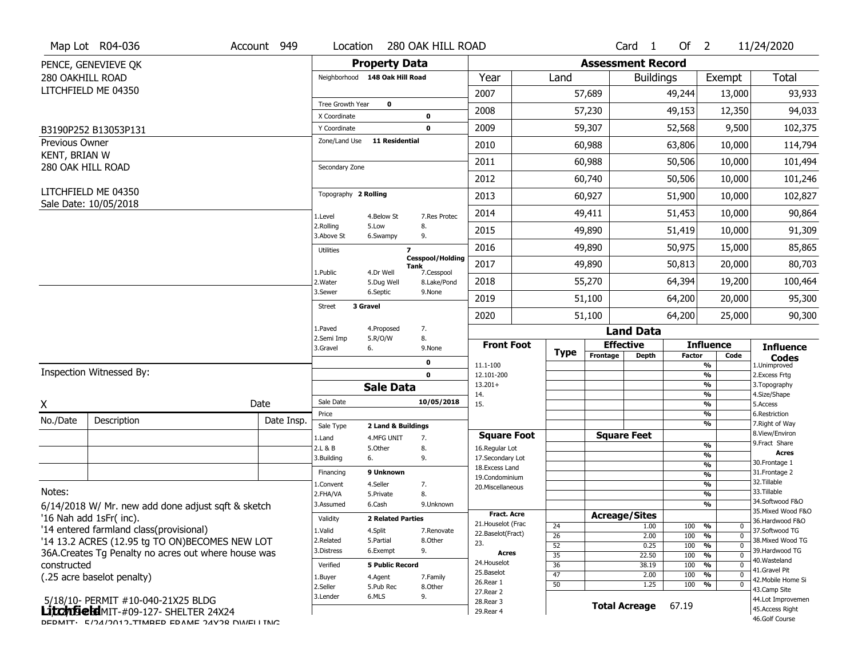|                                 | Map Lot R04-036                                                                    | Account 949 | Location                |                                | 280 OAK HILL ROAD                             |                                      |             |          | Card <sub>1</sub>        | Of $2$        |                                                        | 11/24/2020                           |  |  |  |  |  |  |  |
|---------------------------------|------------------------------------------------------------------------------------|-------------|-------------------------|--------------------------------|-----------------------------------------------|--------------------------------------|-------------|----------|--------------------------|---------------|--------------------------------------------------------|--------------------------------------|--|--|--|--|--|--|--|
|                                 | PENCE, GENEVIEVE QK                                                                |             |                         | <b>Property Data</b>           |                                               |                                      |             |          | <b>Assessment Record</b> |               |                                                        |                                      |  |  |  |  |  |  |  |
| 280 OAKHILL ROAD                |                                                                                    |             |                         | Neighborhood 148 Oak Hill Road |                                               | Year                                 | Land        |          | <b>Buildings</b>         |               | Exempt                                                 | Total                                |  |  |  |  |  |  |  |
|                                 | LITCHFIELD ME 04350                                                                |             |                         |                                |                                               | 2007                                 |             | 57,689   |                          | 49,244        | 13,000                                                 | 93,933                               |  |  |  |  |  |  |  |
|                                 |                                                                                    |             | Tree Growth Year        | $\mathbf 0$                    |                                               | 2008                                 |             | 57,230   |                          | 49,153        | 12,350                                                 | 94,033                               |  |  |  |  |  |  |  |
|                                 |                                                                                    |             | X Coordinate            |                                | 0                                             |                                      |             |          |                          |               |                                                        |                                      |  |  |  |  |  |  |  |
|                                 | B3190P252 B13053P131                                                               |             | Y Coordinate            | <b>11 Residential</b>          | $\mathbf 0$                                   | 2009                                 |             | 59,307   |                          | 52,568        | 9,500                                                  | 102,375                              |  |  |  |  |  |  |  |
| Previous Owner<br>KENT, BRIAN W |                                                                                    |             | Zone/Land Use           |                                |                                               | 2010                                 |             | 60,988   |                          | 63,806        | 10,000                                                 | 114,794                              |  |  |  |  |  |  |  |
|                                 | 280 OAK HILL ROAD                                                                  |             | Secondary Zone          |                                |                                               | 2011                                 |             | 60,988   |                          | 50,506        | 10,000                                                 | 101,494                              |  |  |  |  |  |  |  |
|                                 |                                                                                    |             |                         |                                |                                               | 2012                                 |             | 60,740   |                          | 50,506        | 10,000                                                 | 101,246                              |  |  |  |  |  |  |  |
|                                 | LITCHFIELD ME 04350                                                                |             | Topography 2 Rolling    |                                |                                               | 2013                                 |             | 60,927   |                          | 51,900        | 10,000                                                 | 102,827                              |  |  |  |  |  |  |  |
|                                 | Sale Date: 10/05/2018                                                              | 1.Level     | 4.Below St              | 7.Res Protec                   | 2014                                          |                                      | 49,411      |          | 51,453                   | 10,000        | 90,864                                                 |                                      |  |  |  |  |  |  |  |
|                                 |                                                                                    |             | 2.Rolling<br>3.Above St | 5.Low<br>6.Swampy              | 8.<br>9.                                      | 2015                                 |             | 49,890   |                          | 51,419        | 10,000                                                 | 91,309                               |  |  |  |  |  |  |  |
|                                 |                                                                                    |             | <b>Utilities</b>        | $\overline{\mathbf{z}}$        |                                               | 2016                                 |             | 49,890   |                          | 50,975        | 15,000                                                 | 85,865                               |  |  |  |  |  |  |  |
|                                 |                                                                                    |             |                         |                                | <b>Cesspool/Holding</b><br>Tank<br>7.Cesspool | 2017                                 |             | 49,890   |                          | 50,813        | 20,000                                                 | 80,703                               |  |  |  |  |  |  |  |
|                                 |                                                                                    |             | 1.Public<br>2. Water    | 4.Dr Well<br>5.Dug Well        | 8.Lake/Pond                                   | 2018                                 |             | 55,270   |                          | 64,394        | 19,200                                                 | 100,464                              |  |  |  |  |  |  |  |
|                                 |                                                                                    |             | 3.Sewer                 | 6.Septic                       | 9.None                                        | 2019                                 |             | 51,100   |                          | 64,200        | 20,000                                                 | 95,300                               |  |  |  |  |  |  |  |
|                                 |                                                                                    |             | <b>Street</b>           | 3 Gravel                       |                                               | 2020                                 |             | 51,100   |                          | 64,200        | 25,000                                                 | 90,300                               |  |  |  |  |  |  |  |
|                                 |                                                                                    |             | 1.Paved                 | 4.Proposed                     | 7.                                            |                                      |             |          | <b>Land Data</b>         |               |                                                        |                                      |  |  |  |  |  |  |  |
|                                 |                                                                                    |             | 2.Semi Imp<br>3.Gravel  | 5.R/O/W<br>6.                  | 8.<br>9.None                                  | <b>Front Foot</b>                    |             |          | <b>Effective</b>         |               | <b>Influence</b>                                       | <b>Influence</b>                     |  |  |  |  |  |  |  |
|                                 |                                                                                    |             |                         |                                | 0                                             | 11.1-100                             | <b>Type</b> | Frontage | <b>Depth</b>             | <b>Factor</b> | Code<br>%                                              | <b>Codes</b><br>1.Unimproved         |  |  |  |  |  |  |  |
|                                 | Inspection Witnessed By:                                                           |             |                         |                                | $\mathbf 0$                                   | 12.101-200                           |             |          |                          |               | %                                                      | 2. Excess Frtg                       |  |  |  |  |  |  |  |
|                                 |                                                                                    |             |                         | <b>Sale Data</b>               |                                               | $13.201+$                            |             |          |                          |               | %                                                      | 3. Topography                        |  |  |  |  |  |  |  |
| X                               |                                                                                    | Date        | Sale Date               |                                | 10/05/2018                                    | 14.<br>15.                           |             |          |                          |               | %<br>%                                                 | 4.Size/Shape<br>5.Access             |  |  |  |  |  |  |  |
| No./Date                        | Description                                                                        | Date Insp.  | Price                   |                                |                                               |                                      |             |          |                          |               | %                                                      | 6.Restriction                        |  |  |  |  |  |  |  |
|                                 |                                                                                    |             | Sale Type               | 2 Land & Buildings             |                                               |                                      |             |          | <b>Square Feet</b>       |               | %                                                      | 7. Right of Way<br>8.View/Environ    |  |  |  |  |  |  |  |
|                                 |                                                                                    |             | 1.Land<br>2.L & B       | 4.MFG UNIT<br>5.Other          | 7.<br>8.                                      | <b>Square Foot</b><br>16.Regular Lot |             |          |                          |               | $\frac{9}{6}$                                          | 9. Fract Share                       |  |  |  |  |  |  |  |
|                                 |                                                                                    |             | 3.Building              | 6.                             | 9.                                            | 17.Secondary Lot                     |             |          |                          |               | %                                                      | <b>Acres</b>                         |  |  |  |  |  |  |  |
|                                 |                                                                                    |             | Financing               | 9 Unknown                      |                                               | 18. Excess Land                      |             |          |                          |               | $\frac{9}{6}$                                          | 30.Frontage 1<br>31. Frontage 2      |  |  |  |  |  |  |  |
|                                 |                                                                                    |             | L.Convent               | 4.Seller                       | 7.                                            | 19.Condominium                       |             |          |                          |               | $\frac{9}{6}$<br>$\frac{9}{6}$                         | 32.Tillable                          |  |  |  |  |  |  |  |
| Notes:                          |                                                                                    |             | 2.FHA/VA                | 5.Private                      | 8.                                            | 20.Miscellaneous                     |             |          |                          |               | $\frac{9}{6}$                                          | 33.Tillable                          |  |  |  |  |  |  |  |
|                                 | 6/14/2018 W/ Mr. new add done adjust sqft & sketch                                 |             | 3.Assumed               | 6.Cash                         | 9.Unknown                                     |                                      |             |          |                          |               | $\frac{9}{6}$                                          | 34.Softwood F&O                      |  |  |  |  |  |  |  |
|                                 | '16 Nah add 1sFr( inc).                                                            |             | Validity                | <b>2 Related Parties</b>       |                                               | <b>Fract. Acre</b>                   |             |          | <b>Acreage/Sites</b>     |               |                                                        | 35. Mixed Wood F&O                   |  |  |  |  |  |  |  |
|                                 | '14 entered farmland class(provisional)                                            |             | 1.Valid                 | 4.Split                        | 7.Renovate                                    | 21. Houselot (Frac                   | 24          |          | 1.00                     | 100           | $\frac{9}{6}$<br>0                                     | 36.Hardwood F&O<br>37.Softwood TG    |  |  |  |  |  |  |  |
|                                 | '14 13.2 ACRES (12.95 tg TO ON)BECOMES NEW LOT                                     |             | 2.Related               | 5.Partial                      | 8.Other                                       | 22.Baselot(Fract)                    | 26          |          | 2.00                     | 100           | %<br>$\mathbf 0$                                       | 38. Mixed Wood TG                    |  |  |  |  |  |  |  |
|                                 | 36A. Creates Tg Penalty no acres out where house was                               |             | 3.Distress              | 6.Exempt                       | 9.                                            | 23.<br>Acres                         | 52          |          | 0.25                     | 100           | $\frac{9}{6}$<br>$\Omega$                              | 39.Hardwood TG                       |  |  |  |  |  |  |  |
| constructed                     |                                                                                    |             | Verified                | <b>5 Public Record</b>         |                                               | 24. Houselot                         | 35<br>36    |          | 22.50<br>38.19           | 100<br>100    | $\frac{9}{6}$<br>$\Omega$<br>$\frac{9}{6}$<br>$\Omega$ | 40. Wasteland                        |  |  |  |  |  |  |  |
|                                 |                                                                                    |             |                         |                                |                                               |                                      |             |          |                          |               |                                                        | 41.Gravel Pit                        |  |  |  |  |  |  |  |
|                                 |                                                                                    |             |                         |                                |                                               | 25.Baselot                           | 47          |          |                          |               | $\Omega$                                               |                                      |  |  |  |  |  |  |  |
|                                 | (.25 acre baselot penalty)                                                         |             | 1.Buyer                 | 4.Agent                        | 7.Family                                      | 26.Rear 1                            | 50          |          | 2.00<br>1.25             | 100<br>100    | $\frac{9}{6}$<br>$\frac{9}{6}$<br>0                    | 42. Mobile Home Si                   |  |  |  |  |  |  |  |
|                                 |                                                                                    |             | 2.Seller<br>3.Lender    | 5.Pub Rec<br>6.MLS             | 8.Other<br>9.                                 | 27. Rear 2                           |             |          |                          |               |                                                        | 43.Camp Site                         |  |  |  |  |  |  |  |
|                                 | 5/18/10- PERMIT #10-040-21X25 BLDG<br><b>Litchfield</b> MIT-#09-127- SHELTER 24X24 |             |                         |                                |                                               | 28.Rear 3<br>29. Rear 4              |             |          | <b>Total Acreage</b>     | 67.19         |                                                        | 44.Lot Improvemen<br>45.Access Right |  |  |  |  |  |  |  |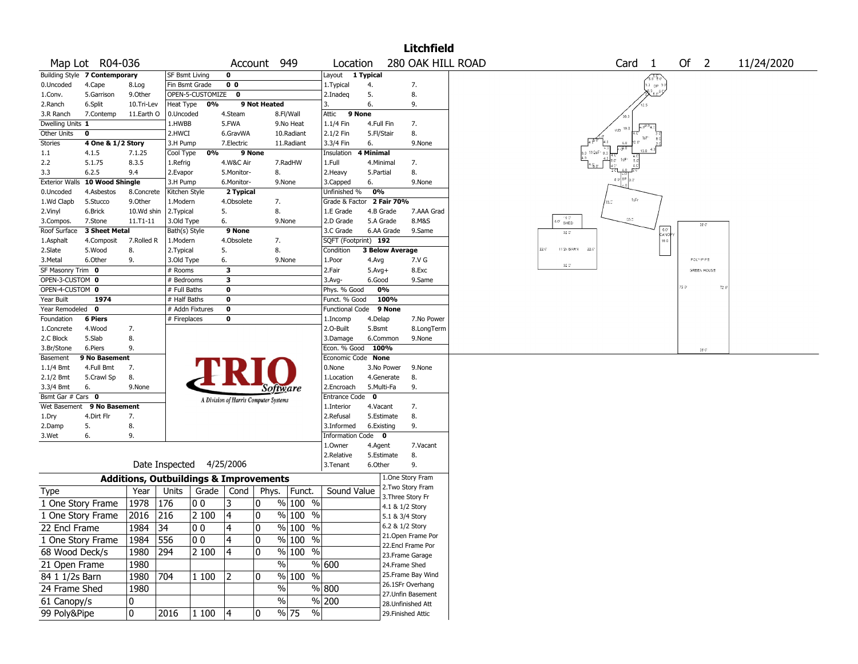|                       |                                                     |            |                |                                                   |                |                                       |            |                           |                  |                        | <b>Litchfield</b>  |                                                         |
|-----------------------|-----------------------------------------------------|------------|----------------|---------------------------------------------------|----------------|---------------------------------------|------------|---------------------------|------------------|------------------------|--------------------|---------------------------------------------------------|
|                       | Map Lot R04-036                                     |            |                |                                                   |                | Account 949                           |            | Location                  |                  |                        | 280 OAK HILL ROAD  | Of<br>Card <sub>1</sub><br>$\overline{2}$<br>11/24/2020 |
|                       | Building Style 7 Contemporary                       |            | SF Bsmt Living |                                                   | $\mathbf 0$    |                                       |            | Layout                    | 1 Typical        |                        |                    |                                                         |
| 0.Uncoded             | 0 <sub>0</sub><br>Fin Bsmt Grade<br>4.Cape<br>8.Log |            |                |                                                   |                |                                       |            |                           |                  |                        | 7.                 | $5.3\,$ OP $^5$                                         |
| 1.Conv.               | 5.Garrison                                          | 9.0ther    |                | OPEN-5-CUSTOMIZE 0                                |                |                                       |            | 2.Inadeq                  | 5.               |                        | 8.                 |                                                         |
| 2.Ranch               | 6.Split                                             | 10.Tri-Lev | Heat Type      | 0%                                                |                | 9 Not Heated                          |            | 3.                        | 6.               |                        | 9.                 |                                                         |
| 3.R Ranch             | 7.Contemp                                           | 11.Earth O | 0.Uncoded      |                                                   | 4.Steam        |                                       | 8.Fl/Wall  | 9 None<br>Attic           |                  |                        |                    |                                                         |
| Dwelling Units 1      |                                                     |            | 1.HWBB         |                                                   | 5.FWA          |                                       | 9.No Heat  | 1.1/4 Fin                 | 4.Full Fin       |                        | 7.                 |                                                         |
| <b>Other Units</b>    | 0                                                   |            | 2.HWCI         |                                                   | 6.GravWA       |                                       | 10.Radiant | 2.1/2 Fin                 | 5.Fl/Stair       |                        | 8.                 |                                                         |
| Stories               | 4 One & 1/2 Story                                   |            | 3.H Pump       |                                                   | 7.Electric     |                                       | 11.Radiant | 3.3/4 Fin                 | 6.               |                        | 9.None             |                                                         |
| $1.1\,$               | 4.1.5                                               | 7.1.25     | Cool Type      | 0%                                                |                | 9 None                                |            | Insulation                | <b>4 Minimal</b> |                        |                    |                                                         |
| 2.2                   | 5.1.75                                              | 8.3.5      | 1.Refrig       |                                                   | 4.W&C Air      |                                       | 7.RadHW    | 1.Full                    | 4.Minimal        |                        | 7.                 |                                                         |
| 3.3                   | 6.2.5                                               | 9.4        | 2.Evapor       |                                                   | 5.Monitor-     | 8.                                    |            | 2. Heavy                  | 5.Partial        |                        | 8.                 |                                                         |
| <b>Exterior Walls</b> | 10 Wood Shingle                                     |            | 3.H Pump       |                                                   | 6.Monitor-     |                                       | 9.None     | 3.Capped                  | 6.               |                        | 9.None             |                                                         |
| 0.Uncoded             | 4.Asbestos                                          | 8.Concrete | Kitchen Style  |                                                   | 2 Typical      |                                       |            | Unfinished %              | 0%               |                        |                    |                                                         |
| 1.Wd Clapb            | 5.Stucco                                            | 9.Other    | 1.Modern       |                                                   | 4.Obsolete     | 7.                                    |            | Grade & Factor 2 Fair 70% |                  |                        |                    | 1sFr<br>18.C                                            |
| 2.Vinyl               | 6.Brick                                             | 10.Wd shin | 2. Typical     |                                                   | 5.             | 8.                                    |            | 1.E Grade                 | 4.B Grade        |                        | 7.AAA Grad         |                                                         |
| 3.Compos.             | 7.Stone                                             | 11.T1-11   | 3.Old Type     |                                                   | 6.             |                                       | 9.None     | 2.D Grade                 | 5.A Grade        |                        | 8.M&S              | 16.01<br>$30.3\,$<br>SHED<br>$28\,$ $\rm C'$            |
| Roof Surface          | 3 Sheet Metal                                       |            | Bath(s) Style  |                                                   | 9 None         |                                       |            | 3.C Grade                 |                  | 6.AA Grade             | 9.Same             | $32\,$ $\rm C'$<br>CANOI                                |
| 1.Asphalt             | 4.Composit                                          | 7.Rolled R | 1.Modern       |                                                   | 4.Obsolete     | 7.                                    |            | SQFT (Footprint) 192      |                  |                        |                    | $16.0$                                                  |
| 2.Slate               | 5.Wood                                              | 8.         | 2. Typical     |                                                   | 5.             | 8.                                    |            | Condition                 |                  | <b>3 Below Average</b> |                    | $22.0^{\circ}$<br>11/2s BARN<br>22.0                    |
| 3.Metal               | 6.Other                                             | 9.         | 3.Old Type     |                                                   | 6.             |                                       | 9.None     | 1.Poor                    | 4.Avg            |                        | 7.V G              | POLY/P PE<br>$32\, \mathrm{C}^\circ$                    |
| SF Masonry Trim 0     |                                                     |            | # Rooms        |                                                   | 3              |                                       |            | 2.Fair                    | $5.Avg+$         |                        | 8.Exc              | <b>GREEN HOUSE</b>                                      |
| OPEN-3-CUSTOM 0       |                                                     |            | # Bedrooms     |                                                   | 3              |                                       |            | $3.$ Avg-                 | 6.Good           |                        | 9.Same             |                                                         |
| OPEN-4-CUSTOM 0       |                                                     |            | # Full Baths   |                                                   | $\bf{0}$       |                                       |            | Phys. % Good              | 0%               |                        |                    | 20<br>720                                               |
| Year Built            | 1974                                                |            | # Half Baths   |                                                   | 0              |                                       |            | Funct. % Good             |                  | 100%                   |                    |                                                         |
| Year Remodeled 0      |                                                     |            |                | # Addn Fixtures                                   | 0              |                                       |            | Functional Code           |                  | 9 None                 |                    |                                                         |
| Foundation            | <b>6 Piers</b>                                      |            | # Fireplaces   |                                                   | 0              |                                       |            | 1.Incomp                  | 4.Delap          |                        | 7.No Power         |                                                         |
| 1.Concrete            | 4.Wood                                              | 7.         |                |                                                   |                |                                       |            | 2.O-Built                 | 5.Bsmt           |                        | 8.LongTerm         |                                                         |
| 2.C Block             | 5.Slab                                              | 8.         |                |                                                   |                |                                       |            | 3.Damage                  | 6.Common         |                        | 9.None             |                                                         |
| 3.Br/Stone            | 6.Piers                                             | 9.         |                |                                                   |                |                                       |            | Econ. % Good              | 100%             |                        |                    | $28^\circ$ $\mathbb{C}^*$                               |
| Basement              | 9 No Basement                                       |            |                |                                                   |                |                                       |            | Economic Code None        |                  |                        |                    |                                                         |
| $1.1/4$ Bmt           | 4.Full Bmt                                          | 7.         |                |                                                   |                |                                       |            | 0.None                    |                  | 3.No Power             | 9.None             |                                                         |
| 2.1/2 Bmt             | 5.Crawl Sp                                          | 8.         |                |                                                   |                |                                       |            | 1.Location                |                  | 4.Generate             | 8.                 |                                                         |
| 3.3/4 Bmt             | 6.                                                  | 9.None     |                |                                                   |                | <i>Software</i>                       |            | 2.Encroach                | 5.Multi-Fa       |                        | 9.                 |                                                         |
| Bsmt Gar # Cars 0     |                                                     |            |                |                                                   |                | A Division of Harris Computer Systems |            | <b>Entrance Code</b>      | $\mathbf 0$      |                        |                    |                                                         |
| Wet Basement          | 9 No Basement                                       |            |                |                                                   |                |                                       |            | 1.Interior                | 4.Vacant         |                        | 7.                 |                                                         |
| 1.Dry                 | 4.Dirt Flr                                          | 7.         |                |                                                   |                |                                       |            | 2.Refusal                 | 5.Estimate       |                        | 8.                 |                                                         |
| 2.Damp                | 5.                                                  | 8.         |                |                                                   |                |                                       |            | 3.Informed                | 6.Existing       |                        | 9.                 |                                                         |
| 3.Wet                 | 6.                                                  | 9.         |                |                                                   |                |                                       |            | Information Code 0        |                  |                        |                    |                                                         |
|                       |                                                     |            |                |                                                   |                |                                       |            | 1.Owner                   | 4.Agent          |                        | 7.Vacant           |                                                         |
|                       |                                                     |            |                |                                                   |                |                                       |            | 2.Relative                | 5.Estimate       |                        | 8.                 |                                                         |
|                       | Date Inspected                                      |            | 4/25/2006      |                                                   |                | 3. Tenant                             | 6.Other    |                           | 9.               |                        |                    |                                                         |
|                       |                                                     |            |                | <b>Additions, Outbuildings &amp; Improvements</b> |                |                                       |            |                           | 1.One Story Fram |                        |                    |                                                         |
| Type                  |                                                     | Year       | Units          | Grade                                             | Cond           | Phys.                                 | Funct.     | Sound Value               |                  |                        | 2. Two Story Fram  |                                                         |
| 1 One Story Frame     |                                                     | 1978       | 176            | 00                                                | 3              | 0                                     | $%100$ %   |                           |                  | 3. Three Story Fr      |                    |                                                         |
|                       |                                                     |            |                |                                                   |                |                                       |            |                           |                  | 4.1 & 1/2 Story        |                    |                                                         |
| 1 One Story Frame     |                                                     | 2016       | 216            | 2 100                                             | 4              | 0                                     | $%100$ %   |                           |                  | 5.1 & 3/4 Story        |                    |                                                         |
| 22 Encl Frame         |                                                     | 1984  34   |                | 0 0                                               | 4              | 10                                    | $%$  100 % |                           |                  | 6.2 & 1/2 Story        |                    |                                                         |
| 1 One Story Frame     |                                                     | 1984 556   |                | 00                                                | $\overline{4}$ | 0                                     | % 100 %    |                           |                  |                        | 21.Open Frame Por  |                                                         |
| 68 Wood Deck/s        |                                                     | 1980 294   |                | 2 100                                             | 4              | 10                                    | % 100 %    |                           |                  |                        | 22.Encl Frame Por  |                                                         |
|                       |                                                     |            |                |                                                   |                | $\%$                                  |            | % 600                     |                  |                        | 23.Frame Garage    |                                                         |
| 21 Open Frame         |                                                     | 1980       |                |                                                   |                |                                       |            |                           |                  | 24.Frame Shed          |                    |                                                         |
| 84 1 1/2s Barn        |                                                     | 1980 704   |                | 1 100                                             | 2              | 0                                     | % 100 %    |                           |                  |                        | 25. Frame Bay Wind |                                                         |
| 24 Frame Shed         |                                                     | 1980       |                |                                                   |                | $\%$                                  |            | % 800                     |                  |                        | 26.1SFr Overhang   |                                                         |
| 61 Canopy/s           |                                                     | 0          |                |                                                   |                | %                                     |            | % 200                     |                  |                        | 27.Unfin Basement  |                                                         |
| 99 Poly&Pipe          |                                                     |            |                |                                                   |                |                                       | $\sqrt{6}$ |                           |                  |                        | 28.Unfinished Att  |                                                         |
|                       |                                                     | 0          | 2016           | $\vert$ 1 $100$                                   | 4              | 0                                     | % 75       |                           |                  |                        | 29. Finished Attic |                                                         |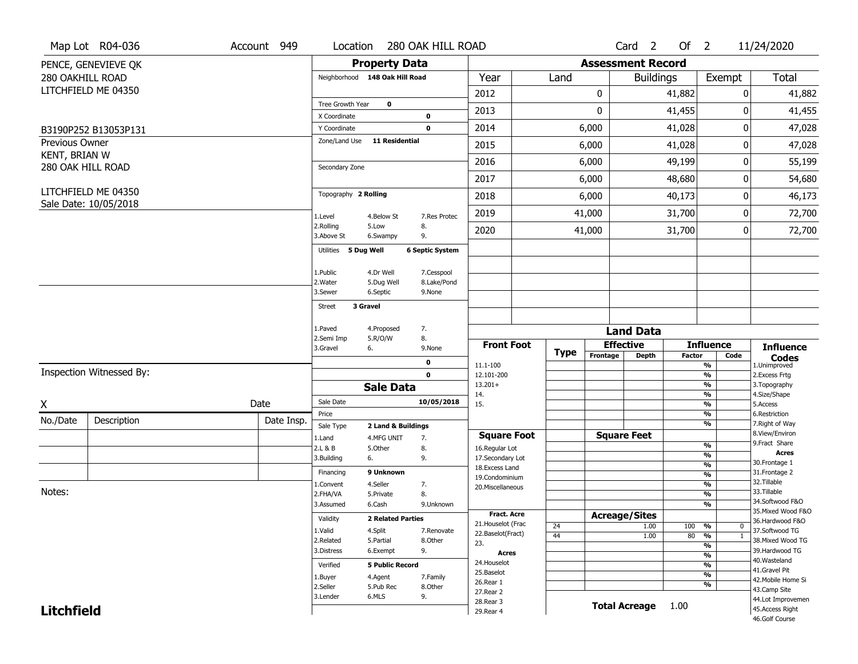|                                 | Map Lot R04-036          | Account 949 | Location                       |                                        | 280 OAK HILL ROAD      |                                          |          |                          | Card <sub>2</sub>    | Of $2$        |                                | 11/24/2020                          |
|---------------------------------|--------------------------|-------------|--------------------------------|----------------------------------------|------------------------|------------------------------------------|----------|--------------------------|----------------------|---------------|--------------------------------|-------------------------------------|
|                                 | PENCE, GENEVIEVE QK      |             |                                | <b>Property Data</b>                   |                        |                                          |          | <b>Assessment Record</b> |                      |               |                                |                                     |
| 280 OAKHILL ROAD                |                          |             | Neighborhood 148 Oak Hill Road |                                        |                        | Year                                     | Land     |                          | <b>Buildings</b>     |               | Exempt                         | <b>Total</b>                        |
|                                 | LITCHFIELD ME 04350      |             |                                |                                        |                        | 2012                                     |          | 0                        |                      | 41,882        |                                | 41,882<br>0                         |
|                                 |                          |             | Tree Growth Year               | $\mathbf 0$                            |                        | 2013                                     |          | 0                        |                      | 41,455        |                                | 41,455<br>0                         |
|                                 |                          |             | X Coordinate                   |                                        | 0                      |                                          |          |                          |                      |               |                                |                                     |
|                                 | B3190P252 B13053P131     |             | Y Coordinate<br>Zone/Land Use  | 11 Residential                         | $\mathbf 0$            | 2014                                     |          | 6,000                    |                      | 41,028        |                                | 0<br>47,028                         |
| Previous Owner<br>KENT, BRIAN W |                          |             |                                |                                        |                        | 2015                                     |          | 6,000                    |                      | 41,028        |                                | 47,028<br>0                         |
|                                 | 280 OAK HILL ROAD        |             | Secondary Zone                 |                                        |                        | 2016                                     |          | 6,000                    |                      | 49,199        |                                | 55,199<br>0                         |
|                                 |                          |             |                                |                                        |                        | 2017                                     |          | 6,000                    |                      | 48,680        |                                | 0<br>54,680                         |
|                                 | LITCHFIELD ME 04350      |             | Topography 2 Rolling           |                                        |                        | 2018                                     |          | 6,000                    |                      | 40,173        |                                | 46,173<br>0                         |
|                                 | Sale Date: 10/05/2018    |             | 1.Level                        | 4.Below St                             | 7.Res Protec           | 2019                                     |          | 41,000                   |                      | 31,700        |                                | 0<br>72,700                         |
|                                 |                          |             | 2.Rolling<br>3.Above St        | 5.Low<br>6.Swampy                      | 8.<br>9.               | 2020                                     |          | 41,000                   | 31,700               |               | 0                              | 72,700                              |
|                                 |                          |             | Utilities 5 Dug Well           |                                        | <b>6 Septic System</b> |                                          |          |                          |                      |               |                                |                                     |
|                                 |                          |             |                                |                                        |                        |                                          |          |                          |                      |               |                                |                                     |
|                                 |                          |             | 1.Public                       | 4.Dr Well                              | 7.Cesspool             |                                          |          |                          |                      |               |                                |                                     |
|                                 |                          |             | 2. Water<br>3.Sewer            | 5.Dug Well<br>6.Septic                 | 8.Lake/Pond<br>9.None  |                                          |          |                          |                      |               |                                |                                     |
|                                 |                          |             | 3 Gravel<br><b>Street</b>      |                                        |                        |                                          |          |                          |                      |               |                                |                                     |
|                                 |                          |             |                                |                                        |                        |                                          |          |                          |                      |               |                                |                                     |
|                                 |                          |             | 1.Paved<br>2.Semi Imp          | 4.Proposed<br>5.R/O/W                  | 7.<br>8.               |                                          |          |                          | <b>Land Data</b>     |               |                                |                                     |
|                                 |                          |             | 3.Gravel                       | 6.                                     | 9.None                 | <b>Front Foot</b>                        | Type     |                          | <b>Effective</b>     |               | <b>Influence</b>               | <b>Influence</b>                    |
|                                 |                          |             |                                |                                        | 0                      | 11.1-100                                 |          | Frontage                 | <b>Depth</b>         | <b>Factor</b> | Code<br>%                      | <b>Codes</b><br>1.Unimproved        |
|                                 | Inspection Witnessed By: |             |                                |                                        | $\mathbf 0$            | 12.101-200                               |          |                          |                      |               | $\frac{9}{6}$                  | 2.Excess Frtg                       |
|                                 |                          |             |                                | <b>Sale Data</b>                       |                        | $13.201+$<br>14.                         |          |                          |                      |               | %<br>%                         | 3. Topography<br>4.Size/Shape       |
| X                               |                          | Date        | Sale Date                      |                                        | 10/05/2018             | 15.                                      |          |                          |                      |               | %                              | 5.Access                            |
| No./Date                        | Description              | Date Insp.  | Price                          |                                        |                        |                                          |          |                          |                      |               | $\frac{9}{6}$<br>%             | 6.Restriction<br>7. Right of Way    |
|                                 |                          |             | Sale Type<br>1.Land            | 2 Land & Buildings<br>4.MFG UNIT<br>7. |                        | <b>Square Foot</b>                       |          |                          | <b>Square Feet</b>   |               |                                | 8.View/Environ                      |
|                                 |                          |             | 2.L & B                        | 5.Other                                | 8.                     | 16.Regular Lot                           |          |                          |                      |               | $\frac{9}{6}$                  | 9.Fract Share                       |
|                                 |                          |             | 3.Building                     | 6.                                     | 9.                     | 17.Secondary Lot                         |          |                          |                      |               | $\frac{9}{6}$<br>$\frac{9}{6}$ | <b>Acres</b><br>30. Frontage 1      |
|                                 |                          |             | Financing                      | 9 Unknown                              |                        | 18.Excess Land<br>19.Condominium         |          |                          |                      |               | $\overline{\frac{9}{6}}$       | 31. Frontage 2                      |
|                                 |                          |             | 1.Convent                      | 4.Seller                               | 7.                     | 20.Miscellaneous                         |          |                          |                      |               | $\frac{9}{6}$                  | 32. Tillable                        |
| Notes:                          |                          |             | 2.FHA/VA                       | 5.Private                              | 8.                     |                                          |          |                          |                      |               | $\frac{9}{6}$                  | 33.Tillable<br>34.Softwood F&O      |
|                                 |                          |             | 3.Assumed                      | 6.Cash                                 | 9.Unknown              |                                          |          |                          |                      |               | %                              | 35. Mixed Wood F&O                  |
|                                 |                          |             | Validity                       | <b>2 Related Parties</b>               |                        | <b>Fract. Acre</b><br>21. Houselot (Frac |          | <b>Acreage/Sites</b>     |                      |               |                                | 36.Hardwood F&O                     |
|                                 |                          |             | 1.Valid                        | 4.Split                                | 7.Renovate             | 22.Baselot(Fract)                        | 24<br>44 |                          | 1.00<br>1.00         | 100<br>80     | %<br>0<br>$\mathbf{1}$         | 37.Softwood TG                      |
|                                 |                          |             | 2.Related                      | 5.Partial                              | 8.Other                | 23.                                      |          |                          |                      |               | %<br>$\overline{\frac{9}{6}}$  | 38. Mixed Wood TG                   |
|                                 |                          |             | 3.Distress                     | 6.Exempt                               | 9.                     | <b>Acres</b>                             |          |                          |                      |               | $\frac{9}{6}$                  | 39.Hardwood TG                      |
|                                 |                          |             | Verified                       | <b>5 Public Record</b>                 |                        | 24. Houselot                             |          |                          |                      |               | %                              | 40. Wasteland                       |
|                                 |                          |             | 1.Buyer                        | 4.Agent                                | 7.Family               | 25.Baselot                               |          |                          |                      |               | $\frac{9}{6}$                  | 41.Gravel Pit<br>42. Mobile Home Si |
|                                 |                          |             | 2.Seller                       | 5.Pub Rec                              | 8.0ther                | 26.Rear 1                                |          |                          |                      |               | %                              | 43.Camp Site                        |
|                                 |                          |             | 3.Lender                       | 6.MLS                                  | 9.                     | 27.Rear 2                                |          |                          |                      |               |                                | 44.Lot Improvemen                   |
|                                 |                          |             |                                |                                        |                        |                                          |          |                          |                      |               |                                |                                     |
| <b>Litchfield</b>               |                          |             |                                |                                        |                        | 28. Rear 3<br>29. Rear 4                 |          |                          | <b>Total Acreage</b> | 1.00          |                                | 45.Access Right                     |